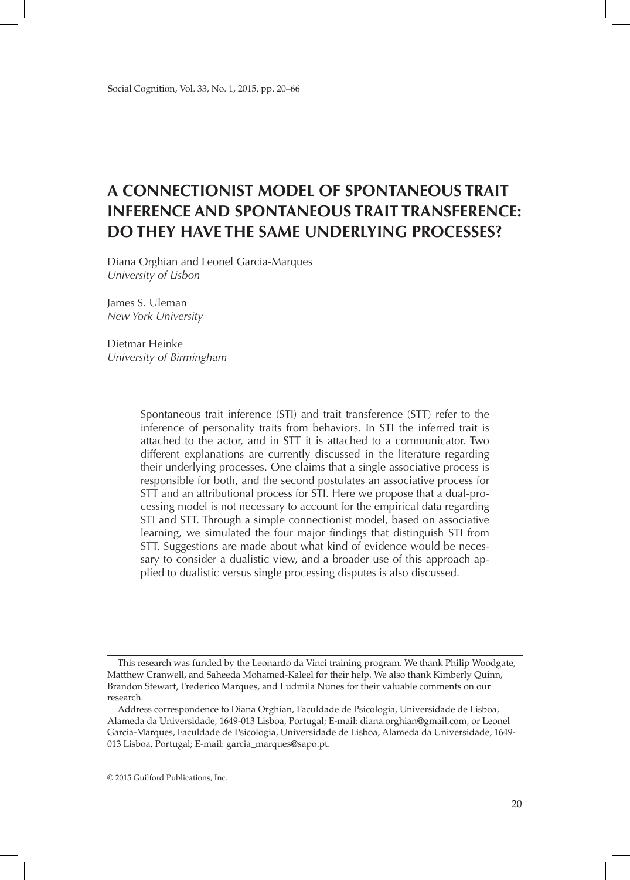# **A Connectionist Model of Spontaneous Trait Inference and Spontaneous Trait Transference: Do They Have The Same Underlying Processes?**

Diana Orghian and Leonel Garcia-Marques *University of Lisbon*

James S. Uleman *New York University*

Dietmar Heinke *University of Birmingham*

> Spontaneous trait inference (STI) and trait transference (STT) refer to the inference of personality traits from behaviors. In STI the inferred trait is attached to the actor, and in STT it is attached to a communicator. Two different explanations are currently discussed in the literature regarding their underlying processes. One claims that a single associative process is responsible for both, and the second postulates an associative process for STT and an attributional process for STI. Here we propose that a dual-processing model is not necessary to account for the empirical data regarding STI and STT. Through a simple connectionist model, based on associative learning, we simulated the four major findings that distinguish STI from STT. Suggestions are made about what kind of evidence would be necessary to consider a dualistic view, and a broader use of this approach applied to dualistic versus single processing disputes is also discussed.

This research was funded by the Leonardo da Vinci training program. We thank Philip Woodgate, Matthew Cranwell, and Saheeda Mohamed-Kaleel for their help. We also thank Kimberly Quinn, Brandon Stewart, Frederico Marques, and Ludmila Nunes for their valuable comments on our research.

Address correspondence to Diana Orghian, Faculdade de Psicologia, Universidade de Lisboa, Alameda da Universidade, 1649-013 Lisboa, Portugal; E-mail: diana.orghian@gmail.com, or Leonel Garcia-Marques, Faculdade de Psicologia, Universidade de Lisboa, Alameda da Universidade, 1649- 013 Lisboa, Portugal; E-mail: garcia\_marques@sapo.pt.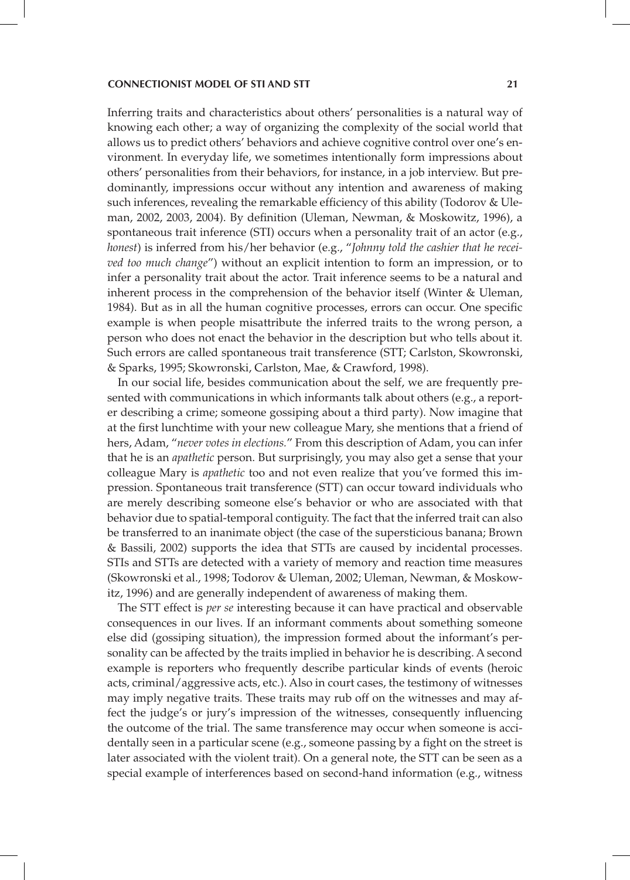Inferring traits and characteristics about others' personalities is a natural way of knowing each other; a way of organizing the complexity of the social world that allows us to predict others' behaviors and achieve cognitive control over one's environment. In everyday life, we sometimes intentionally form impressions about others' personalities from their behaviors, for instance, in a job interview. But predominantly, impressions occur without any intention and awareness of making such inferences, revealing the remarkable efficiency of this ability (Todorov & Uleman, 2002, 2003, 2004). By definition (Uleman, Newman, & Moskowitz, 1996), a spontaneous trait inference (STI) occurs when a personality trait of an actor (e.g., *honest*) is inferred from his/her behavior (e.g., "*Johnny told the cashier that he received too much change*") without an explicit intention to form an impression, or to infer a personality trait about the actor. Trait inference seems to be a natural and inherent process in the comprehension of the behavior itself (Winter & Uleman, 1984). But as in all the human cognitive processes, errors can occur. One specific example is when people misattribute the inferred traits to the wrong person, a person who does not enact the behavior in the description but who tells about it. Such errors are called spontaneous trait transference (STT; Carlston, Skowronski, & Sparks, 1995; Skowronski, Carlston, Mae, & Crawford, 1998).

In our social life, besides communication about the self, we are frequently presented with communications in which informants talk about others (e.g., a reporter describing a crime; someone gossiping about a third party). Now imagine that at the first lunchtime with your new colleague Mary, she mentions that a friend of hers, Adam, "*never votes in elections.*" From this description of Adam, you can infer that he is an *apathetic* person. But surprisingly, you may also get a sense that your colleague Mary is *apathetic* too and not even realize that you've formed this impression. Spontaneous trait transference (STT) can occur toward individuals who are merely describing someone else's behavior or who are associated with that behavior due to spatial-temporal contiguity. The fact that the inferred trait can also be transferred to an inanimate object (the case of the supersticious banana; Brown & Bassili, 2002) supports the idea that STTs are caused by incidental processes. STIs and STTs are detected with a variety of memory and reaction time measures (Skowronski et al., 1998; Todorov & Uleman, 2002; Uleman, Newman, & Moskowitz, 1996) and are generally independent of awareness of making them.

The STT effect is *per se* interesting because it can have practical and observable consequences in our lives. If an informant comments about something someone else did (gossiping situation), the impression formed about the informant's personality can be affected by the traits implied in behavior he is describing. A second example is reporters who frequently describe particular kinds of events (heroic acts, criminal/aggressive acts, etc.). Also in court cases, the testimony of witnesses may imply negative traits. These traits may rub off on the witnesses and may affect the judge's or jury's impression of the witnesses, consequently influencing the outcome of the trial. The same transference may occur when someone is accidentally seen in a particular scene (e.g., someone passing by a fight on the street is later associated with the violent trait). On a general note, the STT can be seen as a special example of interferences based on second-hand information (e.g., witness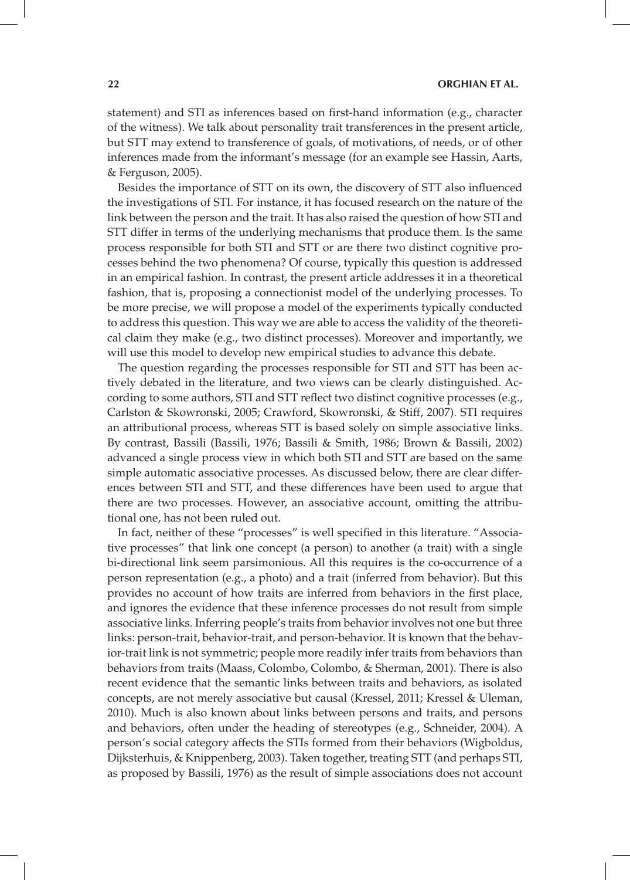statement) and STI as inferences based on first-hand information (e.g., character of the witness). We talk about personality trait transferences in the present article, but STT may extend to transference of goals, of motivations, of needs, or of other inferences made from the informant's message (for an example see Hassin, Aarts, & Ferguson, 2005).

Besides the importance of STT on its own, the discovery of STT also influenced the investigations of STI. For instance, it has focused research on the nature of the link between the person and the trait. It has also raised the question of how STI and STT differ in terms of the underlying mechanisms that produce them. Is the same process responsible for both STI and STT or are there two distinct cognitive processes behind the two phenomena? Of course, typically this question is addressed in an empirical fashion. In contrast, the present article addresses it in a theoretical fashion, that is, proposing a connectionist model of the underlying processes. To be more precise, we will propose a model of the experiments typically conducted to address this question. This way we are able to access the validity of the theoretical claim they make (e.g., two distinct processes). Moreover and importantly, we will use this model to develop new empirical studies to advance this debate.

The question regarding the processes responsible for STI and STT has been actively debated in the literature, and two views can be clearly distinguished. According to some authors, STI and STT reflect two distinct cognitive processes (e.g., Carlston & Skowronski, 2005; Crawford, Skowronski, & Stiff, 2007). STI requires an attributional process, whereas STT is based solely on simple associative links. By contrast, Bassili (Bassili, 1976; Bassili & Smith, 1986; Brown & Bassili, 2002) advanced a single process view in which both STI and STT are based on the same simple automatic associative processes. As discussed below, there are clear differences between STI and STT, and these differences have been used to argue that there are two processes. However, an associative account, omitting the attributional one, has not been ruled out.

In fact, neither of these "processes" is well specified in this literature. "Associative processes" that link one concept (a person) to another (a trait) with a single bi-directional link seem parsimonious. All this requires is the co-occurrence of a person representation (e.g., a photo) and a trait (inferred from behavior). But this provides no account of how traits are inferred from behaviors in the first place, and ignores the evidence that these inference processes do not result from simple associative links. Inferring people's traits from behavior involves not one but three links: person-trait, behavior-trait, and person-behavior. It is known that the behavior-trait link is not symmetric; people more readily infer traits from behaviors than behaviors from traits (Maass, Colombo, Colombo, & Sherman, 2001). There is also recent evidence that the semantic links between traits and behaviors, as isolated concepts, are not merely associative but causal (Kressel, 2011; Kressel & Uleman, 2010). Much is also known about links between persons and traits, and persons and behaviors, often under the heading of stereotypes (e.g., Schneider, 2004). A person's social category affects the STIs formed from their behaviors (Wigboldus, Dijksterhuis, & Knippenberg, 2003). Taken together, treating STT (and perhaps STI, as proposed by Bassili, 1976) as the result of simple associations does not account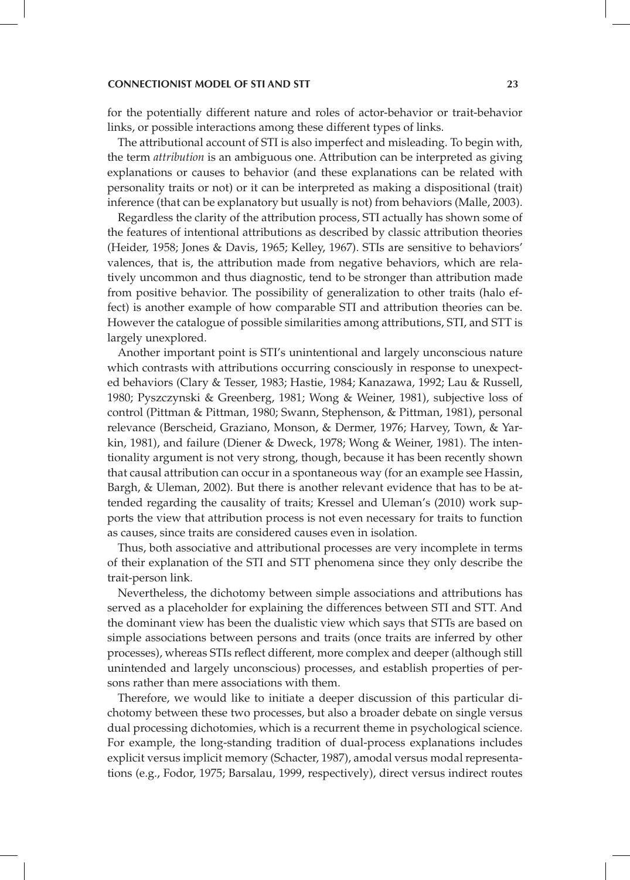for the potentially different nature and roles of actor-behavior or trait-behavior links, or possible interactions among these different types of links.

The attributional account of STI is also imperfect and misleading. To begin with, the term *attribution* is an ambiguous one. Attribution can be interpreted as giving explanations or causes to behavior (and these explanations can be related with personality traits or not) or it can be interpreted as making a dispositional (trait) inference (that can be explanatory but usually is not) from behaviors (Malle, 2003).

Regardless the clarity of the attribution process, STI actually has shown some of the features of intentional attributions as described by classic attribution theories (Heider, 1958; Jones & Davis, 1965; Kelley, 1967). STIs are sensitive to behaviors' valences, that is, the attribution made from negative behaviors, which are relatively uncommon and thus diagnostic, tend to be stronger than attribution made from positive behavior. The possibility of generalization to other traits (halo effect) is another example of how comparable STI and attribution theories can be. However the catalogue of possible similarities among attributions, STI, and STT is largely unexplored.

Another important point is STI's unintentional and largely unconscious nature which contrasts with attributions occurring consciously in response to unexpected behaviors (Clary & Tesser, 1983; Hastie, 1984; Kanazawa, 1992; Lau & Russell, 1980; Pyszczynski & Greenberg, 1981; Wong & Weiner, 1981), subjective loss of control (Pittman & Pittman, 1980; Swann, Stephenson, & Pittman, 1981), personal relevance (Berscheid, Graziano, Monson, & Dermer, 1976; Harvey, Town, & Yarkin, 1981), and failure (Diener & Dweck, 1978; Wong & Weiner, 1981). The intentionality argument is not very strong, though, because it has been recently shown that causal attribution can occur in a spontaneous way (for an example see Hassin, Bargh, & Uleman, 2002). But there is another relevant evidence that has to be attended regarding the causality of traits; Kressel and Uleman's (2010) work supports the view that attribution process is not even necessary for traits to function as causes, since traits are considered causes even in isolation.

Thus, both associative and attributional processes are very incomplete in terms of their explanation of the STI and STT phenomena since they only describe the trait-person link.

Nevertheless, the dichotomy between simple associations and attributions has served as a placeholder for explaining the differences between STI and STT. And the dominant view has been the dualistic view which says that STTs are based on simple associations between persons and traits (once traits are inferred by other processes), whereas STIs reflect different, more complex and deeper (although still unintended and largely unconscious) processes, and establish properties of persons rather than mere associations with them.

Therefore, we would like to initiate a deeper discussion of this particular dichotomy between these two processes, but also a broader debate on single versus dual processing dichotomies, which is a recurrent theme in psychological science. For example, the long-standing tradition of dual-process explanations includes explicit versus implicit memory (Schacter, 1987), amodal versus modal representations (e.g., Fodor, 1975; Barsalau, 1999, respectively), direct versus indirect routes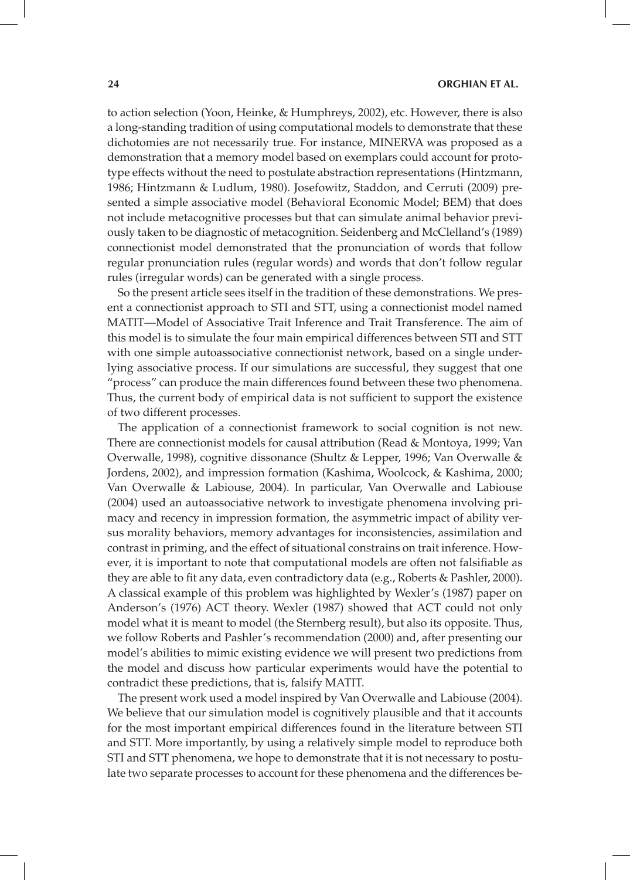to action selection (Yoon, Heinke, & Humphreys, 2002), etc. However, there is also a long-standing tradition of using computational models to demonstrate that these dichotomies are not necessarily true. For instance, MINERVA was proposed as a demonstration that a memory model based on exemplars could account for prototype effects without the need to postulate abstraction representations (Hintzmann, 1986; Hintzmann & Ludlum, 1980). Josefowitz, Staddon, and Cerruti (2009) presented a simple associative model (Behavioral Economic Model; BEM) that does not include metacognitive processes but that can simulate animal behavior previously taken to be diagnostic of metacognition. Seidenberg and McClelland's (1989) connectionist model demonstrated that the pronunciation of words that follow regular pronunciation rules (regular words) and words that don't follow regular rules (irregular words) can be generated with a single process.

So the present article sees itself in the tradition of these demonstrations. We present a connectionist approach to STI and STT, using a connectionist model named MATIT—Model of Associative Trait Inference and Trait Transference. The aim of this model is to simulate the four main empirical differences between STI and STT with one simple autoassociative connectionist network, based on a single underlying associative process. If our simulations are successful, they suggest that one "process" can produce the main differences found between these two phenomena. Thus, the current body of empirical data is not sufficient to support the existence of two different processes.

The application of a connectionist framework to social cognition is not new. There are connectionist models for causal attribution (Read & Montoya, 1999; Van Overwalle, 1998), cognitive dissonance (Shultz & Lepper, 1996; Van Overwalle & Jordens, 2002), and impression formation (Kashima, Woolcock, & Kashima, 2000; Van Overwalle & Labiouse, 2004). In particular, Van Overwalle and Labiouse (2004) used an autoassociative network to investigate phenomena involving primacy and recency in impression formation, the asymmetric impact of ability versus morality behaviors, memory advantages for inconsistencies, assimilation and contrast in priming, and the effect of situational constrains on trait inference. However, it is important to note that computational models are often not falsifiable as they are able to fit any data, even contradictory data (e.g., Roberts & Pashler, 2000). A classical example of this problem was highlighted by Wexler's (1987) paper on Anderson's (1976) ACT theory. Wexler (1987) showed that ACT could not only model what it is meant to model (the Sternberg result), but also its opposite. Thus, we follow Roberts and Pashler's recommendation (2000) and, after presenting our model's abilities to mimic existing evidence we will present two predictions from the model and discuss how particular experiments would have the potential to contradict these predictions, that is, falsify MATIT.

The present work used a model inspired by Van Overwalle and Labiouse (2004). We believe that our simulation model is cognitively plausible and that it accounts for the most important empirical differences found in the literature between STI and STT. More importantly, by using a relatively simple model to reproduce both STI and STT phenomena, we hope to demonstrate that it is not necessary to postulate two separate processes to account for these phenomena and the differences be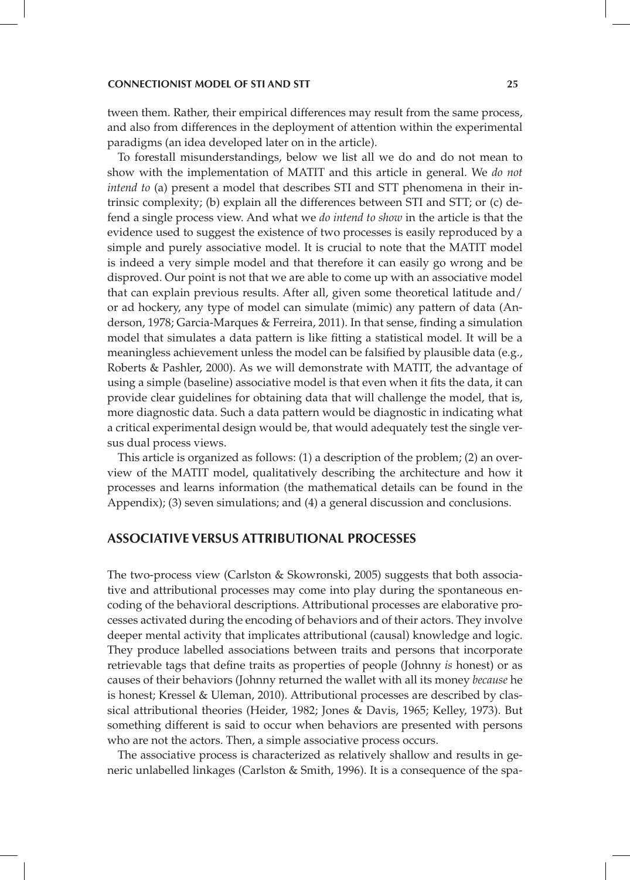tween them. Rather, their empirical differences may result from the same process, and also from differences in the deployment of attention within the experimental paradigms (an idea developed later on in the article).

To forestall misunderstandings, below we list all we do and do not mean to show with the implementation of MATIT and this article in general. We *do not intend to* (a) present a model that describes STI and STT phenomena in their intrinsic complexity; (b) explain all the differences between STI and STT; or (c) defend a single process view. And what we *do intend to show* in the article is that the evidence used to suggest the existence of two processes is easily reproduced by a simple and purely associative model. It is crucial to note that the MATIT model is indeed a very simple model and that therefore it can easily go wrong and be disproved. Our point is not that we are able to come up with an associative model that can explain previous results. After all, given some theoretical latitude and/ or ad hockery, any type of model can simulate (mimic) any pattern of data (Anderson, 1978; Garcia-Marques & Ferreira, 2011). In that sense, finding a simulation model that simulates a data pattern is like fitting a statistical model. It will be a meaningless achievement unless the model can be falsified by plausible data (e.g., Roberts & Pashler, 2000). As we will demonstrate with MATIT, the advantage of using a simple (baseline) associative model is that even when it fits the data, it can provide clear guidelines for obtaining data that will challenge the model, that is, more diagnostic data. Such a data pattern would be diagnostic in indicating what a critical experimental design would be, that would adequately test the single versus dual process views.

This article is organized as follows: (1) a description of the problem; (2) an overview of the MATIT model, qualitatively describing the architecture and how it processes and learns information (the mathematical details can be found in the Appendix); (3) seven simulations; and (4) a general discussion and conclusions.

# **Associative versus Attributional Processes**

The two-process view (Carlston & Skowronski, 2005) suggests that both associative and attributional processes may come into play during the spontaneous encoding of the behavioral descriptions. Attributional processes are elaborative processes activated during the encoding of behaviors and of their actors. They involve deeper mental activity that implicates attributional (causal) knowledge and logic. They produce labelled associations between traits and persons that incorporate retrievable tags that define traits as properties of people (Johnny *is* honest) or as causes of their behaviors (Johnny returned the wallet with all its money *because* he is honest; Kressel & Uleman, 2010). Attributional processes are described by classical attributional theories (Heider, 1982; Jones & Davis, 1965; Kelley, 1973). But something different is said to occur when behaviors are presented with persons who are not the actors. Then, a simple associative process occurs.

The associative process is characterized as relatively shallow and results in generic unlabelled linkages (Carlston & Smith, 1996). It is a consequence of the spa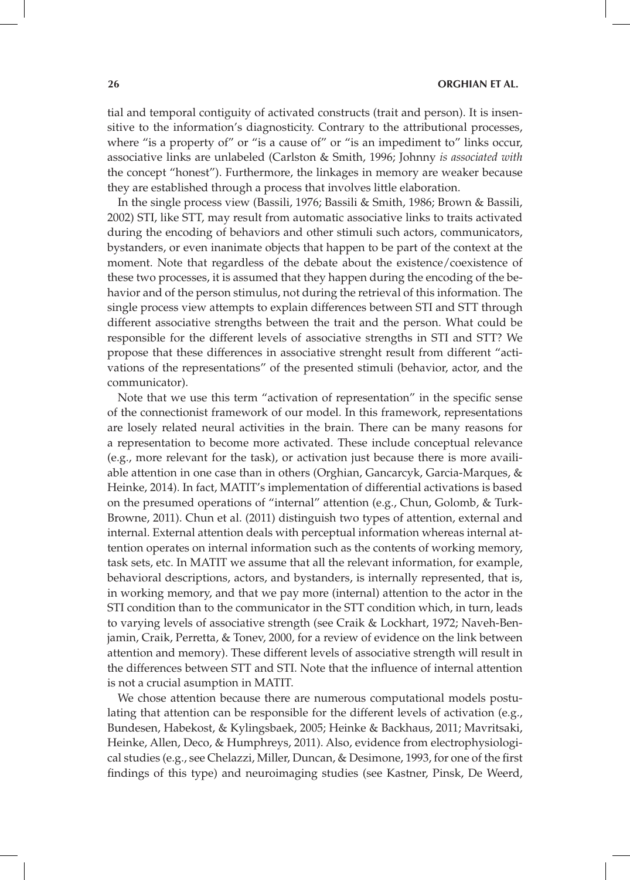tial and temporal contiguity of activated constructs (trait and person). It is insensitive to the information's diagnosticity. Contrary to the attributional processes, where "is a property of" or "is a cause of" or "is an impediment to" links occur, associative links are unlabeled (Carlston & Smith, 1996; Johnny *is associated with*  the concept "honest"). Furthermore, the linkages in memory are weaker because they are established through a process that involves little elaboration.

In the single process view (Bassili, 1976; Bassili & Smith, 1986; Brown & Bassili, 2002) STI, like STT, may result from automatic associative links to traits activated during the encoding of behaviors and other stimuli such actors, communicators, bystanders, or even inanimate objects that happen to be part of the context at the moment. Note that regardless of the debate about the existence/coexistence of these two processes, it is assumed that they happen during the encoding of the behavior and of the person stimulus, not during the retrieval of this information. The single process view attempts to explain differences between STI and STT through different associative strengths between the trait and the person. What could be responsible for the different levels of associative strengths in STI and STT? We propose that these differences in associative strenght result from different "activations of the representations" of the presented stimuli (behavior, actor, and the communicator).

Note that we use this term "activation of representation" in the specific sense of the connectionist framework of our model. In this framework, representations are losely related neural activities in the brain. There can be many reasons for a representation to become more activated. These include conceptual relevance (e.g., more relevant for the task), or activation just because there is more availiable attention in one case than in others (Orghian, Gancarcyk, Garcia-Marques, & Heinke, 2014). In fact, MATIT's implementation of differential activations is based on the presumed operations of "internal" attention (e.g., Chun, Golomb, & Turk-Browne, 2011). Chun et al. (2011) distinguish two types of attention, external and internal. External attention deals with perceptual information whereas internal attention operates on internal information such as the contents of working memory, task sets, etc. In MATIT we assume that all the relevant information, for example, behavioral descriptions, actors, and bystanders, is internally represented, that is, in working memory, and that we pay more (internal) attention to the actor in the STI condition than to the communicator in the STT condition which, in turn, leads to varying levels of associative strength (see Craik & Lockhart, 1972; Naveh-Benjamin, Craik, Perretta, & Tonev, 2000, for a review of evidence on the link between attention and memory). These different levels of associative strength will result in the differences between STT and STI. Note that the influence of internal attention is not a crucial asumption in MATIT.

We chose attention because there are numerous computational models postulating that attention can be responsible for the different levels of activation (e.g., Bundesen, Habekost, & Kylingsbaek, 2005; Heinke & Backhaus, 2011; Mavritsaki, Heinke, Allen, Deco, & Humphreys, 2011). Also, evidence from electrophysiological studies (e.g., see Chelazzi, Miller, Duncan, & Desimone, 1993, for one of the first findings of this type) and neuroimaging studies (see Kastner, Pinsk, De Weerd,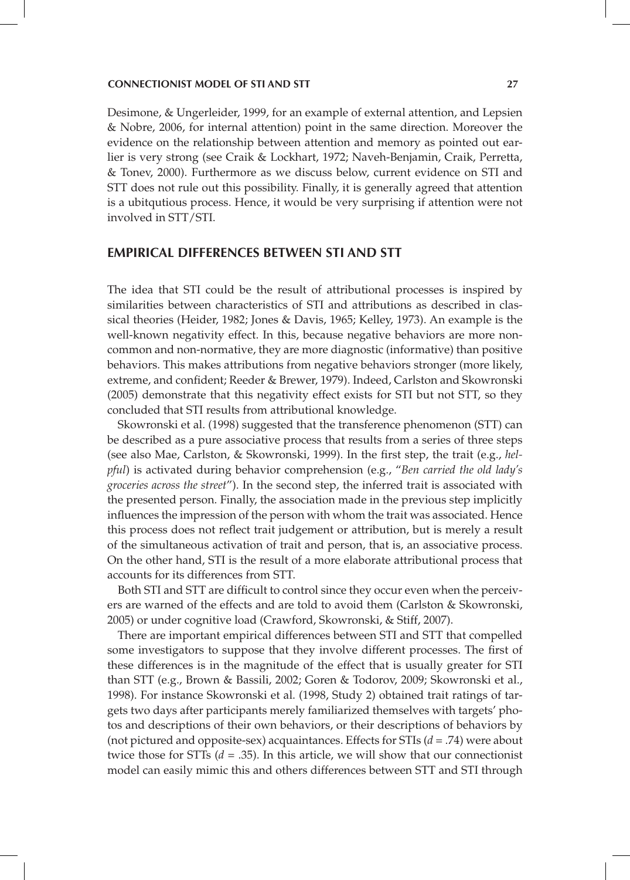Desimone, & Ungerleider, 1999, for an example of external attention, and Lepsien & Nobre, 2006, for internal attention) point in the same direction. Moreover the evidence on the relationship between attention and memory as pointed out earlier is very strong (see Craik & Lockhart, 1972; Naveh-Benjamin, Craik, Perretta, & Tonev, 2000). Furthermore as we discuss below, current evidence on STI and STT does not rule out this possibility. Finally, it is generally agreed that attention is a ubitqutious process. Hence, it would be very surprising if attention were not involved in STT/STI.

# **Empirical Differences Between STI and STT**

The idea that STI could be the result of attributional processes is inspired by similarities between characteristics of STI and attributions as described in classical theories (Heider, 1982; Jones & Davis, 1965; Kelley, 1973). An example is the well-known negativity effect. In this, because negative behaviors are more noncommon and non-normative, they are more diagnostic (informative) than positive behaviors. This makes attributions from negative behaviors stronger (more likely, extreme, and confident; Reeder & Brewer, 1979). Indeed, Carlston and Skowronski (2005) demonstrate that this negativity effect exists for STI but not STT, so they concluded that STI results from attributional knowledge.

Skowronski et al. (1998) suggested that the transference phenomenon (STT) can be described as a pure associative process that results from a series of three steps (see also Mae, Carlston, & Skowronski, 1999). In the first step, the trait (e.g., *helpful*) is activated during behavior comprehension (e.g., "*Ben carried the old lady's groceries across the street*"). In the second step, the inferred trait is associated with the presented person. Finally, the association made in the previous step implicitly influences the impression of the person with whom the trait was associated. Hence this process does not reflect trait judgement or attribution, but is merely a result of the simultaneous activation of trait and person, that is, an associative process. On the other hand, STI is the result of a more elaborate attributional process that accounts for its differences from STT.

Both STI and STT are difficult to control since they occur even when the perceivers are warned of the effects and are told to avoid them (Carlston & Skowronski, 2005) or under cognitive load (Crawford, Skowronski, & Stiff, 2007).

There are important empirical differences between STI and STT that compelled some investigators to suppose that they involve different processes. The first of these differences is in the magnitude of the effect that is usually greater for STI than STT (e.g., Brown & Bassili, 2002; Goren & Todorov, 2009; Skowronski et al., 1998). For instance Skowronski et al. (1998, Study 2) obtained trait ratings of targets two days after participants merely familiarized themselves with targets' photos and descriptions of their own behaviors, or their descriptions of behaviors by (not pictured and opposite-sex) acquaintances. Effects for STIs (*d* = .74) were about twice those for STTs  $(d = .35)$ . In this article, we will show that our connectionist model can easily mimic this and others differences between STT and STI through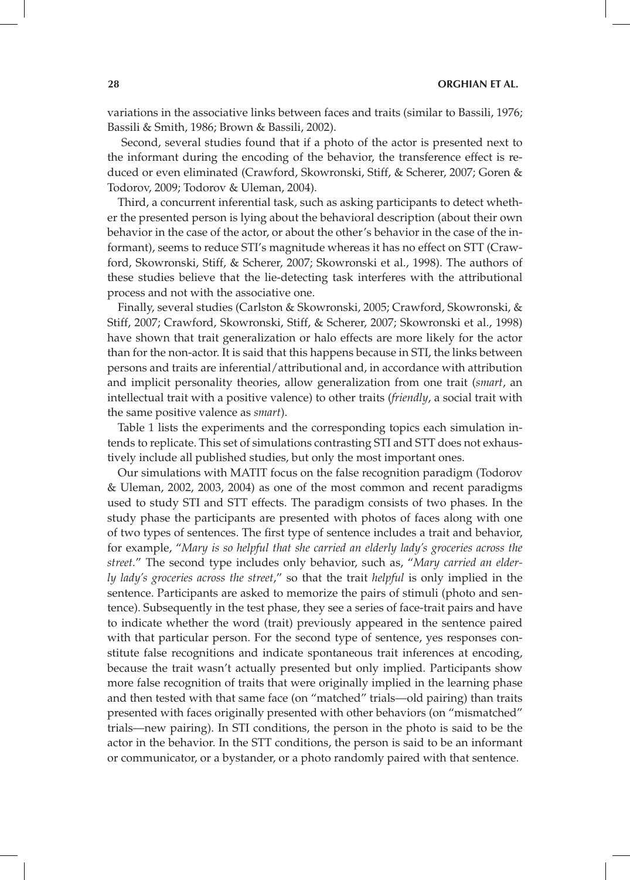variations in the associative links between faces and traits (similar to Bassili, 1976; Bassili & Smith, 1986; Brown & Bassili, 2002).

 Second, several studies found that if a photo of the actor is presented next to the informant during the encoding of the behavior, the transference effect is reduced or even eliminated (Crawford, Skowronski, Stiff, & Scherer, 2007; Goren & Todorov, 2009; Todorov & Uleman, 2004).

Third, a concurrent inferential task, such as asking participants to detect whether the presented person is lying about the behavioral description (about their own behavior in the case of the actor, or about the other's behavior in the case of the informant), seems to reduce STI's magnitude whereas it has no effect on STT (Crawford, Skowronski, Stiff, & Scherer, 2007; Skowronski et al., 1998). The authors of these studies believe that the lie-detecting task interferes with the attributional process and not with the associative one.

Finally, several studies (Carlston & Skowronski, 2005; Crawford, Skowronski, & Stiff, 2007; Crawford, Skowronski, Stiff, & Scherer, 2007; Skowronski et al., 1998) have shown that trait generalization or halo effects are more likely for the actor than for the non-actor. It is said that this happens because in STI, the links between persons and traits are inferential/attributional and, in accordance with attribution and implicit personality theories, allow generalization from one trait (*smart*, an intellectual trait with a positive valence) to other traits (*friendly*, a social trait with the same positive valence as *smart*).

Table 1 lists the experiments and the corresponding topics each simulation intends to replicate. This set of simulations contrasting STI and STT does not exhaustively include all published studies, but only the most important ones.

Our simulations with MATIT focus on the false recognition paradigm (Todorov & Uleman, 2002, 2003, 2004) as one of the most common and recent paradigms used to study STI and STT effects. The paradigm consists of two phases. In the study phase the participants are presented with photos of faces along with one of two types of sentences. The first type of sentence includes a trait and behavior, for example, "*Mary is so helpful that she carried an elderly lady's groceries across the street.*" The second type includes only behavior, such as, "*Mary carried an elderly lady's groceries across the street*," so that the trait *helpful* is only implied in the sentence. Participants are asked to memorize the pairs of stimuli (photo and sentence). Subsequently in the test phase, they see a series of face-trait pairs and have to indicate whether the word (trait) previously appeared in the sentence paired with that particular person. For the second type of sentence, yes responses constitute false recognitions and indicate spontaneous trait inferences at encoding, because the trait wasn't actually presented but only implied. Participants show more false recognition of traits that were originally implied in the learning phase and then tested with that same face (on "matched" trials—old pairing) than traits presented with faces originally presented with other behaviors (on "mismatched" trials—new pairing). In STI conditions, the person in the photo is said to be the actor in the behavior. In the STT conditions, the person is said to be an informant or communicator, or a bystander, or a photo randomly paired with that sentence.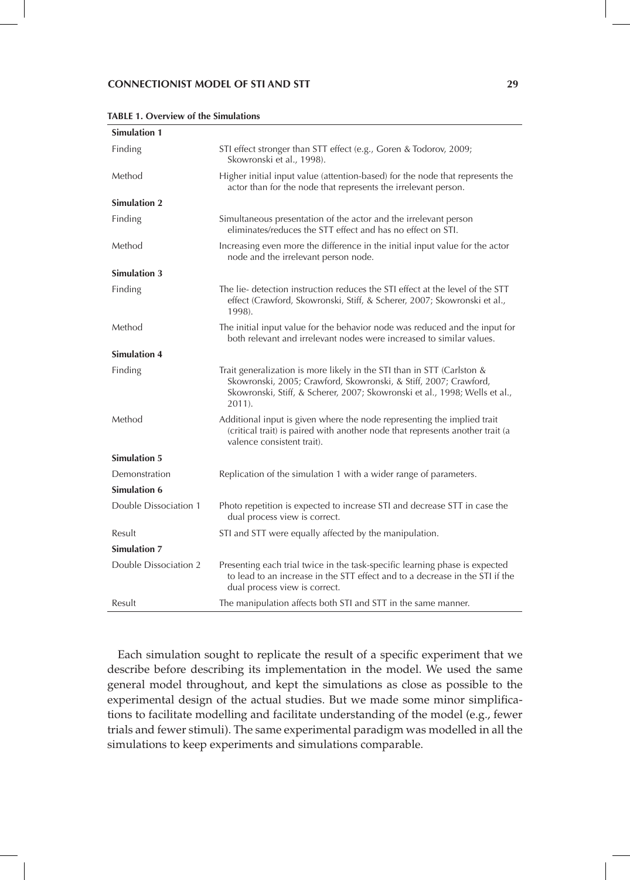| <b>Simulation 1</b>   |                                                                                                                                                                                                                                    |
|-----------------------|------------------------------------------------------------------------------------------------------------------------------------------------------------------------------------------------------------------------------------|
| Finding               | STI effect stronger than STT effect (e.g., Goren & Todorov, 2009;<br>Skowronski et al., 1998).                                                                                                                                     |
| Method                | Higher initial input value (attention-based) for the node that represents the<br>actor than for the node that represents the irrelevant person.                                                                                    |
| <b>Simulation 2</b>   |                                                                                                                                                                                                                                    |
| Finding               | Simultaneous presentation of the actor and the irrelevant person<br>eliminates/reduces the STT effect and has no effect on STL                                                                                                     |
| Method                | Increasing even more the difference in the initial input value for the actor<br>node and the irrelevant person node.                                                                                                               |
| <b>Simulation 3</b>   |                                                                                                                                                                                                                                    |
| Finding               | The lie- detection instruction reduces the STI effect at the level of the STT<br>effect (Crawford, Skowronski, Stiff, & Scherer, 2007; Skowronski et al.,<br>1998).                                                                |
| Method                | The initial input value for the behavior node was reduced and the input for<br>both relevant and irrelevant nodes were increased to similar values.                                                                                |
| <b>Simulation 4</b>   |                                                                                                                                                                                                                                    |
| Finding               | Trait generalization is more likely in the STI than in STT (Carlston &<br>Skowronski, 2005; Crawford, Skowronski, & Stiff, 2007; Crawford,<br>Skowronski, Stiff, & Scherer, 2007; Skowronski et al., 1998; Wells et al.,<br>2011). |
| Method                | Additional input is given where the node representing the implied trait<br>(critical trait) is paired with another node that represents another trait (a<br>valence consistent trait).                                             |
| <b>Simulation 5</b>   |                                                                                                                                                                                                                                    |
| Demonstration         | Replication of the simulation 1 with a wider range of parameters.                                                                                                                                                                  |
| <b>Simulation 6</b>   |                                                                                                                                                                                                                                    |
| Double Dissociation 1 | Photo repetition is expected to increase STI and decrease STT in case the<br>dual process view is correct.                                                                                                                         |
| Result                | STI and STT were equally affected by the manipulation.                                                                                                                                                                             |
| <b>Simulation 7</b>   |                                                                                                                                                                                                                                    |
| Double Dissociation 2 | Presenting each trial twice in the task-specific learning phase is expected<br>to lead to an increase in the STT effect and to a decrease in the STI if the<br>dual process view is correct.                                       |
| Result                | The manipulation affects both STI and STT in the same manner.                                                                                                                                                                      |

**Table 1. Overview of the Simulations**

Each simulation sought to replicate the result of a specific experiment that we describe before describing its implementation in the model. We used the same general model throughout, and kept the simulations as close as possible to the experimental design of the actual studies. But we made some minor simplifications to facilitate modelling and facilitate understanding of the model (e.g., fewer trials and fewer stimuli). The same experimental paradigm was modelled in all the simulations to keep experiments and simulations comparable.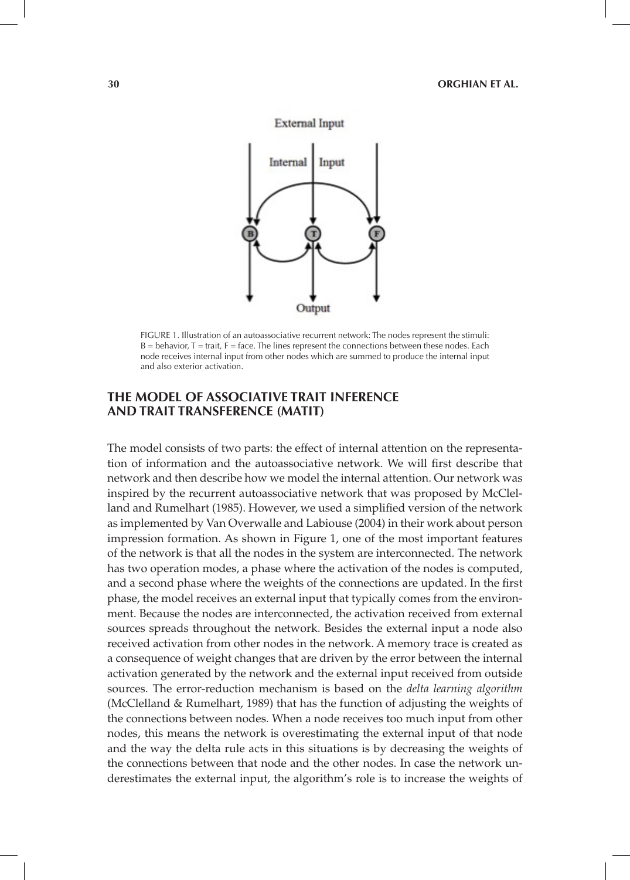

FIGURE 1. Illustration of an autoassociative recurrent network: The nodes represent the stimuli:  $B =$  behavior,  $T =$  trait,  $F =$  face. The lines represent the connections between these nodes. Each node receives internal input from other nodes which are summed to produce the internal input and also exterior activation.

# **The Model of Associative Trait Inference and Trait Transference (MATIT)**

The model consists of two parts: the effect of internal attention on the representation of information and the autoassociative network. We will first describe that network and then describe how we model the internal attention. Our network was inspired by the recurrent autoassociative network that was proposed by McClelland and Rumelhart (1985). However, we used a simplified version of the network as implemented by Van Overwalle and Labiouse (2004) in their work about person impression formation. As shown in Figure 1, one of the most important features of the network is that all the nodes in the system are interconnected. The network has two operation modes, a phase where the activation of the nodes is computed, and a second phase where the weights of the connections are updated. In the first phase, the model receives an external input that typically comes from the environment. Because the nodes are interconnected, the activation received from external sources spreads throughout the network. Besides the external input a node also received activation from other nodes in the network. A memory trace is created as a consequence of weight changes that are driven by the error between the internal activation generated by the network and the external input received from outside sources. The error-reduction mechanism is based on the *delta learning algorithm* (McClelland & Rumelhart, 1989) that has the function of adjusting the weights of the connections between nodes. When a node receives too much input from other nodes, this means the network is overestimating the external input of that node and the way the delta rule acts in this situations is by decreasing the weights of the connections between that node and the other nodes. In case the network underestimates the external input, the algorithm's role is to increase the weights of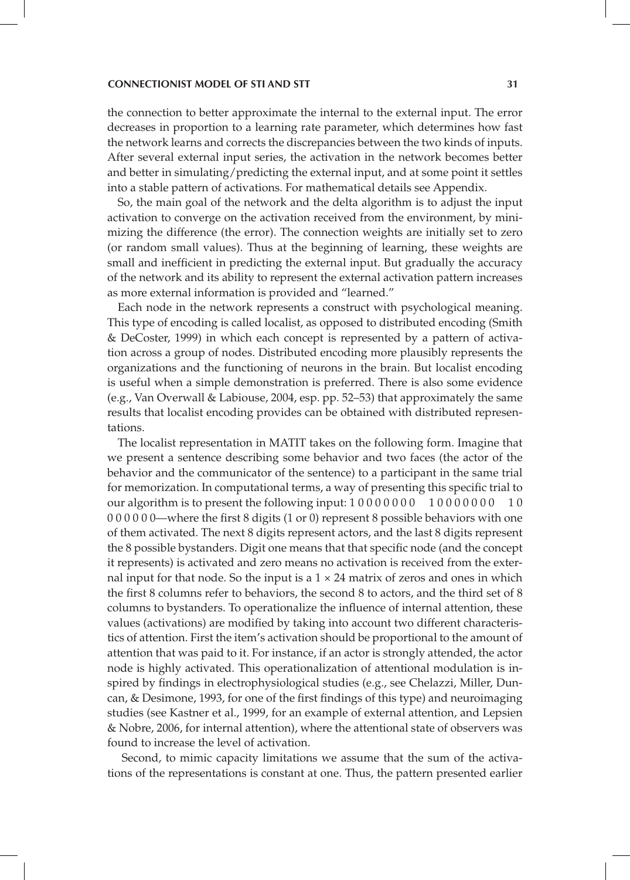the connection to better approximate the internal to the external input. The error decreases in proportion to a learning rate parameter, which determines how fast the network learns and corrects the discrepancies between the two kinds of inputs. After several external input series, the activation in the network becomes better and better in simulating/predicting the external input, and at some point it settles into a stable pattern of activations. For mathematical details see Appendix.

So, the main goal of the network and the delta algorithm is to adjust the input activation to converge on the activation received from the environment, by minimizing the difference (the error). The connection weights are initially set to zero (or random small values). Thus at the beginning of learning, these weights are small and inefficient in predicting the external input. But gradually the accuracy of the network and its ability to represent the external activation pattern increases as more external information is provided and "learned."

Each node in the network represents a construct with psychological meaning. This type of encoding is called localist, as opposed to distributed encoding (Smith & DeCoster, 1999) in which each concept is represented by a pattern of activation across a group of nodes. Distributed encoding more plausibly represents the organizations and the functioning of neurons in the brain. But localist encoding is useful when a simple demonstration is preferred. There is also some evidence (e.g., Van Overwall & Labiouse, 2004, esp. pp. 52–53) that approximately the same results that localist encoding provides can be obtained with distributed representations.

The localist representation in MATIT takes on the following form. Imagine that we present a sentence describing some behavior and two faces (the actor of the behavior and the communicator of the sentence) to a participant in the same trial for memorization. In computational terms, a way of presenting this specific trial to our algorithm is to present the following input:  $10000000 1000000 10$ 0 0 0 0 0 0—where the first 8 digits (1 or 0) represent 8 possible behaviors with one of them activated. The next 8 digits represent actors, and the last 8 digits represent the 8 possible bystanders. Digit one means that that specific node (and the concept it represents) is activated and zero means no activation is received from the external input for that node. So the input is a  $1 \times 24$  matrix of zeros and ones in which the first 8 columns refer to behaviors, the second 8 to actors, and the third set of 8 columns to bystanders. To operationalize the influence of internal attention, these values (activations) are modified by taking into account two different characteristics of attention. First the item's activation should be proportional to the amount of attention that was paid to it. For instance, if an actor is strongly attended, the actor node is highly activated. This operationalization of attentional modulation is inspired by findings in electrophysiological studies (e.g., see Chelazzi, Miller, Duncan, & Desimone, 1993, for one of the first findings of this type) and neuroimaging studies (see Kastner et al., 1999, for an example of external attention, and Lepsien & Nobre, 2006, for internal attention), where the attentional state of observers was found to increase the level of activation.

 Second, to mimic capacity limitations we assume that the sum of the activations of the representations is constant at one. Thus, the pattern presented earlier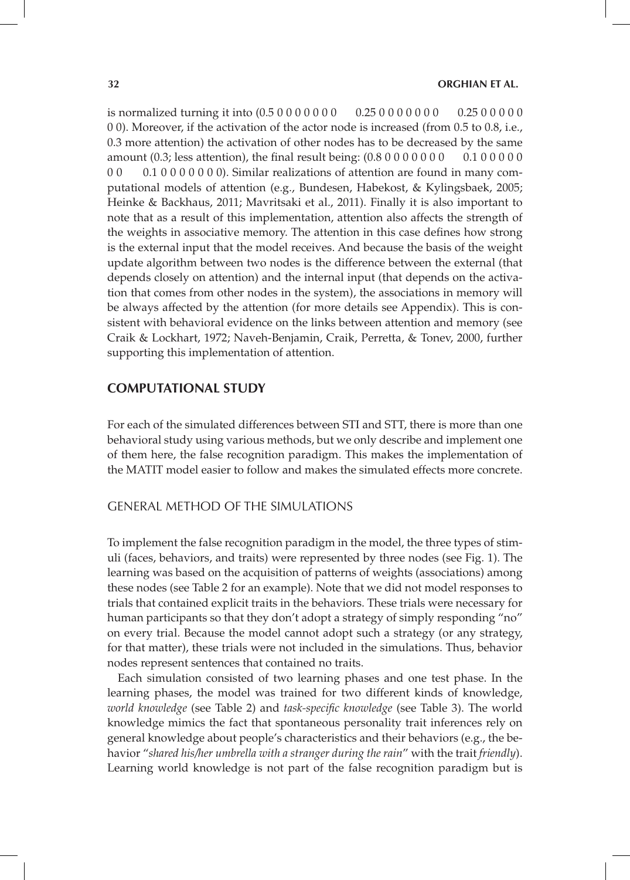is normalized turning it into (0.5 0 0 0 0 0 0 0 0.25 0 0 0 0 0 0 0 0.25 0 0 0 0 0 0 0). Moreover, if the activation of the actor node is increased (from 0.5 to 0.8, i.e., 0.3 more attention) the activation of other nodes has to be decreased by the same amount (0.3; less attention), the final result being: (0.8 0 0 0 0 0 0 0 0.1 0 0 0 0 0 0 0 0 0 0 0 0 0 0 0 0 0). Similar realizations of attention are found in many computational models of attention (e.g., Bundesen, Habekost, & Kylingsbaek, 2005; Heinke & Backhaus, 2011; Mavritsaki et al., 2011). Finally it is also important to note that as a result of this implementation, attention also affects the strength of the weights in associative memory. The attention in this case defines how strong is the external input that the model receives. And because the basis of the weight update algorithm between two nodes is the difference between the external (that depends closely on attention) and the internal input (that depends on the activation that comes from other nodes in the system), the associations in memory will be always affected by the attention (for more details see Appendix). This is consistent with behavioral evidence on the links between attention and memory (see Craik & Lockhart, 1972; Naveh-Benjamin, Craik, Perretta, & Tonev, 2000, further supporting this implementation of attention.

# **Computational Study**

For each of the simulated differences between STI and STT, there is more than one behavioral study using various methods, but we only describe and implement one of them here, the false recognition paradigm. This makes the implementation of the MATIT model easier to follow and makes the simulated effects more concrete.

### General Method of the Simulations

To implement the false recognition paradigm in the model, the three types of stimuli (faces, behaviors, and traits) were represented by three nodes (see Fig. 1). The learning was based on the acquisition of patterns of weights (associations) among these nodes (see Table 2 for an example). Note that we did not model responses to trials that contained explicit traits in the behaviors. These trials were necessary for human participants so that they don't adopt a strategy of simply responding "no" on every trial. Because the model cannot adopt such a strategy (or any strategy, for that matter), these trials were not included in the simulations. Thus, behavior nodes represent sentences that contained no traits.

Each simulation consisted of two learning phases and one test phase. In the learning phases, the model was trained for two different kinds of knowledge, *world knowledge* (see Table 2) and *task-specific knowledge* (see Table 3). The world knowledge mimics the fact that spontaneous personality trait inferences rely on general knowledge about people's characteristics and their behaviors (e.g., the behavior "*shared his/her umbrella with a stranger during the rain*" with the trait *friendly*). Learning world knowledge is not part of the false recognition paradigm but is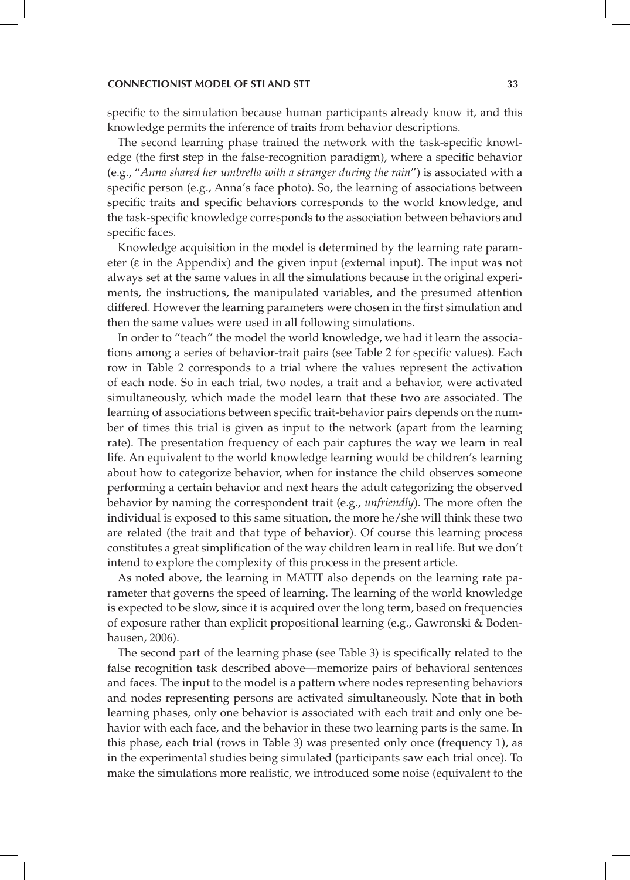specific to the simulation because human participants already know it, and this knowledge permits the inference of traits from behavior descriptions.

The second learning phase trained the network with the task-specific knowledge (the first step in the false-recognition paradigm), where a specific behavior (e.g., "*Anna shared her umbrella with a stranger during the rain*") is associated with a specific person (e.g., Anna's face photo). So, the learning of associations between specific traits and specific behaviors corresponds to the world knowledge, and the task-specific knowledge corresponds to the association between behaviors and specific faces.

Knowledge acquisition in the model is determined by the learning rate parameter (ε in the Appendix) and the given input (external input). The input was not always set at the same values in all the simulations because in the original experiments, the instructions, the manipulated variables, and the presumed attention differed. However the learning parameters were chosen in the first simulation and then the same values were used in all following simulations.

In order to "teach" the model the world knowledge, we had it learn the associations among a series of behavior-trait pairs (see Table 2 for specific values). Each row in Table 2 corresponds to a trial where the values represent the activation of each node. So in each trial, two nodes, a trait and a behavior, were activated simultaneously, which made the model learn that these two are associated. The learning of associations between specific trait-behavior pairs depends on the number of times this trial is given as input to the network (apart from the learning rate). The presentation frequency of each pair captures the way we learn in real life. An equivalent to the world knowledge learning would be children's learning about how to categorize behavior, when for instance the child observes someone performing a certain behavior and next hears the adult categorizing the observed behavior by naming the correspondent trait (e.g., *unfriendly*). The more often the individual is exposed to this same situation, the more he/she will think these two are related (the trait and that type of behavior). Of course this learning process constitutes a great simplification of the way children learn in real life. But we don't intend to explore the complexity of this process in the present article.

As noted above, the learning in MATIT also depends on the learning rate parameter that governs the speed of learning. The learning of the world knowledge is expected to be slow, since it is acquired over the long term, based on frequencies of exposure rather than explicit propositional learning (e.g., Gawronski & Bodenhausen, 2006).

The second part of the learning phase (see Table 3) is specifically related to the false recognition task described above—memorize pairs of behavioral sentences and faces. The input to the model is a pattern where nodes representing behaviors and nodes representing persons are activated simultaneously. Note that in both learning phases, only one behavior is associated with each trait and only one behavior with each face, and the behavior in these two learning parts is the same. In this phase, each trial (rows in Table 3) was presented only once (frequency 1), as in the experimental studies being simulated (participants saw each trial once). To make the simulations more realistic, we introduced some noise (equivalent to the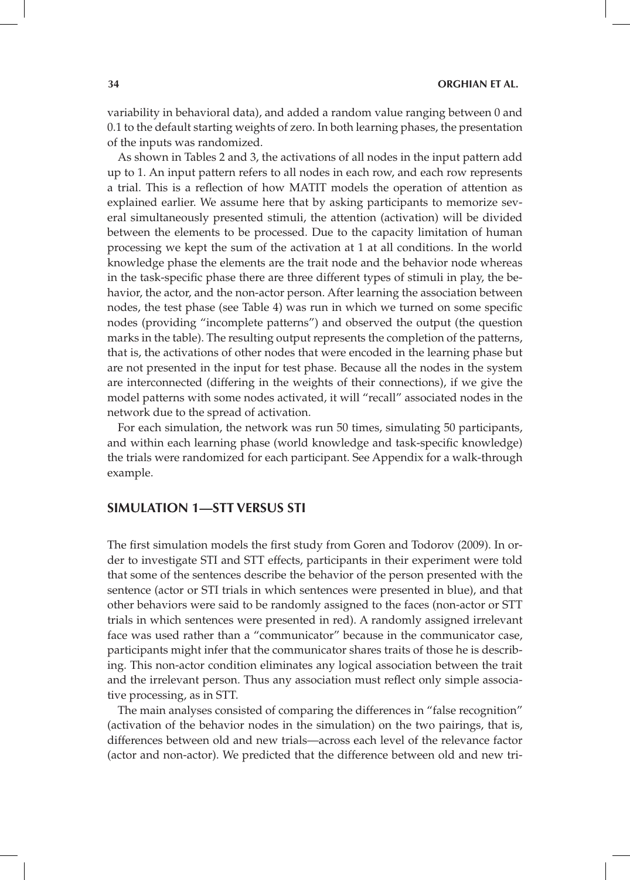**34 ORGHIAN ET AL.**

variability in behavioral data), and added a random value ranging between 0 and 0.1 to the default starting weights of zero. In both learning phases, the presentation of the inputs was randomized.

As shown in Tables 2 and 3, the activations of all nodes in the input pattern add up to 1. An input pattern refers to all nodes in each row, and each row represents a trial. This is a reflection of how MATIT models the operation of attention as explained earlier. We assume here that by asking participants to memorize several simultaneously presented stimuli, the attention (activation) will be divided between the elements to be processed. Due to the capacity limitation of human processing we kept the sum of the activation at 1 at all conditions. In the world knowledge phase the elements are the trait node and the behavior node whereas in the task-specific phase there are three different types of stimuli in play, the behavior, the actor, and the non-actor person. After learning the association between nodes, the test phase (see Table 4) was run in which we turned on some specific nodes (providing "incomplete patterns") and observed the output (the question marks in the table). The resulting output represents the completion of the patterns, that is, the activations of other nodes that were encoded in the learning phase but are not presented in the input for test phase. Because all the nodes in the system are interconnected (differing in the weights of their connections), if we give the model patterns with some nodes activated, it will "recall" associated nodes in the network due to the spread of activation.

For each simulation, the network was run 50 times, simulating 50 participants, and within each learning phase (world knowledge and task-specific knowledge) the trials were randomized for each participant. See Appendix for a walk-through example.

### **Simulation 1—STT versus STI**

The first simulation models the first study from Goren and Todorov (2009). In order to investigate STI and STT effects, participants in their experiment were told that some of the sentences describe the behavior of the person presented with the sentence (actor or STI trials in which sentences were presented in blue), and that other behaviors were said to be randomly assigned to the faces (non-actor or STT trials in which sentences were presented in red). A randomly assigned irrelevant face was used rather than a "communicator" because in the communicator case, participants might infer that the communicator shares traits of those he is describing. This non-actor condition eliminates any logical association between the trait and the irrelevant person. Thus any association must reflect only simple associative processing, as in STT.

The main analyses consisted of comparing the differences in "false recognition" (activation of the behavior nodes in the simulation) on the two pairings, that is, differences between old and new trials—across each level of the relevance factor (actor and non-actor). We predicted that the difference between old and new tri-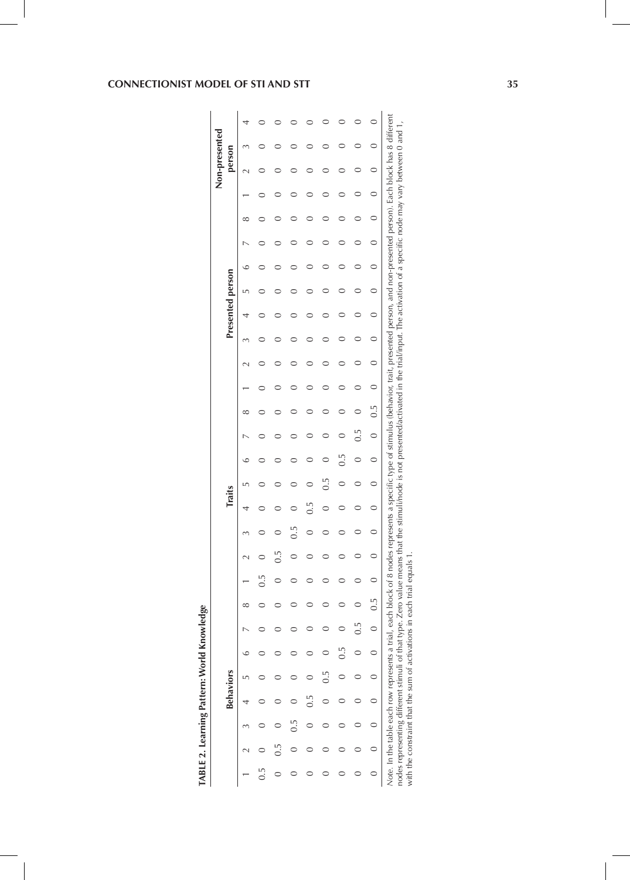|                                                                                                      |         |                |                  |                |               |                  |                        |         |         |                                                                                                                                                                                                                                                                                                                                                             |         |         |         |     |  |  |                  |  |         | Non-presented |  |
|------------------------------------------------------------------------------------------------------|---------|----------------|------------------|----------------|---------------|------------------|------------------------|---------|---------|-------------------------------------------------------------------------------------------------------------------------------------------------------------------------------------------------------------------------------------------------------------------------------------------------------------------------------------------------------------|---------|---------|---------|-----|--|--|------------------|--|---------|---------------|--|
|                                                                                                      |         |                | <b>Behaviors</b> |                |               |                  |                        |         |         | <b>Traits</b>                                                                                                                                                                                                                                                                                                                                               |         |         |         |     |  |  | Presented person |  |         | person        |  |
|                                                                                                      |         |                |                  |                |               |                  |                        |         |         |                                                                                                                                                                                                                                                                                                                                                             |         |         |         |     |  |  |                  |  |         |               |  |
|                                                                                                      |         |                |                  |                |               |                  |                        |         |         |                                                                                                                                                                                                                                                                                                                                                             |         |         |         |     |  |  |                  |  |         |               |  |
|                                                                                                      |         |                |                  |                |               |                  |                        |         |         |                                                                                                                                                                                                                                                                                                                                                             |         |         |         |     |  |  |                  |  |         |               |  |
|                                                                                                      |         | $\overline{0}$ |                  |                |               |                  |                        |         |         |                                                                                                                                                                                                                                                                                                                                                             |         |         |         |     |  |  |                  |  |         |               |  |
|                                                                                                      |         |                | 5.0              |                |               | C                |                        |         |         | 5.0                                                                                                                                                                                                                                                                                                                                                         |         |         |         |     |  |  |                  |  |         |               |  |
|                                                                                                      |         |                |                  | $\overline{0}$ |               |                  |                        |         |         |                                                                                                                                                                                                                                                                                                                                                             | 5.0     |         |         |     |  |  |                  |  |         |               |  |
|                                                                                                      |         |                |                  |                | $\frac{5}{2}$ |                  |                        |         |         |                                                                                                                                                                                                                                                                                                                                                             |         | 5.(     |         |     |  |  |                  |  |         |               |  |
|                                                                                                      | C       | ⊂              | 0                |                |               | $0.\overline{5}$ |                        |         |         |                                                                                                                                                                                                                                                                                                                                                             |         |         |         |     |  |  |                  |  |         |               |  |
|                                                                                                      | $\circ$ | $\circ$        | $\circ$          |                |               | $\circ$          | $\ddot{0}$             | $\circ$ | $\circ$ |                                                                                                                                                                                                                                                                                                                                                             | $\circ$ | $\circ$ | $\circ$ | 0.5 |  |  |                  |  | $\circ$ | 0             |  |
| with the constraint that the sum of activations<br>Note. In the table each row represents a trial, o |         |                |                  |                |               |                  | in each trial equals 1 |         |         | each block of 8 nodes represents a specific type of stimulus (behavior, trait, presented person, and non-presented person). Each block has 8 different<br>nodes representing different stimuli of that type. Zero value means that the stimuli/node is not presented/activated in the trial/input. The activation of a specific node may vary between 0 and |         |         |         |     |  |  |                  |  |         |               |  |

| ļ                        |  |
|--------------------------|--|
|                          |  |
|                          |  |
| $\ddot{\phantom{a}}$     |  |
| :<br>֡֡֡֡֡֡֡֡֡<br>I<br>i |  |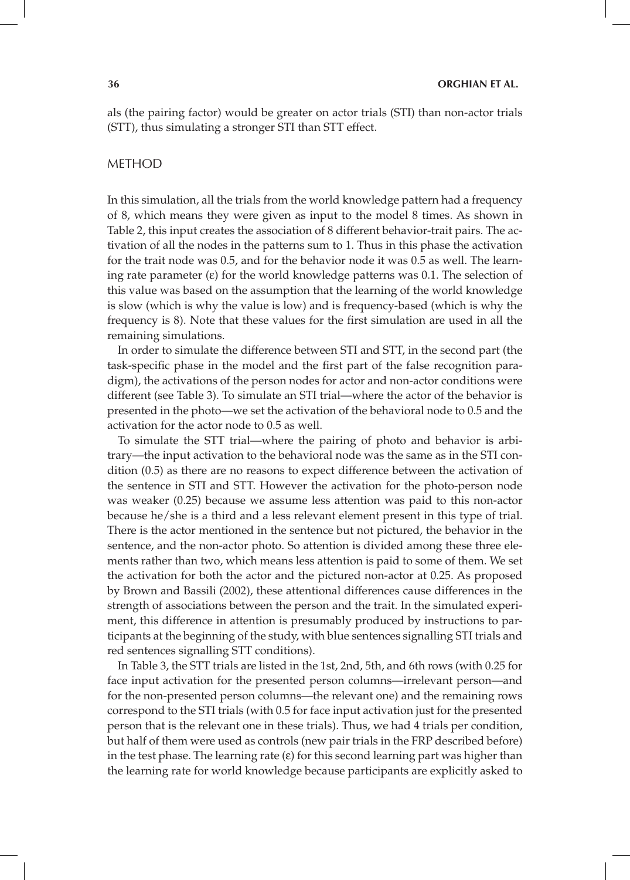als (the pairing factor) would be greater on actor trials (STI) than non-actor trials (STT), thus simulating a stronger STI than STT effect.

### **METHOD**

In this simulation, all the trials from the world knowledge pattern had a frequency of 8, which means they were given as input to the model 8 times. As shown in Table 2, this input creates the association of 8 different behavior-trait pairs. The activation of all the nodes in the patterns sum to 1. Thus in this phase the activation for the trait node was 0.5, and for the behavior node it was 0.5 as well. The learning rate parameter  $(\varepsilon)$  for the world knowledge patterns was 0.1. The selection of this value was based on the assumption that the learning of the world knowledge is slow (which is why the value is low) and is frequency-based (which is why the frequency is 8). Note that these values for the first simulation are used in all the remaining simulations.

In order to simulate the difference between STI and STT, in the second part (the task-specific phase in the model and the first part of the false recognition paradigm), the activations of the person nodes for actor and non-actor conditions were different (see Table 3). To simulate an STI trial—where the actor of the behavior is presented in the photo—we set the activation of the behavioral node to 0.5 and the activation for the actor node to 0.5 as well.

To simulate the STT trial—where the pairing of photo and behavior is arbitrary—the input activation to the behavioral node was the same as in the STI condition (0.5) as there are no reasons to expect difference between the activation of the sentence in STI and STT. However the activation for the photo-person node was weaker (0.25) because we assume less attention was paid to this non-actor because he/she is a third and a less relevant element present in this type of trial. There is the actor mentioned in the sentence but not pictured, the behavior in the sentence, and the non-actor photo. So attention is divided among these three elements rather than two, which means less attention is paid to some of them. We set the activation for both the actor and the pictured non-actor at 0.25. As proposed by Brown and Bassili (2002), these attentional differences cause differences in the strength of associations between the person and the trait. In the simulated experiment, this difference in attention is presumably produced by instructions to participants at the beginning of the study, with blue sentences signalling STI trials and red sentences signalling STT conditions).

In Table 3, the STT trials are listed in the 1st, 2nd, 5th, and 6th rows (with 0.25 for face input activation for the presented person columns—irrelevant person—and for the non-presented person columns—the relevant one) and the remaining rows correspond to the STI trials (with 0.5 for face input activation just for the presented person that is the relevant one in these trials). Thus, we had 4 trials per condition, but half of them were used as controls (new pair trials in the FRP described before) in the test phase. The learning rate  $(\varepsilon)$  for this second learning part was higher than the learning rate for world knowledge because participants are explicitly asked to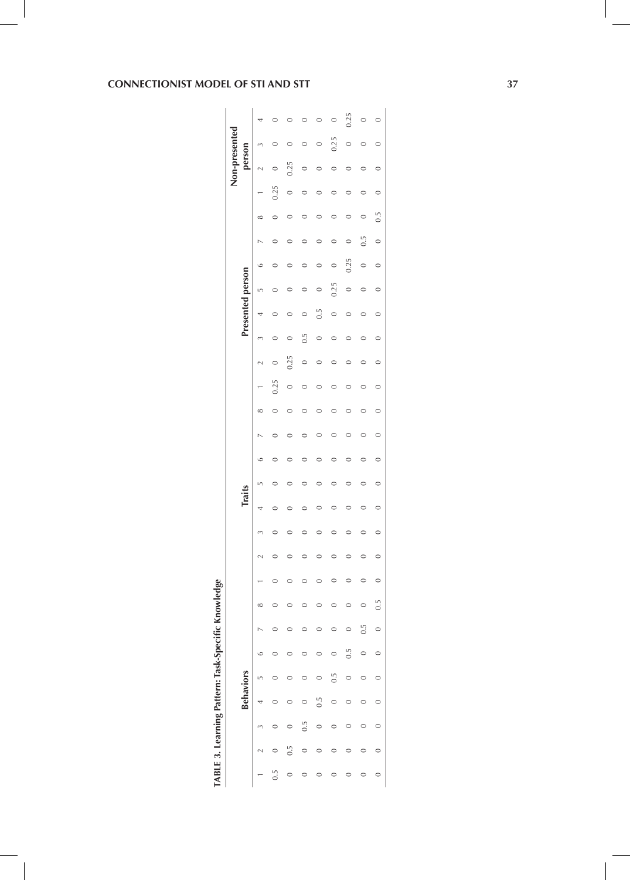| TABLE 3. Learning Pattern: Task-Specific |            |            |         |                  |           |         | Know           | eage    |         |         |         |         |         |         |          |         |         |         |                  |         |         |         |                |         |               |         |         |
|------------------------------------------|------------|------------|---------|------------------|-----------|---------|----------------|---------|---------|---------|---------|---------|---------|---------|----------|---------|---------|---------|------------------|---------|---------|---------|----------------|---------|---------------|---------|---------|
|                                          |            |            |         |                  |           |         |                |         |         |         |         |         |         |         |          |         |         |         |                  |         |         |         |                |         | Non-presented |         |         |
|                                          |            |            |         | <b>Behaviors</b> |           |         |                |         |         |         | Traits  |         |         |         |          |         |         |         | Presented person |         |         |         |                |         | person        |         |         |
|                                          | ¢<br>↘     | S          |         | 5                | ی         |         | $\infty$       |         | $\sim$  | 3       | 4       | LŊ      | ے       | N       | $\infty$ |         | $\sim$  | 3       |                  | S       | $\circ$ |         | $\infty$       |         | ¢             | $\sim$  |         |
| $\ddot{0}$                               | $\circ$    |            | $\circ$ |                  | c         |         |                | $\circ$ | $\circ$ | $\circ$ | $\circ$ |         | $\circ$ | $\circ$ | $\circ$  | 0.25    | $\circ$ | $\circ$ | $\circ$          | $\circ$ | $\circ$ | $\circ$ | $\circ$        | 0.25    | $\circ$       | $\circ$ |         |
|                                          | $\ddot{0}$ |            |         | C                | c         |         |                | $\circ$ | $\circ$ | $\circ$ | $\circ$ | 0       | $\circ$ | $\circ$ | 0        | 0       | 0.25    | $\circ$ | $\circ$          | $\circ$ | $\circ$ | $\circ$ | 0              | 0       | 1.25          | $\circ$ |         |
|                                          | $\circ$    | $\ddot{0}$ | C       | $\circ$          | $\subset$ |         | 0              | $\circ$ | $\circ$ | $\circ$ | $\circ$ | $\circ$ | $\circ$ | $\circ$ | $\circ$  | $\circ$ | $\circ$ | 0.5     | $\circ$          | $\circ$ | $\circ$ | $\circ$ | $\circ$        | $\circ$ | $\circ$       | $\circ$ |         |
| $\circ$                                  | $\circ$    | $\circ$    | 0.5     | $\circ$          | C         |         | 0              | $\circ$ | $\circ$ | $\circ$ | $\circ$ | $\circ$ | $\circ$ | $\circ$ | $\circ$  | $\circ$ | $\circ$ | $\circ$ | $\ddot{0}$       | $\circ$ | $\circ$ | $\circ$ | $\circ$        | $\circ$ | $\circ$       | $\circ$ | c       |
| $\circ$                                  | $\circ$    | $\circ$    | $\circ$ | 0.5              | c         | C       | $\circ$        | $\circ$ | $\circ$ | $\circ$ | $\circ$ | $\circ$ | $\circ$ | $\circ$ | $\circ$  | $\circ$ | $\circ$ | $\circ$ | $\circ$          | 0.25    | $\circ$ | $\circ$ | $\circ$        | $\circ$ | $\circ$       | 0.25    | c       |
| $\circ$                                  | 0          | 0          | 0       | $\circ$          | 0.5       |         | $\circ$        | $\circ$ | $\circ$ | $\circ$ | $\circ$ | $\circ$ | $\circ$ | $\circ$ | $\circ$  | $\circ$ | $\circ$ | $\circ$ | $\circ$          | $\circ$ | 0.25    | $\circ$ | $\circ$        | $\circ$ | 0             | $\circ$ | 0.25    |
| 0                                        | 0          | $\circ$    | 0       | $\circ$          | $\circ$   | 0.5     | ○              | $\circ$ | $\circ$ | $\circ$ | $\circ$ | $\circ$ | 0       | $\circ$ | $\circ$  | $\circ$ | $\circ$ | $\circ$ | $\circ$          | $\circ$ | $\circ$ | 0.5     | $\circ$        | $\circ$ | $\circ$       | $\circ$ |         |
| $\circ$                                  | $\circ$    | $\circ$    | $\circ$ | $\circ$          | $\circ$   | $\circ$ | $\overline{0}$ | $\circ$ | $\circ$ | $\circ$ | $\circ$ | $\circ$ | $\circ$ | $\circ$ | $\circ$  | $\circ$ | $\circ$ | $\circ$ | $\circ$          | $\circ$ | $\circ$ | $\circ$ | $\ddot{\circ}$ | $\circ$ | $\circ$       | $\circ$ | $\circ$ |
|                                          |            |            |         |                  |           |         |                |         |         |         |         |         |         |         |          |         |         |         |                  |         |         |         |                |         |               |         |         |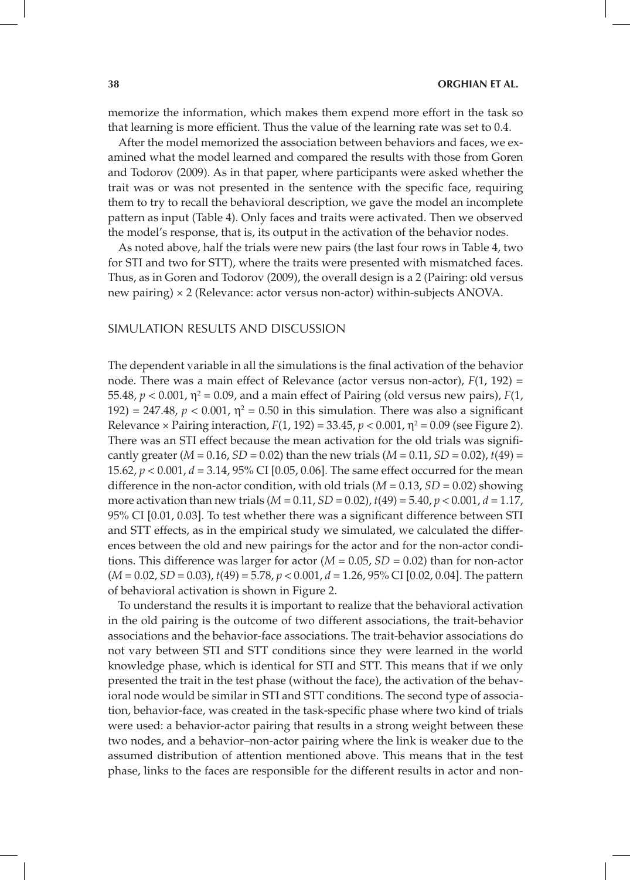memorize the information, which makes them expend more effort in the task so that learning is more efficient. Thus the value of the learning rate was set to 0.4.

After the model memorized the association between behaviors and faces, we examined what the model learned and compared the results with those from Goren and Todorov (2009). As in that paper, where participants were asked whether the trait was or was not presented in the sentence with the specific face, requiring them to try to recall the behavioral description, we gave the model an incomplete pattern as input (Table 4). Only faces and traits were activated. Then we observed the model's response, that is, its output in the activation of the behavior nodes.

As noted above, half the trials were new pairs (the last four rows in Table 4, two for STI and two for STT), where the traits were presented with mismatched faces. Thus, as in Goren and Todorov (2009), the overall design is a 2 (Pairing: old versus new pairing) × 2 (Relevance: actor versus non-actor) within-subjects ANOVA.

### Simulation Results and Discussion

The dependent variable in all the simulations is the final activation of the behavior node. There was a main effect of Relevance (actor versus non-actor), *F*(1, 192) = 55.48,  $p < 0.001$ ,  $\eta^2 = 0.09$ , and a main effect of Pairing (old versus new pairs),  $F(1)$ , 192) = 247.48,  $p < 0.001$ ,  $\eta^2 = 0.50$  in this simulation. There was also a significant Relevance  $\times$  Pairing interaction,  $F(1, 192) = 33.45$ ,  $p < 0.001$ ,  $\eta^2 = 0.09$  (see Figure 2). There was an STI effect because the mean activation for the old trials was significantly greater ( $M = 0.16$ ,  $SD = 0.02$ ) than the new trials ( $M = 0.11$ ,  $SD = 0.02$ ),  $t(49) =$ 15.62, *p* < 0.001, *d* = 3.14, 95% CI [0.05, 0.06]. The same effect occurred for the mean difference in the non-actor condition, with old trials  $(M = 0.13, SD = 0.02)$  showing more activation than new trials (*M* = 0.11, *SD* = 0.02), *t*(49) = 5.40, *p* < 0.001, *d* = 1.17, 95% CI [0.01, 0.03]. To test whether there was a significant difference between STI and STT effects, as in the empirical study we simulated, we calculated the differences between the old and new pairings for the actor and for the non-actor conditions. This difference was larger for actor (*M* = 0.05, *SD* = 0.02) than for non-actor (*M* = 0.02, *SD* = 0.03), *t*(49) = 5.78, *p* < 0.001, *d* = 1.26, 95% CI [0.02, 0.04]. The pattern of behavioral activation is shown in Figure 2.

To understand the results it is important to realize that the behavioral activation in the old pairing is the outcome of two different associations, the trait-behavior associations and the behavior-face associations. The trait-behavior associations do not vary between STI and STT conditions since they were learned in the world knowledge phase, which is identical for STI and STT. This means that if we only presented the trait in the test phase (without the face), the activation of the behavioral node would be similar in STI and STT conditions. The second type of association, behavior-face, was created in the task-specific phase where two kind of trials were used: a behavior-actor pairing that results in a strong weight between these two nodes, and a behavior–non-actor pairing where the link is weaker due to the assumed distribution of attention mentioned above. This means that in the test phase, links to the faces are responsible for the different results in actor and non-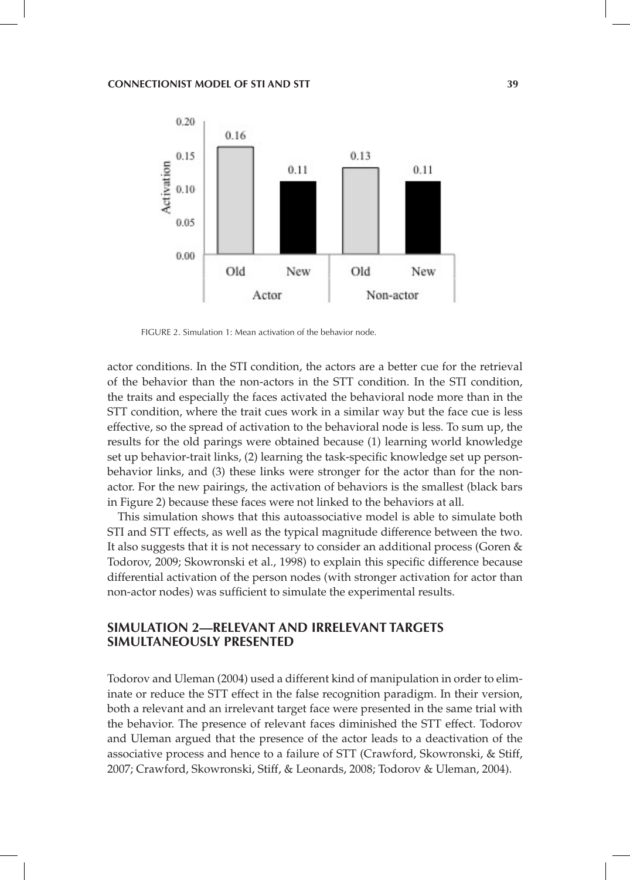

FIGURE 2. Simulation 1: Mean activation of the behavior node.

actor conditions. In the STI condition, the actors are a better cue for the retrieval of the behavior than the non-actors in the STT condition. In the STI condition, the traits and especially the faces activated the behavioral node more than in the STT condition, where the trait cues work in a similar way but the face cue is less effective, so the spread of activation to the behavioral node is less. To sum up, the results for the old parings were obtained because (1) learning world knowledge set up behavior-trait links, (2) learning the task-specific knowledge set up personbehavior links, and (3) these links were stronger for the actor than for the nonactor. For the new pairings, the activation of behaviors is the smallest (black bars in Figure 2) because these faces were not linked to the behaviors at all.

This simulation shows that this autoassociative model is able to simulate both STI and STT effects, as well as the typical magnitude difference between the two. It also suggests that it is not necessary to consider an additional process (Goren & Todorov, 2009; Skowronski et al., 1998) to explain this specific difference because differential activation of the person nodes (with stronger activation for actor than non-actor nodes) was sufficient to simulate the experimental results.

# **Simulation 2—Relevant and Irrelevant Targets simultaneously presented**

Todorov and Uleman (2004) used a different kind of manipulation in order to eliminate or reduce the STT effect in the false recognition paradigm. In their version, both a relevant and an irrelevant target face were presented in the same trial with the behavior. The presence of relevant faces diminished the STT effect. Todorov and Uleman argued that the presence of the actor leads to a deactivation of the associative process and hence to a failure of STT (Crawford, Skowronski, & Stiff, 2007; Crawford, Skowronski, Stiff, & Leonards, 2008; Todorov & Uleman, 2004).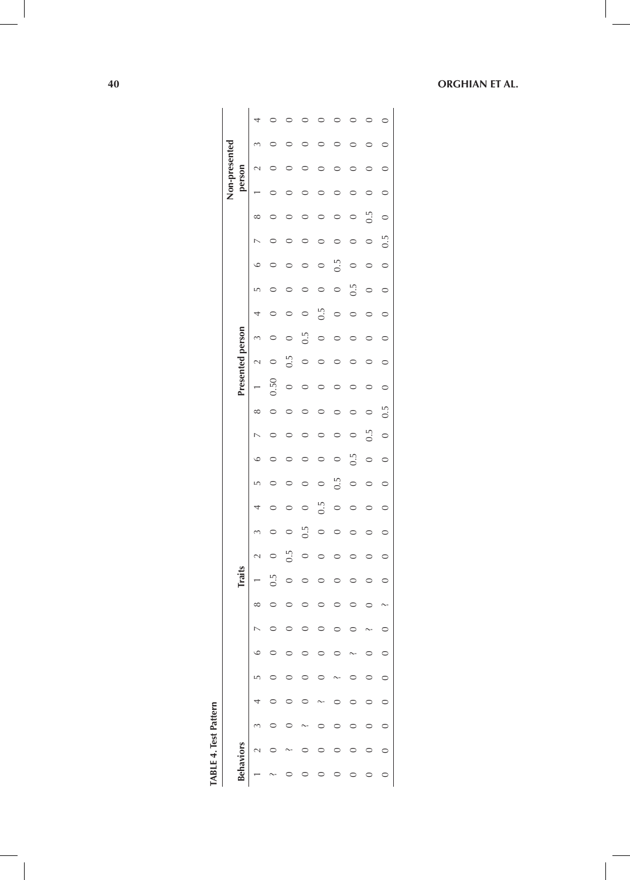| ı |
|---|
|   |
|   |
|   |
| L |

|                  | <b>ABLE 4. Test Pattern</b> |  |  |   |               |         |         |         |         |            |                  |                  |                  |         |                  |         |                  |         |         |         |        |               |         |   |
|------------------|-----------------------------|--|--|---|---------------|---------|---------|---------|---------|------------|------------------|------------------|------------------|---------|------------------|---------|------------------|---------|---------|---------|--------|---------------|---------|---|
| <b>Behaviors</b> |                             |  |  |   | <b>Traits</b> |         |         |         |         |            |                  |                  | Presented person |         |                  |         |                  |         |         |         | person | Non-presented |         |   |
|                  |                             |  |  | ∞ |               | $\sim$  | 3       | 4       | S       | $^{\circ}$ | N                | $\infty$         |                  | $\sim$  | 3                | 4       | S                | $\circ$ | N       | ∞       |        | ٢             | 3       |   |
|                  |                             |  |  |   | 0.5           | 0       | $\circ$ | $\circ$ | 0       | 0          | $\circ$          | $\circ$          | 0.50             |         | $\circ$          | $\circ$ | 0                | 0       | $\circ$ | $\circ$ |        |               | 0       |   |
|                  |                             |  |  |   | $\circ$       | 5 O     | $\circ$ | $\circ$ | 0       | $\circ$    | $\circ$          | 0                | $\circ$          | 0.5     | $\circ$          | $\circ$ | 0                | 0       | $\circ$ | $\circ$ | 0      | $\circ$       | 0       | 0 |
|                  |                             |  |  |   | 0             | $\circ$ | 0.5     | 0       | 0       | 0          | $\circ$          | 0                | $\circ$          | $\circ$ | $0.\overline{5}$ | $\circ$ | 0                | 0       | $\circ$ | 0       | 0      | 0             | $\circ$ |   |
| $\circ$          |                             |  |  |   | 0             | $\circ$ | $\circ$ | 0.5     | 0       | 0          | $\circ$          | 0                | 0                | $\circ$ | $\circ$          | 0.5     | 0                | $\circ$ | 0       | 0       | 0      | $\circ$       | $\circ$ |   |
|                  |                             |  |  |   | 0             | $\circ$ | $\circ$ | $\circ$ | 0.5     | $\circ$    | $\circ$          | 0                | 0                | $\circ$ | $\circ$          | $\circ$ | $\circ$          | 0.5     | $\circ$ | $\circ$ | 0      | 0             | 0       | 0 |
|                  |                             |  |  |   | 0             | $\circ$ | 0       | 0       | $\circ$ | 0.5        | $\circ$          | 0                | 0                | 0       | $\circ$          | $\circ$ | $0.\overline{5}$ | $\circ$ | $\circ$ | $\circ$ | 0      | $\circ$       | 0       | 0 |
|                  |                             |  |  |   | 0             | $\circ$ | 0       | 0       | 0       | $\circ$    | $0.\overline{5}$ | 0                | 0                | 0       | $\circ$          | 0       | $\circ$          | $\circ$ | $\circ$ | 0.5     | 0      | 0             |         | 0 |
|                  |                             |  |  |   | $\circ$       | $\circ$ | $\circ$ | $\circ$ | $\circ$ | $\circ$    | $\circ$          | $0.\overline{5}$ | 0                | $\circ$ | $\circ$          | $\circ$ | $\circ$          | $\circ$ | 0.5     | $\circ$ | 0      | 0             | 0       | 0 |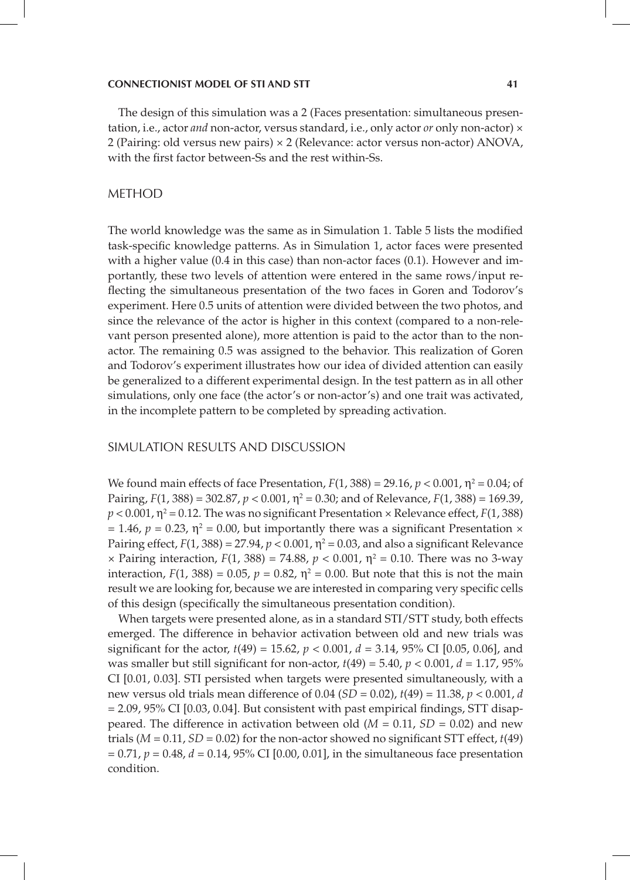The design of this simulation was a 2 (Faces presentation: simultaneous presentation, i.e., actor *and* non-actor, versus standard, i.e., only actor *or* only non-actor) × 2 (Pairing: old versus new pairs) × 2 (Relevance: actor versus non-actor) ANOVA, with the first factor between-Ss and the rest within-Ss.

### **METHOD**

The world knowledge was the same as in Simulation 1. Table 5 lists the modified task-specific knowledge patterns. As in Simulation 1, actor faces were presented with a higher value  $(0.4$  in this case) than non-actor faces  $(0.1)$ . However and importantly, these two levels of attention were entered in the same rows/input reflecting the simultaneous presentation of the two faces in Goren and Todorov's experiment. Here 0.5 units of attention were divided between the two photos, and since the relevance of the actor is higher in this context (compared to a non-relevant person presented alone), more attention is paid to the actor than to the nonactor. The remaining 0.5 was assigned to the behavior. This realization of Goren and Todorov's experiment illustrates how our idea of divided attention can easily be generalized to a different experimental design. In the test pattern as in all other simulations, only one face (the actor's or non-actor's) and one trait was activated, in the incomplete pattern to be completed by spreading activation.

### Simulation Results and Discussion

We found main effects of face Presentation,  $F(1,388) = 29.16$ ,  $p < 0.001$ ,  $\eta^2 = 0.04$ ; of Pairing, *F*(1, 388) = 302.87, *p* < 0.001, h<sup>2</sup> = 0.30; and of Relevance, *F*(1, 388) = 169.39,  $p < 0.001$ ,  $\eta^2 = 0.12$ . The was no significant Presentation × Relevance effect, *F*(1, 388)  $= 1.46$ ,  $p = 0.23$ ,  $\eta^2 = 0.00$ , but importantly there was a significant Presentation  $\times$ Pairing effect,  $F(1, 388) = 27.94$ ,  $p < 0.001$ ,  $\eta^2 = 0.03$ , and also a significant Relevance  $\times$  Pairing interaction,  $F(1, 388) = 74.88$ ,  $p < 0.001$ ,  $\eta^2 = 0.10$ . There was no 3-way interaction,  $F(1, 388) = 0.05$ ,  $p = 0.82$ ,  $\eta^2 = 0.00$ . But note that this is not the main result we are looking for, because we are interested in comparing very specific cells of this design (specifically the simultaneous presentation condition).

When targets were presented alone, as in a standard STI/STT study, both effects emerged. The difference in behavior activation between old and new trials was significant for the actor, *t*(49) = 15.62, *p* < 0.001, *d* = 3.14, 95% CI [0.05, 0.06], and was smaller but still significant for non-actor, *t*(49) = 5.40, *p* < 0.001, *d* = 1.17, 95% CI [0.01, 0.03]. STI persisted when targets were presented simultaneously, with a new versus old trials mean difference of 0.04 (*SD* = 0.02), *t*(49) = 11.38, *p* < 0.001, *d*  $= 2.09$ , 95% CI [0.03, 0.04]. But consistent with past empirical findings, STT disappeared. The difference in activation between old (*M* = 0.11, *SD* = 0.02) and new trials  $(M = 0.11, SD = 0.02)$  for the non-actor showed no significant STT effect,  $t(49)$ = 0.71, *p* = 0.48, *d* = 0.14, 95% CI [0.00, 0.01], in the simultaneous face presentation condition.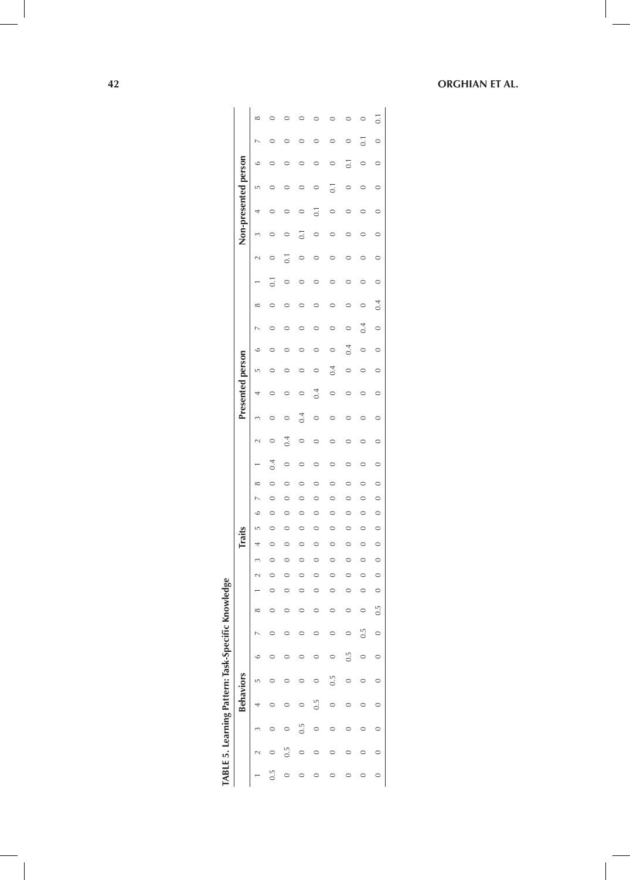| $\overline{0}$<br>$\infty$<br>$\circ$<br>c<br>c<br>0<br>c<br>$\overline{0}$<br>$\circ$<br>$\circ$<br>$\circ$<br>$\circ$<br>$\circ$<br>$\circ$<br>○<br>$\overline{0}$<br>$\circ$<br>$\circ$<br>$\circ$<br>$\circ$<br>ے<br>c<br>$\overline{0}$<br>$\circ$<br>$\sqrt{2}$<br>$\circ$<br>$\circ$<br>$\circ$<br>$\circ$<br>⊂<br>○<br>$\overline{0}$ .<br>$\circ$<br>$\circ$<br>$\circ$<br>$\circ$<br>c<br>$\circ$<br>○<br>$\overline{0}$ .<br>$\circ$<br>$\circ$<br>$\circ$<br>$\circ$<br>$\circ$<br>$\circ$<br>$\circ$<br>$\overline{C}$<br>$\circ$<br>$\circ$<br>$\circ$<br>$\circ$<br>$\circ$<br>$\circ$<br>$\circ$<br>$\scriptstyle\sim$<br>$\overline{c}$<br>$\circ$<br>$\circ$<br>$\circ$<br>C<br>C<br>C<br>0<br>0.4<br>∞<br>$\circ$<br>$\circ$<br>$\circ$<br>$\circ$<br>$\circ$<br>c<br>0.4<br>$\circ$<br>$\circ$<br>$\circ$<br>$\circ$<br>$\circ$<br>$\circ$<br>$\circ$<br>N<br>0.4<br>$\circ$<br>$\circ$<br>$\circ$<br>$\circ$<br>ء<br>c<br>0.4<br>$\circ$<br>$\circ$<br>$\circ$<br>LC.<br>$\circ$<br>$\circ$<br>0.4<br>$\circ$<br>$\circ$<br>$\circ$<br>$\circ$<br>○<br>○<br>$\circ$<br>4<br>0.4<br>$\circ$<br>$\circ$<br>$\circ$<br>O<br>$\circ$<br>$\circ$<br>$\circ$<br>C<br>0.4<br>$\circ$<br>$\circ$<br>$\circ$<br>$\circ$<br>$\circ$<br>c<br>٢<br>0.4<br>$\circ$<br>$\circ$<br>$\circ$<br>$\circ$<br>$\circ$<br>$\circ$<br>$\circ$<br>$\circ$<br>∞<br>C<br>0<br>$\circ$<br>$\circ$<br>$\circ$<br>$\circ$<br>0<br>$\circ$<br>$\circ$<br>$\circ$<br>$\circ$<br>$\circ$<br>○<br>$\circ$<br>$\circ$<br>$\circ$<br>$\circ$<br>$\circ$<br>$\circ$<br>$\circ$<br>$\circ$<br>$\circ$<br>$\circ$<br>ے<br>$\circ$<br>$\circ$<br>$\circ$<br>$\circ$<br>$\circ$<br>$\circ$<br>$\circ$<br>$\circ$<br>LC.<br>$\circ$<br>$\circ$<br>$\circ$<br>$\circ$<br>$\circ$<br>$\circ$<br>$\circ$<br>$\circ$<br>$\circ$<br>$\circ$<br>$\circ$<br>$\circ$<br>$\circ$<br>$\circ$<br>$\circ$<br>$\circ$<br>$\circ$<br>$\circ$<br>$\circ$<br>$\circ$<br>$\circ$<br>$\circ$<br>$\circ$<br>$\circ$<br>$\circ$<br>$\circ$<br>$\circ$<br>$\circ$<br>$\circ$<br>$\circ$<br>$\circ$<br>$\circ$<br>0.5<br>$\infty$<br>$\circ$<br>$\circ$<br>$\circ$<br>$\circ$<br>$\circ$<br>$\circ$<br>Ó<br>$\overline{0}$<br>$\circ$<br>r<br>⊂<br>c<br>c<br>0<br>$\circ$<br>⊂<br>0.5<br>$\circ$<br>$\circ$<br>$\circ$<br>م<br>$\circ$<br>0<br>$\circ$<br>$\circ$<br>$\overline{0}$<br>$\circ$<br>$\circ$<br>LO <sub>1</sub><br>$\circ$<br>$\circ$<br>$\circ$<br>$\circ$<br>$\circ$<br>0.5<br>$\circ$<br>$\circ$<br>$\circ$<br>$\circ$<br>$\circ$<br>$\circ$<br>○<br>$\overline{0}$<br>$\circ$<br>$\circ$<br>$\circ$<br>$\circ$<br>$\circ$<br>$\circ$<br>3<br>$\circ$<br>0.5<br>C<br>$\circ$<br>$\circ$<br>$\circ$<br>$\circ$<br>$\circ$<br>$\circ$<br>ч<br>¢<br>0.5<br>$\circ$<br>$\circ$<br>$\circ$<br>$\circ$<br>$\circ$<br>$\circ$<br>$\circ$ |  |  | <b>Behaviors</b> |  |  |  | Traits |  |  |  | Presented person |  |  |  |  | Non-presented person |  |  |
|----------------------------------------------------------------------------------------------------------------------------------------------------------------------------------------------------------------------------------------------------------------------------------------------------------------------------------------------------------------------------------------------------------------------------------------------------------------------------------------------------------------------------------------------------------------------------------------------------------------------------------------------------------------------------------------------------------------------------------------------------------------------------------------------------------------------------------------------------------------------------------------------------------------------------------------------------------------------------------------------------------------------------------------------------------------------------------------------------------------------------------------------------------------------------------------------------------------------------------------------------------------------------------------------------------------------------------------------------------------------------------------------------------------------------------------------------------------------------------------------------------------------------------------------------------------------------------------------------------------------------------------------------------------------------------------------------------------------------------------------------------------------------------------------------------------------------------------------------------------------------------------------------------------------------------------------------------------------------------------------------------------------------------------------------------------------------------------------------------------------------------------------------------------------------------------------------------------------------------------------------------------------------------------------------------------------------------------------------------------------------------------------------------------------------------------------------------------------------------------------------------------------------------------------------------------------------------------------------------------------------------------------------------------------------------------------------------------------------------------------------------------------------------------------------------|--|--|------------------|--|--|--|--------|--|--|--|------------------|--|--|--|--|----------------------|--|--|
|                                                                                                                                                                                                                                                                                                                                                                                                                                                                                                                                                                                                                                                                                                                                                                                                                                                                                                                                                                                                                                                                                                                                                                                                                                                                                                                                                                                                                                                                                                                                                                                                                                                                                                                                                                                                                                                                                                                                                                                                                                                                                                                                                                                                                                                                                                                                                                                                                                                                                                                                                                                                                                                                                                                                                                                                          |  |  |                  |  |  |  |        |  |  |  |                  |  |  |  |  |                      |  |  |
|                                                                                                                                                                                                                                                                                                                                                                                                                                                                                                                                                                                                                                                                                                                                                                                                                                                                                                                                                                                                                                                                                                                                                                                                                                                                                                                                                                                                                                                                                                                                                                                                                                                                                                                                                                                                                                                                                                                                                                                                                                                                                                                                                                                                                                                                                                                                                                                                                                                                                                                                                                                                                                                                                                                                                                                                          |  |  |                  |  |  |  |        |  |  |  |                  |  |  |  |  |                      |  |  |
|                                                                                                                                                                                                                                                                                                                                                                                                                                                                                                                                                                                                                                                                                                                                                                                                                                                                                                                                                                                                                                                                                                                                                                                                                                                                                                                                                                                                                                                                                                                                                                                                                                                                                                                                                                                                                                                                                                                                                                                                                                                                                                                                                                                                                                                                                                                                                                                                                                                                                                                                                                                                                                                                                                                                                                                                          |  |  |                  |  |  |  |        |  |  |  |                  |  |  |  |  |                      |  |  |
|                                                                                                                                                                                                                                                                                                                                                                                                                                                                                                                                                                                                                                                                                                                                                                                                                                                                                                                                                                                                                                                                                                                                                                                                                                                                                                                                                                                                                                                                                                                                                                                                                                                                                                                                                                                                                                                                                                                                                                                                                                                                                                                                                                                                                                                                                                                                                                                                                                                                                                                                                                                                                                                                                                                                                                                                          |  |  |                  |  |  |  |        |  |  |  |                  |  |  |  |  |                      |  |  |
|                                                                                                                                                                                                                                                                                                                                                                                                                                                                                                                                                                                                                                                                                                                                                                                                                                                                                                                                                                                                                                                                                                                                                                                                                                                                                                                                                                                                                                                                                                                                                                                                                                                                                                                                                                                                                                                                                                                                                                                                                                                                                                                                                                                                                                                                                                                                                                                                                                                                                                                                                                                                                                                                                                                                                                                                          |  |  |                  |  |  |  |        |  |  |  |                  |  |  |  |  |                      |  |  |
|                                                                                                                                                                                                                                                                                                                                                                                                                                                                                                                                                                                                                                                                                                                                                                                                                                                                                                                                                                                                                                                                                                                                                                                                                                                                                                                                                                                                                                                                                                                                                                                                                                                                                                                                                                                                                                                                                                                                                                                                                                                                                                                                                                                                                                                                                                                                                                                                                                                                                                                                                                                                                                                                                                                                                                                                          |  |  |                  |  |  |  |        |  |  |  |                  |  |  |  |  |                      |  |  |
|                                                                                                                                                                                                                                                                                                                                                                                                                                                                                                                                                                                                                                                                                                                                                                                                                                                                                                                                                                                                                                                                                                                                                                                                                                                                                                                                                                                                                                                                                                                                                                                                                                                                                                                                                                                                                                                                                                                                                                                                                                                                                                                                                                                                                                                                                                                                                                                                                                                                                                                                                                                                                                                                                                                                                                                                          |  |  |                  |  |  |  |        |  |  |  |                  |  |  |  |  |                      |  |  |
|                                                                                                                                                                                                                                                                                                                                                                                                                                                                                                                                                                                                                                                                                                                                                                                                                                                                                                                                                                                                                                                                                                                                                                                                                                                                                                                                                                                                                                                                                                                                                                                                                                                                                                                                                                                                                                                                                                                                                                                                                                                                                                                                                                                                                                                                                                                                                                                                                                                                                                                                                                                                                                                                                                                                                                                                          |  |  |                  |  |  |  |        |  |  |  |                  |  |  |  |  |                      |  |  |
|                                                                                                                                                                                                                                                                                                                                                                                                                                                                                                                                                                                                                                                                                                                                                                                                                                                                                                                                                                                                                                                                                                                                                                                                                                                                                                                                                                                                                                                                                                                                                                                                                                                                                                                                                                                                                                                                                                                                                                                                                                                                                                                                                                                                                                                                                                                                                                                                                                                                                                                                                                                                                                                                                                                                                                                                          |  |  |                  |  |  |  |        |  |  |  |                  |  |  |  |  |                      |  |  |
|                                                                                                                                                                                                                                                                                                                                                                                                                                                                                                                                                                                                                                                                                                                                                                                                                                                                                                                                                                                                                                                                                                                                                                                                                                                                                                                                                                                                                                                                                                                                                                                                                                                                                                                                                                                                                                                                                                                                                                                                                                                                                                                                                                                                                                                                                                                                                                                                                                                                                                                                                                                                                                                                                                                                                                                                          |  |  |                  |  |  |  |        |  |  |  |                  |  |  |  |  |                      |  |  |
|                                                                                                                                                                                                                                                                                                                                                                                                                                                                                                                                                                                                                                                                                                                                                                                                                                                                                                                                                                                                                                                                                                                                                                                                                                                                                                                                                                                                                                                                                                                                                                                                                                                                                                                                                                                                                                                                                                                                                                                                                                                                                                                                                                                                                                                                                                                                                                                                                                                                                                                                                                                                                                                                                                                                                                                                          |  |  |                  |  |  |  |        |  |  |  |                  |  |  |  |  |                      |  |  |

| i             |
|---------------|
|               |
|               |
|               |
| <b>TARIFS</b> |
|               |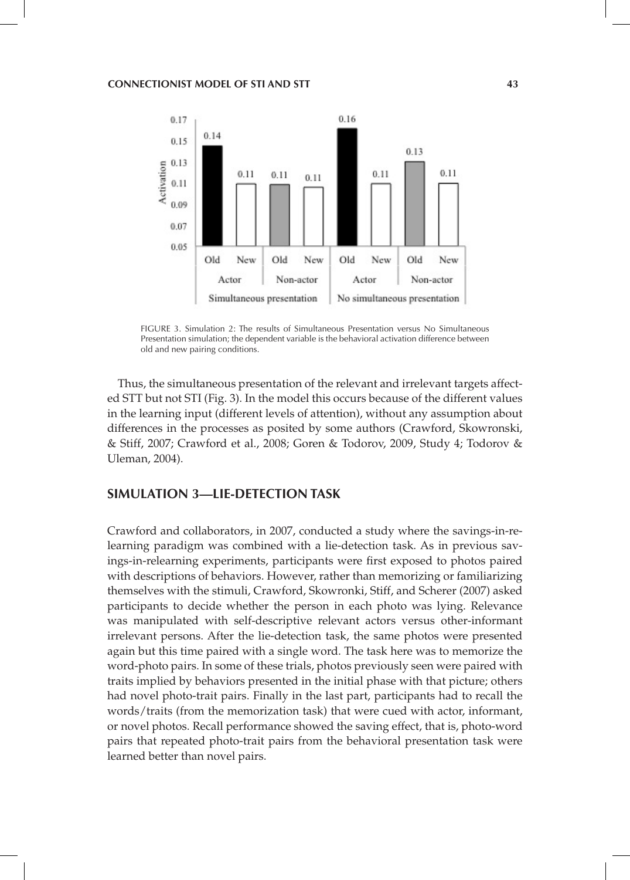

FIGURE 3. Simulation 2: The results of Simultaneous Presentation versus No Simultaneous Presentation simulation; the dependent variable is the behavioral activation difference between old and new pairing conditions.

Thus, the simultaneous presentation of the relevant and irrelevant targets affected STT but not STI (Fig. 3). In the model this occurs because of the different values in the learning input (different levels of attention), without any assumption about differences in the processes as posited by some authors (Crawford, Skowronski, & Stiff, 2007; Crawford et al., 2008; Goren & Todorov, 2009, Study 4; Todorov & Uleman, 2004).

## **Simulation 3—Lie-Detection Task**

Crawford and collaborators, in 2007, conducted a study where the savings-in-relearning paradigm was combined with a lie-detection task. As in previous savings-in-relearning experiments, participants were first exposed to photos paired with descriptions of behaviors. However, rather than memorizing or familiarizing themselves with the stimuli, Crawford, Skowronki, Stiff, and Scherer (2007) asked participants to decide whether the person in each photo was lying. Relevance was manipulated with self-descriptive relevant actors versus other-informant irrelevant persons. After the lie-detection task, the same photos were presented again but this time paired with a single word. The task here was to memorize the word-photo pairs. In some of these trials, photos previously seen were paired with traits implied by behaviors presented in the initial phase with that picture; others had novel photo-trait pairs. Finally in the last part, participants had to recall the words/traits (from the memorization task) that were cued with actor, informant, or novel photos. Recall performance showed the saving effect, that is, photo-word pairs that repeated photo-trait pairs from the behavioral presentation task were learned better than novel pairs.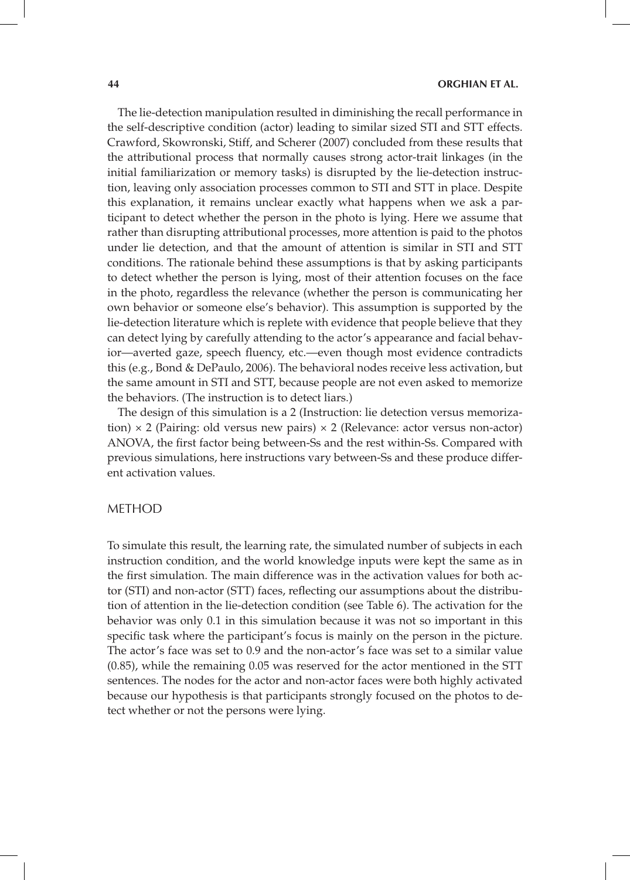The lie-detection manipulation resulted in diminishing the recall performance in the self-descriptive condition (actor) leading to similar sized STI and STT effects. Crawford, Skowronski, Stiff, and Scherer (2007) concluded from these results that the attributional process that normally causes strong actor-trait linkages (in the initial familiarization or memory tasks) is disrupted by the lie-detection instruction, leaving only association processes common to STI and STT in place. Despite this explanation, it remains unclear exactly what happens when we ask a participant to detect whether the person in the photo is lying. Here we assume that rather than disrupting attributional processes, more attention is paid to the photos under lie detection, and that the amount of attention is similar in STI and STT conditions. The rationale behind these assumptions is that by asking participants to detect whether the person is lying, most of their attention focuses on the face in the photo, regardless the relevance (whether the person is communicating her own behavior or someone else's behavior). This assumption is supported by the lie-detection literature which is replete with evidence that people believe that they can detect lying by carefully attending to the actor's appearance and facial behavior—averted gaze, speech fluency, etc.—even though most evidence contradicts this (e.g., Bond & DePaulo, 2006). The behavioral nodes receive less activation, but the same amount in STI and STT, because people are not even asked to memorize the behaviors. (The instruction is to detect liars.)

The design of this simulation is a 2 (Instruction: lie detection versus memorization)  $\times$  2 (Pairing: old versus new pairs)  $\times$  2 (Relevance: actor versus non-actor) ANOVA, the first factor being between-Ss and the rest within-Ss. Compared with previous simulations, here instructions vary between-Ss and these produce different activation values.

### **METHOD**

To simulate this result, the learning rate, the simulated number of subjects in each instruction condition, and the world knowledge inputs were kept the same as in the first simulation. The main difference was in the activation values for both actor (STI) and non-actor (STT) faces, reflecting our assumptions about the distribution of attention in the lie-detection condition (see Table 6). The activation for the behavior was only 0.1 in this simulation because it was not so important in this specific task where the participant's focus is mainly on the person in the picture. The actor's face was set to 0.9 and the non-actor's face was set to a similar value (0.85), while the remaining 0.05 was reserved for the actor mentioned in the STT sentences. The nodes for the actor and non-actor faces were both highly activated because our hypothesis is that participants strongly focused on the photos to detect whether or not the persons were lying.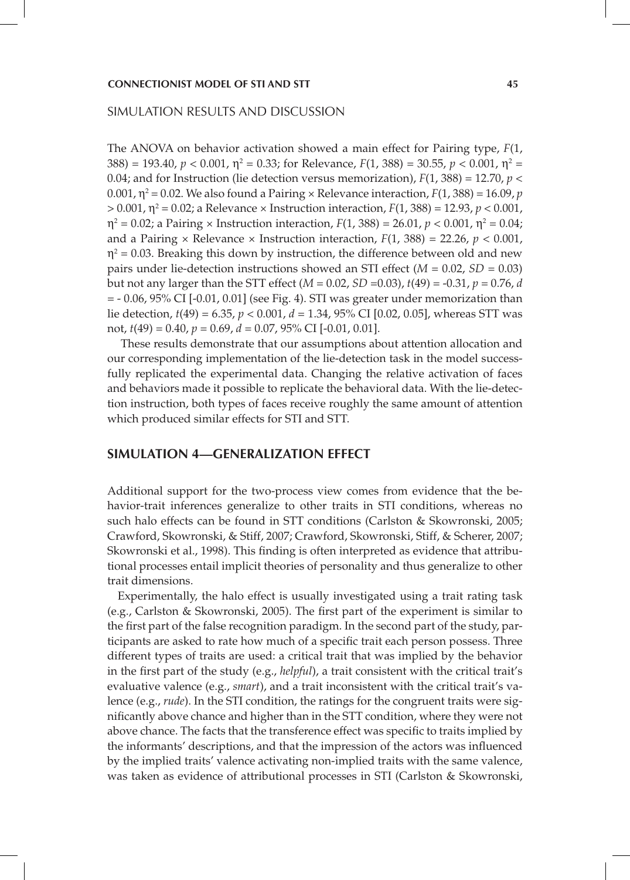### Simulation Results and Discussion

The ANOVA on behavior activation showed a main effect for Pairing type, *F*(1, 388) = 193.40,  $p < 0.001$ ,  $\eta^2 = 0.33$ ; for Relevance,  $F(1, 388) = 30.55$ ,  $p < 0.001$ ,  $\eta^2 =$ 0.04; and for Instruction (lie detection versus memorization),  $F(1, 388) = 12.70$ ,  $p <$ 0.001,  $\eta^2$  = 0.02. We also found a Pairing × Relevance interaction,  $F(1,388)$  = 16.09,  $p$ > 0.001, h<sup>2</sup> = 0.02; a Relevance × Instruction interaction, *F*(1, 388) = 12.93, *p* < 0.001,  $η<sup>2</sup> = 0.02$ ; a Pairing × Instruction interaction,  $F(1, 388) = 26.01$ ,  $p < 0.001$ ,  $η<sup>2</sup> = 0.04$ ; and a Pairing  $\times$  Relevance  $\times$  Instruction interaction,  $F(1, 388) = 22.26$ ,  $p < 0.001$ ,  $\eta^2$  = 0.03. Breaking this down by instruction, the difference between old and new pairs under lie-detection instructions showed an STI effect  $(M = 0.02, SD = 0.03)$ but not any larger than the STT effect  $(M = 0.02, SD = 0.03)$ ,  $t(49) = -0.31$ ,  $p = 0.76$ , *d*  $= -0.06, 95\%$  CI  $[-0.01, 0.01]$  (see Fig. 4). STI was greater under memorization than lie detection, *t*(49) = 6.35, *p* < 0.001, *d* = 1.34, 95% CI [0.02, 0.05], whereas STT was not, *t*(49) = 0.40, *p* = 0.69, *d* = 0.07, 95% CI [-0.01, 0.01].

 These results demonstrate that our assumptions about attention allocation and our corresponding implementation of the lie-detection task in the model successfully replicated the experimental data. Changing the relative activation of faces and behaviors made it possible to replicate the behavioral data. With the lie-detection instruction, both types of faces receive roughly the same amount of attention which produced similar effects for STI and STT.

# **Simulation 4—Generalization effect**

Additional support for the two-process view comes from evidence that the behavior-trait inferences generalize to other traits in STI conditions, whereas no such halo effects can be found in STT conditions (Carlston & Skowronski, 2005; Crawford, Skowronski, & Stiff, 2007; Crawford, Skowronski, Stiff, & Scherer, 2007; Skowronski et al., 1998). This finding is often interpreted as evidence that attributional processes entail implicit theories of personality and thus generalize to other trait dimensions.

Experimentally, the halo effect is usually investigated using a trait rating task (e.g., Carlston & Skowronski, 2005). The first part of the experiment is similar to the first part of the false recognition paradigm. In the second part of the study, participants are asked to rate how much of a specific trait each person possess. Three different types of traits are used: a critical trait that was implied by the behavior in the first part of the study (e.g., *helpful*), a trait consistent with the critical trait's evaluative valence (e.g., *smart*), and a trait inconsistent with the critical trait's valence (e.g., *rude*). In the STI condition, the ratings for the congruent traits were significantly above chance and higher than in the STT condition, where they were not above chance. The facts that the transference effect was specific to traits implied by the informants' descriptions, and that the impression of the actors was influenced by the implied traits' valence activating non-implied traits with the same valence, was taken as evidence of attributional processes in STI (Carlston & Skowronski,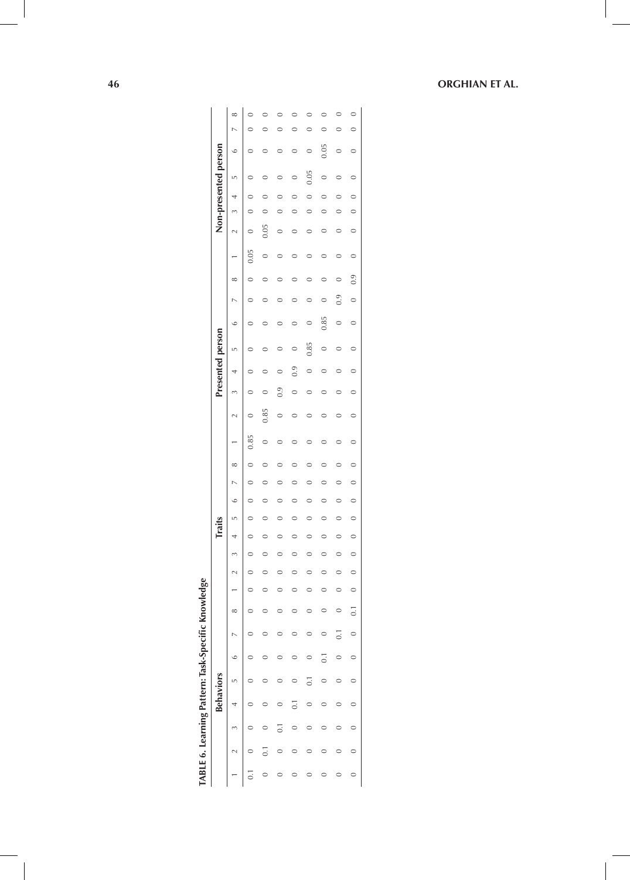|                                         |                      | $\infty$        | $\circ$ | C              |         |                |                |         |         | $\circ$          |
|-----------------------------------------|----------------------|-----------------|---------|----------------|---------|----------------|----------------|---------|---------|------------------|
|                                         |                      | N               |         |                |         |                |                |         |         |                  |
|                                         |                      | $\circ$         | $\circ$ | $\circ$        | $\circ$ | $\circ$        | $\circ$        | 0.05    | $\circ$ | $\circ$          |
|                                         | Non-presented person | LO <sub>1</sub> |         | $\circ$        |         | $\circ$        | 0.05           | $\circ$ |         | $\circ$          |
|                                         |                      | 4               |         |                |         |                |                |         |         |                  |
|                                         |                      |                 |         |                |         |                |                |         |         |                  |
|                                         |                      | $\sim$          | $\circ$ | 0.05           | $\circ$ | $\circ$        | $\circ$        | $\circ$ | 0       | $\circ$          |
|                                         |                      |                 | 0.05    | $\circ$        | $\circ$ | $\circ$        | $\circ$        | $\circ$ | $\circ$ | $\circ$          |
|                                         |                      | $^{\circ}$      | $\circ$ | $\circ$        | $\circ$ | $\circ$        | $\circ$        | $\circ$ | 0       | 0.9              |
|                                         |                      | N               | $\circ$ | $\circ$        | $\circ$ | $\circ$        | $\circ$        | $\circ$ | 0.9     | $\circ$          |
|                                         |                      | $\circ$         |         | $\circ$        | $\circ$ | $\circ$        | $\circ$        | 0.85    | 0       | $\circ$          |
|                                         | Presented person     | S               | $\circ$ | $\circ$        | $\circ$ | $\circ$        | 0.85           | $\circ$ | $\circ$ | 0                |
|                                         |                      | 4               |         |                | $\circ$ | 0.9            | $\circ$        |         |         |                  |
|                                         |                      | 3               |         |                | 0.9     |                |                |         |         |                  |
|                                         |                      | $\sim$          | $\circ$ | 0.85           | $\circ$ | $\circ$        | $\circ$        |         | ○       | $\circ$          |
|                                         |                      |                 | 0.85    | $\circ$        | $\circ$ | $\circ$        | $\circ$        | $\circ$ | $\circ$ | $\circ$          |
|                                         |                      | $\infty$        | $\circ$ | $\circ$        |         |                | $\circ$        |         |         | $\circ$          |
|                                         |                      | N               |         | $\circ$        |         | $\circ$        |                |         |         | $\circ$          |
|                                         |                      | $\circ$         | $\circ$ | $\circ$        |         |                | $\circ$        |         |         | $\circ$          |
|                                         |                      | LŊ              | $\circ$ | $\circ$        | $\circ$ | $\circ$        | $\circ$        |         | ○       | $\circ$          |
|                                         | <b>Traits</b>        | 4               | $\circ$ | $\circ$        |         | 0              | $\circ$        |         | 0       | $\circ$          |
|                                         |                      | 3               | $\circ$ | $\circ$        | $\circ$ | $\circ$        | $\circ$        | 0       | 0       | $\circ$          |
|                                         |                      | $\sim$          |         | $\circ$        |         |                | $\circ$        |         |         | $\circ$          |
|                                         |                      |                 | $\circ$ | $\circ$        | $\circ$ | $\circ$        | $\circ$        | $\circ$ | $\circ$ | $\circ$          |
| Knowledge                               |                      | $^{\circ}$      | $\circ$ | $\circ$        |         | $\circ$        | $\circ$        |         | $\circ$ | $\overline{0}$ . |
|                                         |                      |                 |         |                |         |                |                |         |         |                  |
|                                         |                      | $\circ$         |         |                |         |                |                |         |         |                  |
|                                         |                      | S               |         |                |         |                | $\overline{0}$ |         |         |                  |
|                                         | <b>Behaviors</b>     |                 |         |                |         | $\overline{C}$ |                |         |         |                  |
|                                         |                      | 3               |         |                |         | 0              | $\circ$        |         |         |                  |
|                                         |                      | $\sim$          |         | $\overline{0}$ |         |                |                |         |         |                  |
| TABLE 6. Learning Pattern: Task-Specifi |                      |                 |         |                |         |                |                |         |         |                  |

| ì      |
|--------|
| l<br>l |
| ı      |
| ׇ֚֚֬֡  |
| l      |
|        |
| :      |
| í<br>ı |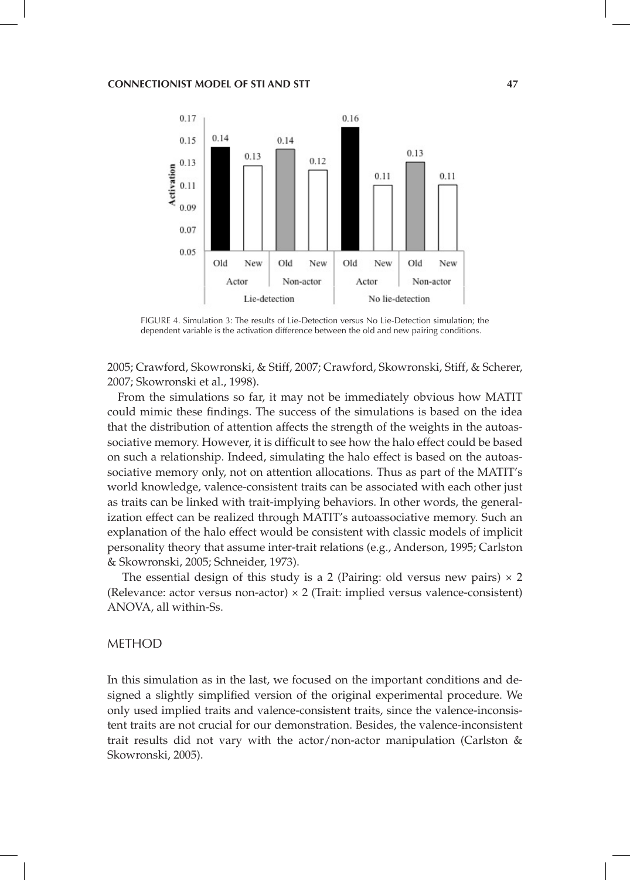

FIGURE 4. Simulation 3: The results of Lie-Detection versus No Lie-Detection simulation; the dependent variable is the activation difference between the old and new pairing conditions.

2005; Crawford, Skowronski, & Stiff, 2007; Crawford, Skowronski, Stiff, & Scherer, 2007; Skowronski et al., 1998).

From the simulations so far, it may not be immediately obvious how MATIT could mimic these findings. The success of the simulations is based on the idea that the distribution of attention affects the strength of the weights in the autoassociative memory. However, it is difficult to see how the halo effect could be based on such a relationship. Indeed, simulating the halo effect is based on the autoassociative memory only, not on attention allocations. Thus as part of the MATIT's world knowledge, valence-consistent traits can be associated with each other just as traits can be linked with trait-implying behaviors. In other words, the generalization effect can be realized through MATIT's autoassociative memory. Such an explanation of the halo effect would be consistent with classic models of implicit personality theory that assume inter-trait relations (e.g., Anderson, 1995; Carlston & Skowronski, 2005; Schneider, 1973).

The essential design of this study is a 2 (Pairing: old versus new pairs)  $\times$  2 (Relevance: actor versus non-actor) × 2 (Trait: implied versus valence-consistent) ANOVA, all within-Ss.

### **METHOD**

In this simulation as in the last, we focused on the important conditions and designed a slightly simplified version of the original experimental procedure. We only used implied traits and valence-consistent traits, since the valence-inconsistent traits are not crucial for our demonstration. Besides, the valence-inconsistent trait results did not vary with the actor/non-actor manipulation (Carlston & Skowronski, 2005).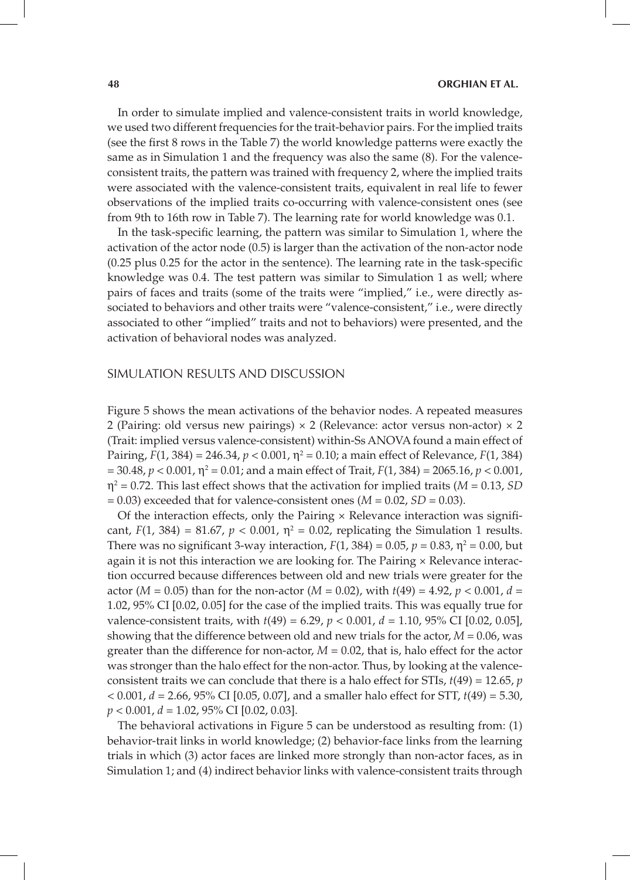In order to simulate implied and valence-consistent traits in world knowledge, we used two different frequencies for the trait-behavior pairs. For the implied traits (see the first 8 rows in the Table 7) the world knowledge patterns were exactly the same as in Simulation 1 and the frequency was also the same (8). For the valenceconsistent traits, the pattern was trained with frequency 2, where the implied traits were associated with the valence-consistent traits, equivalent in real life to fewer observations of the implied traits co-occurring with valence-consistent ones (see from 9th to 16th row in Table 7). The learning rate for world knowledge was 0.1.

In the task-specific learning, the pattern was similar to Simulation 1, where the activation of the actor node (0.5) is larger than the activation of the non-actor node (0.25 plus 0.25 for the actor in the sentence). The learning rate in the task-specific knowledge was 0.4. The test pattern was similar to Simulation 1 as well; where pairs of faces and traits (some of the traits were "implied," i.e., were directly associated to behaviors and other traits were "valence-consistent," i.e., were directly associated to other "implied" traits and not to behaviors) were presented, and the activation of behavioral nodes was analyzed.

### Simulation Results and Discussion

Figure 5 shows the mean activations of the behavior nodes. A repeated measures 2 (Pairing: old versus new pairings)  $\times$  2 (Relevance: actor versus non-actor)  $\times$  2 (Trait: implied versus valence-consistent) within-Ss ANOVA found a main effect of Pairing,  $F(1, 384) = 246.34$ ,  $p < 0.001$ ,  $\eta^2 = 0.10$ ; a main effect of Relevance,  $F(1, 384)$ = 30.48, *p* < 0.001, h<sup>2</sup> = 0.01; and a main effect of Trait, *F*(1, 384) = 2065.16, *p* < 0.001, h2 = 0.72. This last effect shows that the activation for implied traits (*M* = 0.13, *SD*  $= 0.03$ ) exceeded that for valence-consistent ones ( $M = 0.02$ ,  $SD = 0.03$ ).

Of the interaction effects, only the Pairing  $\times$  Relevance interaction was significant,  $F(1, 384) = 81.67$ ,  $p < 0.001$ ,  $\eta^2 = 0.02$ , replicating the Simulation 1 results. There was no significant 3-way interaction,  $F(1, 384) = 0.05$ ,  $p = 0.83$ ,  $\eta^2 = 0.00$ , but again it is not this interaction we are looking for. The Pairing  $\times$  Relevance interaction occurred because differences between old and new trials were greater for the actor ( $M = 0.05$ ) than for the non-actor ( $M = 0.02$ ), with  $t(49) = 4.92$ ,  $p < 0.001$ ,  $d =$ 1.02, 95% CI [0.02, 0.05] for the case of the implied traits. This was equally true for valence-consistent traits, with *t*(49) = 6.29, *p* < 0.001, *d* = 1.10, 95% CI [0.02, 0.05], showing that the difference between old and new trials for the actor,  $M = 0.06$ , was greater than the difference for non-actor,  $M = 0.02$ , that is, halo effect for the actor was stronger than the halo effect for the non-actor. Thus, by looking at the valenceconsistent traits we can conclude that there is a halo effect for STIs, *t*(49) = 12.65, *p*  < 0.001, *d* = 2.66, 95% CI [0.05, 0.07], and a smaller halo effect for STT, *t*(49) = 5.30, *p* < 0.001, *d* = 1.02, 95% CI [0.02, 0.03].

The behavioral activations in Figure 5 can be understood as resulting from: (1) behavior-trait links in world knowledge; (2) behavior-face links from the learning trials in which (3) actor faces are linked more strongly than non-actor faces, as in Simulation 1; and (4) indirect behavior links with valence-consistent traits through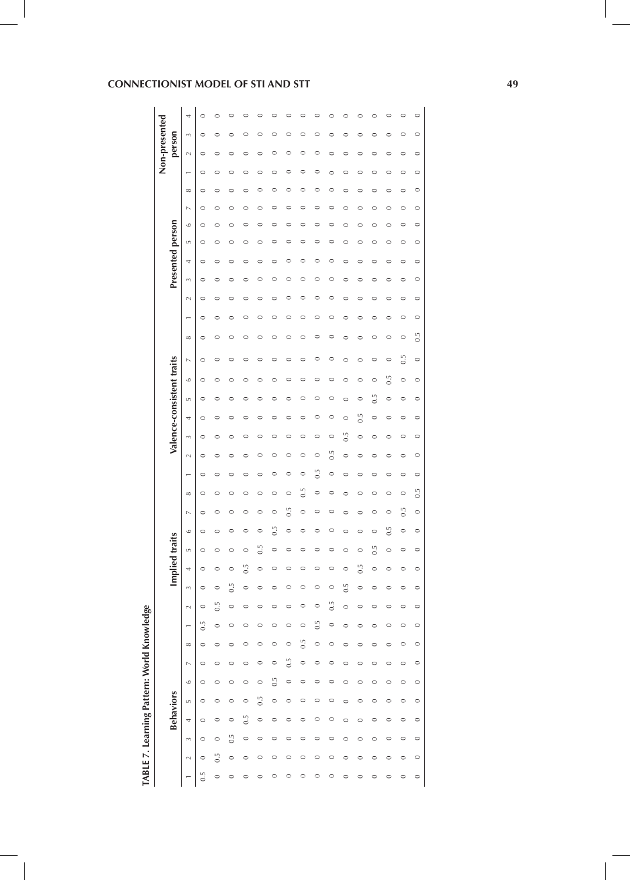**Table 7. Learning Pattern: World Knowledge**

TABLE 7. Learning Pattern: World Knowledge

|               |                           | 4               | $\circ$ | Ć          | c       | c       | c       | C              | Ó       | $\circ$        | $\circ$        | c                | c       | c       | c       | C                 | C       | $\circ$          |
|---------------|---------------------------|-----------------|---------|------------|---------|---------|---------|----------------|---------|----------------|----------------|------------------|---------|---------|---------|-------------------|---------|------------------|
| Non-presented | person                    | $\sim$          | ○       | c          | c       | c       | c       | c              | $\circ$ | $\circ$        | ○              | ≏                |         |         |         | c                 | $\circ$ | $\circ$          |
|               |                           | $\sim$          | c       | C          | c       | ∊       | ∊       | C              | 0       | 0              | $\circ$        | 0                | c       | c       | c       | $\circ$           | $\circ$ | $\circ$          |
|               |                           | $\blacksquare$  | c       | $\circ$    | $\circ$ | ∊       | $\circ$ | $\circ$        | $\circ$ | $\circ$        | $\circ$        | $\circ$          | $\circ$ | $\circ$ | $\circ$ | $\circ$           | $\circ$ | $\circ$          |
|               |                           | $\infty$        | c       | c          | c       | c       | c       | c              | ○       | ○              | ○              | c                | c       | c       | ≏       | c                 | $\circ$ | $\circ$          |
|               |                           | Þ               | c       | $\circ$    | $\circ$ | ∊       | $\circ$ | C              | 0       | 0              | 0              | $\circ$          | $\circ$ | $\circ$ | $\circ$ | $\circ$           | $\circ$ | $\circ$          |
|               | Presented person          | G               | $\circ$ | $\circ$    | $\circ$ | $\circ$ | $\circ$ | $\circ$        | $\circ$ | $\circ$        | $\circ$        | $\circ$          | $\circ$ | $\circ$ | $\circ$ | $\circ$           | $\circ$ | $\circ$          |
|               |                           | LO              | c       | $\circ$    | $\circ$ | $\circ$ | $\circ$ | $\circ$        | $\circ$ | $\circ$        | $\circ$        | $\circ$          | $\circ$ | $\circ$ | c       | $\circ$           | $\circ$ | $\circ$          |
|               |                           | 4               | c       | ∊          | ∊       | c       | c       | C              | Ó       | ○              | Ó              | ○                | Ó       | c       | c       | $\circ$           | $\circ$ | $\circ$          |
|               |                           | 3               | c       | $\circ$    | $\circ$ | 0       | $\circ$ | $\circ$        | $\circ$ | $\circ$        | $\circ$        | $\circ$          | $\circ$ | $\circ$ | $\circ$ | $\circ$           | $\circ$ | $\circ$          |
|               |                           | $\sim$          | c       | $\circ$    | $\circ$ | $\circ$ | $\circ$ | $\circ$        | $\circ$ | $\circ$        | $\circ$        | $\circ$          | $\circ$ | $\circ$ | $\circ$ | $\circ$           | $\circ$ | $\circ$          |
|               |                           | ۳               | c       | 0          | $\circ$ | ∊       | $\circ$ | $\circ$        | $\circ$ | $\circ$        | $\circ$        | c                | 0       | c       | c       | $\circ$           | $\circ$ | $\circ$          |
|               |                           | $\infty$        | c       | $\circ$    | $\circ$ | $\circ$ | $\circ$ | $\circ$        | $\circ$ | $\circ$        | $\circ$        | $\circ$          | $\circ$ | $\circ$ | Ó       | $\circ$           | $\circ$ | $\overline{0}$ . |
|               |                           | N               | c       | 0          | ∊       | c       | ∊       | C              | 0       | $\circ$        | 0              | c                | 0       | c       | c       | C                 | 0.5     | $\circ$          |
|               |                           | G               | c       | $\circ$    | $\circ$ | 0       | $\circ$ | $\circ$        | $\circ$ | $\circ$        | $\circ$        | $\circ$          | Ó       | c       | $\circ$ | $\overline{0}$ .5 | $\circ$ | $\circ$          |
|               | Valence-consistent traits | LO <sub>1</sub> | C       | c          | ⊂       |         | ∊       |                | c       | c              | c              |                  |         |         | 0.5     | $\circ$           | $\circ$ | $\circ$          |
|               |                           | 4               | c       | $\circ$    | $\circ$ | $\circ$ | $\circ$ | $\circ$        | $\circ$ | $\circ$        | $\circ$        | $\circ$          | 0       | 0.5     | $\circ$ | $\circ$           | $\circ$ | $\circ$          |
|               |                           | 3               | c       | $\circ$    | $\circ$ | $\circ$ | C       | 0              | 0       | $\circ$        | 0              | $\circ$          | 0.5     | $\circ$ | $\circ$ | $\circ$           | $\circ$ | $\circ$          |
|               |                           | $\mathbf{\sim}$ | c       | $\circ$    | ∊       | ∊       | ∊       | c              | Ó       | ○              |                | $0.\overline{5}$ | $\circ$ | $\circ$ | $\circ$ | $\circ$           | $\circ$ | $\circ$          |
|               |                           |                 | c       | ∊          | ∊       | ∊       | ∊       | 0              | $\circ$ | $\circ$        | $\overline{0}$ | $\circ$          | $\circ$ | c       | c       | $\circ$           | $\circ$ | $\circ$          |
|               |                           | $\infty$        | c       | $\circ$    | $\circ$ | 0       | $\circ$ | $\circ$        | $\circ$ | 0.5            | $\circ$        | $\circ$          | $\circ$ | c       | c       | $\circ$           | $\circ$ | $\overline{0}$   |
|               |                           | N               | $\circ$ | $\circ$    | $\circ$ | $\circ$ | $\circ$ | $\circ$        | 0.5     | $\circ$        | $\circ$        | 0                | $\circ$ | $\circ$ | $\circ$ | $\circ$           | 0.5     | $\circ$          |
|               |                           | $\circ$         | $\circ$ | $\circ$    | 0       | $\circ$ | $\circ$ | $\overline{0}$ | $\circ$ | $\circ$        | $\circ$        | $\circ$          | $\circ$ | $\circ$ | Ó       | $\overline{0}$ .5 | $\circ$ | $\circ$          |
|               | Implied traits            | LO              | c       | 0          | 0       | $\circ$ | 0.5     | $\circ$        | $\circ$ | $\circ$        | $\circ$        | c                | ○       | c       | 0.5     | $\circ$           | $\circ$ | $\circ$          |
|               |                           | 4               | c       | $\circ$    | $\circ$ | 0.5     | $\circ$ | $\circ$        | $\circ$ | $\circ$        | $\circ$        | $\circ$          | $\circ$ | 0.5     | $\circ$ | $\circ$           | $\circ$ | $\circ$          |
|               |                           | 3               | c       | $\circ$    | 0.5     | $\circ$ | $\circ$ | $\circ$        | $\circ$ | $\circ$        | $\circ$        | c                | 0.5     | $\circ$ | $\circ$ | $\circ$           | $\circ$ | $\circ$          |
|               |                           | $\sim$          | Ó       | 0.5        | $\circ$ | ∊       | ∊       | C              | 0       | 0              | 0              | $0.\overline{5}$ | 0       |         |         | ∊                 | $\circ$ | $\circ$          |
|               |                           |                 | 0.5     |            | 0       | 0       | ∊       | 0              | $\circ$ | $\circ$        | $\frac{5}{2}$  | $\circ$          | 0       |         |         | C                 | $\circ$ | $\circ$          |
|               |                           | $\infty$        | $\circ$ | $\circ$    | $\circ$ | $\circ$ | $\circ$ | $\circ$        | $\circ$ | $\overline{0}$ | $\circ$        | $\circ$          | $\circ$ | $\circ$ | $\circ$ | $\circ$           | $\circ$ | $\circ$          |
|               |                           | $\sim$          | $\circ$ | $\circ$    | $\circ$ | $\circ$ | $\circ$ | $\circ$        | 0.5     | $\circ$        | $\circ$        | $\circ$          | $\circ$ | $\circ$ | $\circ$ | $\circ$           | $\circ$ | $\circ$          |
|               |                           | $\circ$         | $\circ$ | $\circ$    | $\circ$ | $\circ$ | $\circ$ | 0.5            | $\circ$ | $\circ$        | $\circ$        | $\circ$          | $\circ$ | $\circ$ | c       | $\circ$           | $\circ$ | $\circ$          |
|               |                           | LN,             | $\circ$ | $\circ$    | $\circ$ | $\circ$ | 0.5     | $\circ$        | $\circ$ | $\circ$        | $\circ$        | $\circ$          | $\circ$ | $\circ$ | $\circ$ | $\circ$           | $\circ$ | $\circ$          |
|               | <b>Behaviors</b>          | 4               | $\circ$ | $\circ$    | $\circ$ | 0.5     | $\circ$ | $\circ$        | $\circ$ | $\circ$        | $\circ$        | $\circ$          | $\circ$ | $\circ$ | $\circ$ | $\circ$           | $\circ$ | $\circ$          |
|               |                           | 3               | $\circ$ | $\circ$    | 0.5     | $\circ$ | $\circ$ | $\circ$        | $\circ$ | $\circ$        | $\circ$        | $\circ$          | $\circ$ | $\circ$ | $\circ$ | $\circ$           | $\circ$ | $\circ$          |
|               |                           | $\sim$          | $\circ$ | $\ddot{0}$ | $\circ$ | $\circ$ | $\circ$ | $\circ$        | $\circ$ | $\circ$        | $\circ$        | $\circ$          | $\circ$ | $\circ$ | $\circ$ | $\circ$           | $\circ$ | $\circ$          |
|               |                           |                 | 0.5     | $\circ$    | $\circ$ | 0       | $\circ$ | $\circ$        | $\circ$ | $\circ$        | $\circ$        | $\circ$          | $\circ$ | $\circ$ | $\circ$ | $\circ$           | $\circ$ | $\circ$          |
|               |                           |                 |         |            |         |         |         |                |         |                |                |                  |         |         |         |                   |         |                  |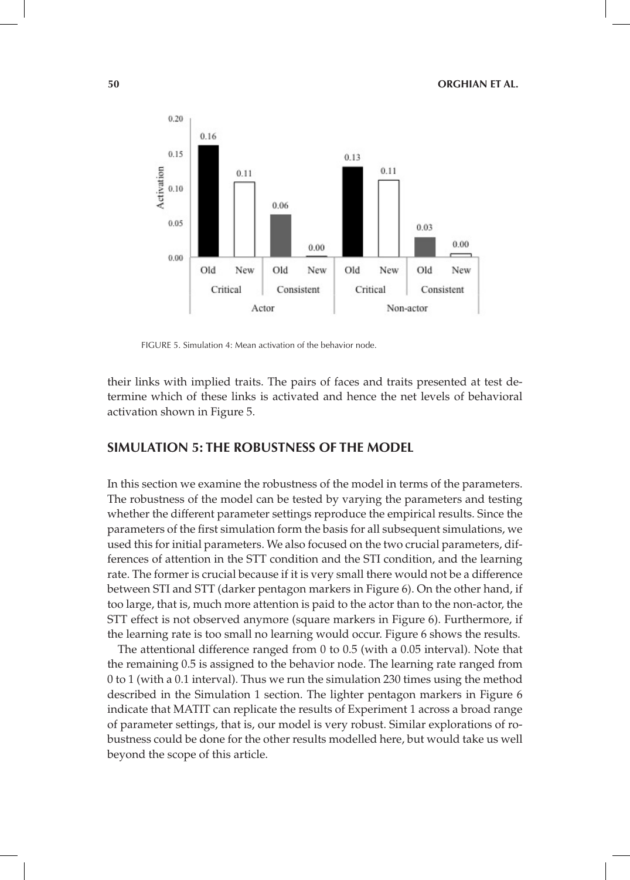

FIGURE 5. Simulation 4: Mean activation of the behavior node.

their links with implied traits. The pairs of faces and traits presented at test determine which of these links is activated and hence the net levels of behavioral activation shown in Figure 5.

# **Simulation 5: The robustness of the model**

In this section we examine the robustness of the model in terms of the parameters. The robustness of the model can be tested by varying the parameters and testing whether the different parameter settings reproduce the empirical results. Since the parameters of the first simulation form the basis for all subsequent simulations, we used this for initial parameters. We also focused on the two crucial parameters, differences of attention in the STT condition and the STI condition, and the learning rate. The former is crucial because if it is very small there would not be a difference between STI and STT (darker pentagon markers in Figure 6). On the other hand, if too large, that is, much more attention is paid to the actor than to the non-actor, the STT effect is not observed anymore (square markers in Figure 6). Furthermore, if the learning rate is too small no learning would occur. Figure 6 shows the results.

The attentional difference ranged from 0 to 0.5 (with a 0.05 interval). Note that the remaining 0.5 is assigned to the behavior node. The learning rate ranged from 0 to 1 (with a 0.1 interval). Thus we run the simulation 230 times using the method described in the Simulation 1 section. The lighter pentagon markers in Figure 6 indicate that MATIT can replicate the results of Experiment 1 across a broad range of parameter settings, that is, our model is very robust. Similar explorations of robustness could be done for the other results modelled here, but would take us well beyond the scope of this article.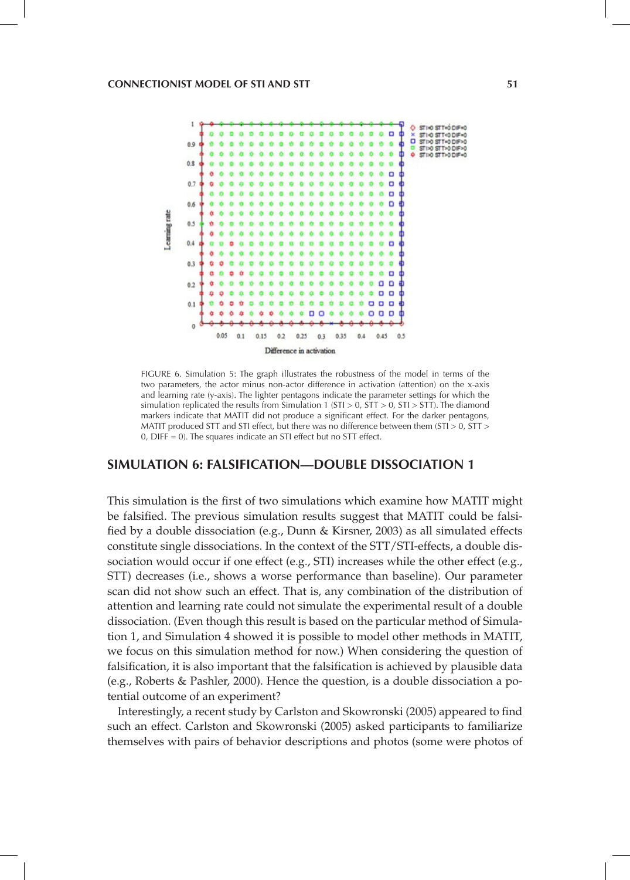

FIGURE 6. Simulation 5: The graph illustrates the robustness of the model in terms of the two parameters, the actor minus non-actor difference in activation (attention) on the x-axis and learning rate (y-axis). The lighter pentagons indicate the parameter settings for which the simulation replicated the results from Simulation 1 ( $STI > 0$ ,  $STI > 0$ ,  $STI > STT$ ). The diamond markers indicate that MATIT did not produce a significant effect. For the darker pentagons, MATIT produced STT and STI effect, but there was no difference between them (STI > 0,  $STT$  > 0, DIFF = 0). The squares indicate an STI effect but no STT effect.

# **Simulation 6: Falsification—Double Dissociation 1**

This simulation is the first of two simulations which examine how MATIT might be falsified. The previous simulation results suggest that MATIT could be falsified by a double dissociation (e.g., Dunn & Kirsner, 2003) as all simulated effects constitute single dissociations. In the context of the STT/STI-effects, a double dissociation would occur if one effect (e.g., STI) increases while the other effect (e.g., STT) decreases (i.e., shows a worse performance than baseline). Our parameter scan did not show such an effect. That is, any combination of the distribution of attention and learning rate could not simulate the experimental result of a double dissociation. (Even though this result is based on the particular method of Simulation 1, and Simulation 4 showed it is possible to model other methods in MATIT, we focus on this simulation method for now.) When considering the question of falsification, it is also important that the falsification is achieved by plausible data (e.g., Roberts & Pashler, 2000). Hence the question, is a double dissociation a potential outcome of an experiment?

Interestingly, a recent study by Carlston and Skowronski (2005) appeared to find such an effect. Carlston and Skowronski (2005) asked participants to familiarize themselves with pairs of behavior descriptions and photos (some were photos of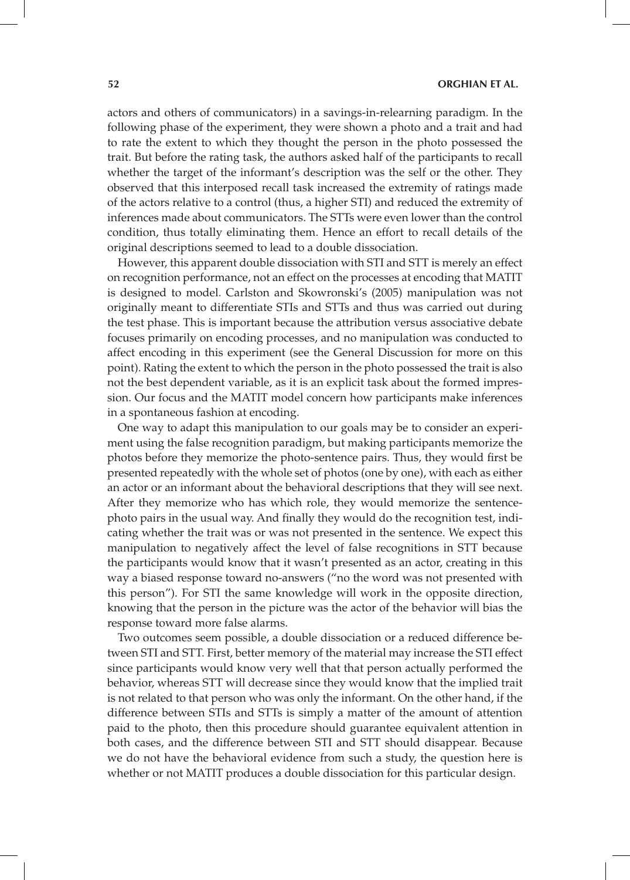actors and others of communicators) in a savings-in-relearning paradigm. In the following phase of the experiment, they were shown a photo and a trait and had to rate the extent to which they thought the person in the photo possessed the trait. But before the rating task, the authors asked half of the participants to recall whether the target of the informant's description was the self or the other. They observed that this interposed recall task increased the extremity of ratings made of the actors relative to a control (thus, a higher STI) and reduced the extremity of inferences made about communicators. The STTs were even lower than the control condition, thus totally eliminating them. Hence an effort to recall details of the original descriptions seemed to lead to a double dissociation.

However, this apparent double dissociation with STI and STT is merely an effect on recognition performance, not an effect on the processes at encoding that MATIT is designed to model. Carlston and Skowronski's (2005) manipulation was not originally meant to differentiate STIs and STTs and thus was carried out during the test phase. This is important because the attribution versus associative debate focuses primarily on encoding processes, and no manipulation was conducted to affect encoding in this experiment (see the General Discussion for more on this point). Rating the extent to which the person in the photo possessed the trait is also not the best dependent variable, as it is an explicit task about the formed impression. Our focus and the MATIT model concern how participants make inferences in a spontaneous fashion at encoding.

One way to adapt this manipulation to our goals may be to consider an experiment using the false recognition paradigm, but making participants memorize the photos before they memorize the photo-sentence pairs. Thus, they would first be presented repeatedly with the whole set of photos (one by one), with each as either an actor or an informant about the behavioral descriptions that they will see next. After they memorize who has which role, they would memorize the sentencephoto pairs in the usual way. And finally they would do the recognition test, indicating whether the trait was or was not presented in the sentence. We expect this manipulation to negatively affect the level of false recognitions in STT because the participants would know that it wasn't presented as an actor, creating in this way a biased response toward no-answers ("no the word was not presented with this person"). For STI the same knowledge will work in the opposite direction, knowing that the person in the picture was the actor of the behavior will bias the response toward more false alarms.

Two outcomes seem possible, a double dissociation or a reduced difference between STI and STT. First, better memory of the material may increase the STI effect since participants would know very well that that person actually performed the behavior, whereas STT will decrease since they would know that the implied trait is not related to that person who was only the informant. On the other hand, if the difference between STIs and STTs is simply a matter of the amount of attention paid to the photo, then this procedure should guarantee equivalent attention in both cases, and the difference between STI and STT should disappear. Because we do not have the behavioral evidence from such a study, the question here is whether or not MATIT produces a double dissociation for this particular design.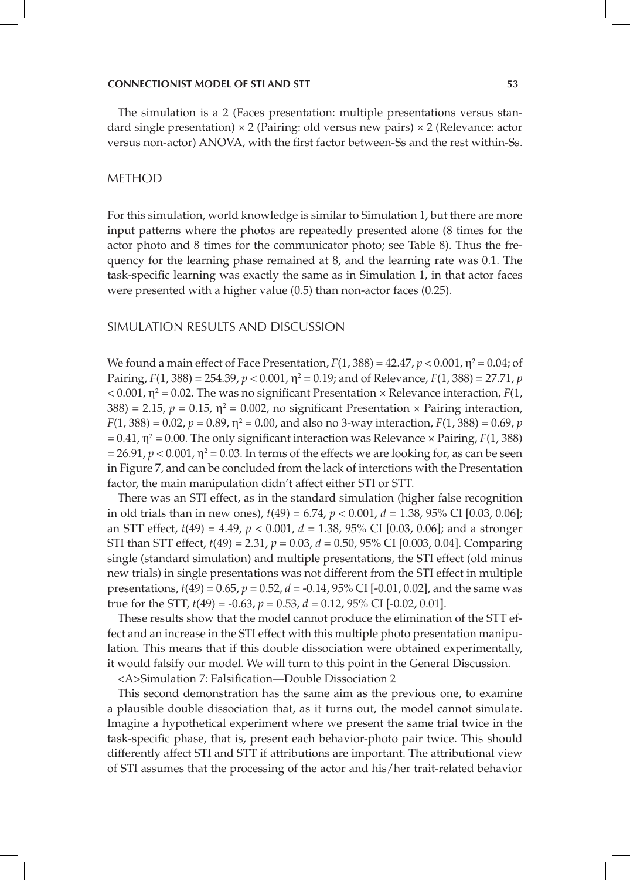The simulation is a 2 (Faces presentation: multiple presentations versus standard single presentation)  $\times$  2 (Pairing: old versus new pairs)  $\times$  2 (Relevance: actor versus non-actor) ANOVA, with the first factor between-Ss and the rest within-Ss.

### **MFTHOD**

For this simulation, world knowledge is similar to Simulation 1, but there are more input patterns where the photos are repeatedly presented alone (8 times for the actor photo and 8 times for the communicator photo; see Table 8). Thus the frequency for the learning phase remained at 8, and the learning rate was 0.1. The task-specific learning was exactly the same as in Simulation 1, in that actor faces were presented with a higher value (0.5) than non-actor faces (0.25).

### Simulation Results and Discussion

We found a main effect of Face Presentation,  $F(1,388) = 42.47$ ,  $p < 0.001$ ,  $\eta^2 = 0.04$ ; of Pairing, *F*(1, 388) = 254.39, *p* < 0.001, h<sup>2</sup> = 0.19; and of Relevance, *F*(1, 388) = 27.71, *p*   $<$  0.001,  $\eta$ <sup>2</sup> = 0.02. The was no significant Presentation  $\times$  Relevance interaction, *F*(1, 388) = 2.15,  $p = 0.15$ ,  $\eta^2 = 0.002$ , no significant Presentation  $\times$  Pairing interaction,  $F(1, 388) = 0.02$ ,  $p = 0.89$ ,  $\eta^2 = 0.00$ , and also no 3-way interaction,  $F(1, 388) = 0.69$ ,  $p$  $= 0.41$ ,  $\eta^2 = 0.00$ . The only significant interaction was Relevance  $\times$  Pairing, *F*(1, 388)  $= 26.91$ ,  $p < 0.001$ ,  $\eta^2 = 0.03$ . In terms of the effects we are looking for, as can be seen in Figure 7, and can be concluded from the lack of interctions with the Presentation factor, the main manipulation didn't affect either STI or STT.

There was an STI effect, as in the standard simulation (higher false recognition in old trials than in new ones), *t*(49) = 6.74, *p* < 0.001, *d* = 1.38, 95% CI [0.03, 0.06]; an STT effect, *t*(49) = 4.49, *p* < 0.001, *d* = 1.38, 95% CI [0.03, 0.06]; and a stronger STI than STT effect, *t*(49) = 2.31, *p* = 0.03, *d* = 0.50, 95% CI [0.003, 0.04]. Comparing single (standard simulation) and multiple presentations, the STI effect (old minus new trials) in single presentations was not different from the STI effect in multiple presentations, *t*(49) = 0.65, *p* = 0.52, *d* = -0.14, 95% CI [-0.01, 0.02], and the same was true for the STT, *t*(49) = -0.63, *p* = 0.53, *d* = 0.12, 95% CI [-0.02, 0.01].

These results show that the model cannot produce the elimination of the STT effect and an increase in the STI effect with this multiple photo presentation manipulation. This means that if this double dissociation were obtained experimentally, it would falsify our model. We will turn to this point in the General Discussion.

<A>Simulation 7: Falsification—Double Dissociation 2

This second demonstration has the same aim as the previous one, to examine a plausible double dissociation that, as it turns out, the model cannot simulate. Imagine a hypothetical experiment where we present the same trial twice in the task-specific phase, that is, present each behavior-photo pair twice. This should differently affect STI and STT if attributions are important. The attributional view of STI assumes that the processing of the actor and his/her trait-related behavior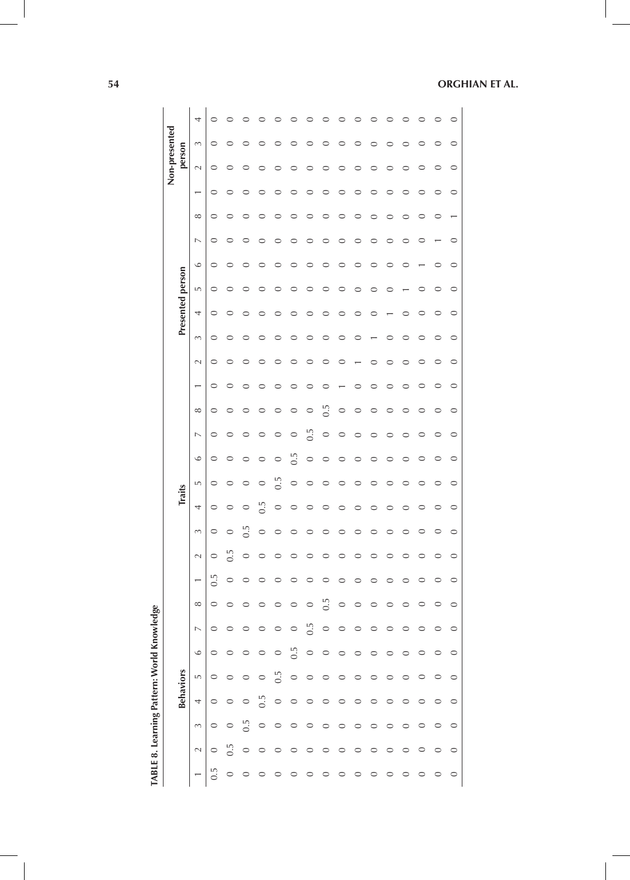| $\infty$<br>$\circ$<br>0<br>0<br>○<br>0<br>0<br>0<br>0<br>0<br>0<br>0<br>○<br>0<br>0<br>0<br>$\circ$<br>$\overline{ }$<br>0<br>○<br>0<br>○<br>0<br>0<br>0<br>0<br>0<br>○<br>○<br>0<br>0<br>0<br>$\circ$<br>$\circ$<br>0<br>0<br>0<br>○<br>⊂<br>⊂<br>0<br>0<br>0<br>0<br>0<br>0<br>0<br>0<br>LO <sub>1</sub><br>$\circ$<br>$\circ$<br>○<br>○<br>$\circ$<br>$\circ$<br>0<br>○<br>○<br>○<br>○<br>$\circ$<br>$\circ$<br>0<br>$\circ$<br>4<br>0<br>0<br>$\circ$<br>0<br>0<br>○<br>0<br>0<br>0<br>0<br>0<br>0<br>0<br>0<br>$\circ$<br>$\circ$<br>3<br>0<br>○<br>0<br>○<br>○<br>0<br>0<br>0<br>0<br>0<br>$\circ$<br>○<br>0<br>0<br>0<br>⊂<br>0<br>$\circ$<br>$\sim$<br>0<br>⊂<br>0<br>0<br>0<br>0<br>⊂<br>0<br>0<br>○<br>⊂<br>$\circ$<br>○<br>○<br>$\circ$<br>○<br>○<br>○<br>○<br>○<br>0<br>$\circ$<br>○<br>○<br>$\circ$<br>○<br>0.5<br>$\infty$<br>0<br>0<br>0<br>0<br>$\circ$<br>0<br>○<br>0<br>0<br>0<br>0<br>0<br>0<br>0<br>0<br>0.5<br>$\overline{ }$<br>$\circ$<br>0<br>$\circ$<br>0<br>○<br>○<br>○<br>0<br>$\circ$<br>$\circ$<br>$\circ$<br>0<br>0<br>0<br>○<br>$0.\overline{5}$<br>$\circ$<br>$\circ$<br>0<br>0<br>0<br>0<br>0<br>0<br>0<br>0<br>0<br>0<br>0<br>0<br>0<br>0<br>0.5<br>$\circ$<br>$\circ$<br>$\circ$<br>$\circ$<br>S<br>0<br>○<br>○<br>$\circ$<br>$\circ$<br>$\circ$<br>$\circ$<br>$\circ$<br>$\circ$<br>○<br>0<br>0.5<br>4<br>0<br>0<br>0<br>$\circ$<br>0<br>○<br>0<br>0<br>0<br>0<br>0<br>0<br>0<br>0<br>0<br>Ŀņ<br>$\circ$<br>$\circ$<br>3<br>0<br>$\circ$<br>0<br>○<br>0<br>0<br>$\circ$<br>$\circ$<br>0<br>0<br>0<br>0<br>○<br>0.5<br>0<br>$\circ$<br>$\sim$<br>0<br>0<br>0<br>0<br>0<br>0<br>0<br>0<br>0<br>0<br>0<br>0<br>0<br>$0.\overline{5}$<br>$\circ$<br>$\circ$<br>○<br>0<br>0<br>0<br>0<br>0<br>$\circ$<br>○<br>0<br>0<br>0<br>0<br>○<br>0.5<br>$^{\circ}$<br>0<br>0<br>0<br>0<br>0<br>0<br>0<br>0<br>0<br>0<br>⊂<br>⊂<br>⊂<br>⊂<br>0.5<br>$\circ$<br>$\circ$<br>$\circ$<br>$\circ$<br>$\circ$<br>$\circ$<br>$\circ$<br>$\circ$<br>$\circ$<br>$\circ$<br>$\circ$<br>$\circ$<br>$\overline{ }$<br>$\circ$<br>$\circ$<br>$\circ$<br>$0.\overline{5}$<br>$\circ$<br>$\circ$<br>$\circ$<br>0<br>$\circ$<br>$\circ$<br>$\circ$<br>$\circ$<br>$\circ$<br>$\circ$<br>0<br>$\circ$<br>$\circ$<br>$\circ$<br>$\circ$<br>$\circ$<br>$0.\overline{5}$<br>$\circ$<br>$\circ$<br>$\circ$<br>$\circ$<br>$\circ$<br>LN,<br>0<br>$\circ$<br>$\circ$<br>$\circ$<br>$\circ$<br>$\circ$<br>$\circ$<br>$\circ$<br>$\circ$<br>$\circ$<br>$0.\overline{5}$<br>$\circ$<br>4<br>$\circ$<br>$\circ$<br>$\circ$<br>0<br>$\circ$<br>$\circ$<br>$\circ$<br>$\circ$<br>$\circ$<br>$\circ$<br>$\circ$<br>$\circ$<br>$\circ$<br>$\circ$<br>0.5<br>$\circ$<br>$\circ$<br>$\circ$<br>$\circ$<br>$\circ$<br>$\circ$<br>$\circ$<br>$\circ$<br>3<br>$\circ$<br>$\circ$<br>$\circ$<br>$\circ$<br>$\circ$<br>$\circ$<br>$\circ$<br>0.5<br>$\circ$<br>0<br>0<br>$\circ$<br>$\circ$<br>0<br>$\circ$<br>$\circ$<br>$\circ$<br>$\circ$<br>$\circ$<br>0<br>$\circ$<br>$\sim$<br>$\circ$<br>$\circ$<br>$0.\overline{5}$<br>$\circ$<br>0<br>$\circ$<br>$\circ$<br>$\circ$<br>$\circ$<br>$\circ$<br>0<br>$\circ$<br>0<br>$\circ$<br>$\circ$<br>$\circ$<br>$\circ$<br>$\circ$ |  |  | <b>Behaviors</b> |  |  |  | Traits |  |  |  | Presented person |  |  |         | Non-presented<br>person |         |   |
|--------------------------------------------------------------------------------------------------------------------------------------------------------------------------------------------------------------------------------------------------------------------------------------------------------------------------------------------------------------------------------------------------------------------------------------------------------------------------------------------------------------------------------------------------------------------------------------------------------------------------------------------------------------------------------------------------------------------------------------------------------------------------------------------------------------------------------------------------------------------------------------------------------------------------------------------------------------------------------------------------------------------------------------------------------------------------------------------------------------------------------------------------------------------------------------------------------------------------------------------------------------------------------------------------------------------------------------------------------------------------------------------------------------------------------------------------------------------------------------------------------------------------------------------------------------------------------------------------------------------------------------------------------------------------------------------------------------------------------------------------------------------------------------------------------------------------------------------------------------------------------------------------------------------------------------------------------------------------------------------------------------------------------------------------------------------------------------------------------------------------------------------------------------------------------------------------------------------------------------------------------------------------------------------------------------------------------------------------------------------------------------------------------------------------------------------------------------------------------------------------------------------------------------------------------------------------------------------------------------------------------------------------------------------------------------------------------------------------------------------------------------------------------------------------------------------------------------------------------------------------------------------------------------------------------------------------------------------------------------------------------------------------------------------------------------------------------------------------------------------------------------------------------------|--|--|------------------|--|--|--|--------|--|--|--|------------------|--|--|---------|-------------------------|---------|---|
|                                                                                                                                                                                                                                                                                                                                                                                                                                                                                                                                                                                                                                                                                                                                                                                                                                                                                                                                                                                                                                                                                                                                                                                                                                                                                                                                                                                                                                                                                                                                                                                                                                                                                                                                                                                                                                                                                                                                                                                                                                                                                                                                                                                                                                                                                                                                                                                                                                                                                                                                                                                                                                                                                                                                                                                                                                                                                                                                                                                                                                                                                                                                                              |  |  |                  |  |  |  |        |  |  |  |                  |  |  | ٣       | $\sim$                  | 3       | 4 |
|                                                                                                                                                                                                                                                                                                                                                                                                                                                                                                                                                                                                                                                                                                                                                                                                                                                                                                                                                                                                                                                                                                                                                                                                                                                                                                                                                                                                                                                                                                                                                                                                                                                                                                                                                                                                                                                                                                                                                                                                                                                                                                                                                                                                                                                                                                                                                                                                                                                                                                                                                                                                                                                                                                                                                                                                                                                                                                                                                                                                                                                                                                                                                              |  |  |                  |  |  |  |        |  |  |  |                  |  |  | ○       | 0                       | ○       | 0 |
|                                                                                                                                                                                                                                                                                                                                                                                                                                                                                                                                                                                                                                                                                                                                                                                                                                                                                                                                                                                                                                                                                                                                                                                                                                                                                                                                                                                                                                                                                                                                                                                                                                                                                                                                                                                                                                                                                                                                                                                                                                                                                                                                                                                                                                                                                                                                                                                                                                                                                                                                                                                                                                                                                                                                                                                                                                                                                                                                                                                                                                                                                                                                                              |  |  |                  |  |  |  |        |  |  |  |                  |  |  | ○       | ◠                       | c       |   |
|                                                                                                                                                                                                                                                                                                                                                                                                                                                                                                                                                                                                                                                                                                                                                                                                                                                                                                                                                                                                                                                                                                                                                                                                                                                                                                                                                                                                                                                                                                                                                                                                                                                                                                                                                                                                                                                                                                                                                                                                                                                                                                                                                                                                                                                                                                                                                                                                                                                                                                                                                                                                                                                                                                                                                                                                                                                                                                                                                                                                                                                                                                                                                              |  |  |                  |  |  |  |        |  |  |  |                  |  |  | ○       | ○                       | ○       |   |
|                                                                                                                                                                                                                                                                                                                                                                                                                                                                                                                                                                                                                                                                                                                                                                                                                                                                                                                                                                                                                                                                                                                                                                                                                                                                                                                                                                                                                                                                                                                                                                                                                                                                                                                                                                                                                                                                                                                                                                                                                                                                                                                                                                                                                                                                                                                                                                                                                                                                                                                                                                                                                                                                                                                                                                                                                                                                                                                                                                                                                                                                                                                                                              |  |  |                  |  |  |  |        |  |  |  |                  |  |  | $\circ$ | c                       | ○       |   |
|                                                                                                                                                                                                                                                                                                                                                                                                                                                                                                                                                                                                                                                                                                                                                                                                                                                                                                                                                                                                                                                                                                                                                                                                                                                                                                                                                                                                                                                                                                                                                                                                                                                                                                                                                                                                                                                                                                                                                                                                                                                                                                                                                                                                                                                                                                                                                                                                                                                                                                                                                                                                                                                                                                                                                                                                                                                                                                                                                                                                                                                                                                                                                              |  |  |                  |  |  |  |        |  |  |  |                  |  |  | $\circ$ | c                       | ○       | c |
|                                                                                                                                                                                                                                                                                                                                                                                                                                                                                                                                                                                                                                                                                                                                                                                                                                                                                                                                                                                                                                                                                                                                                                                                                                                                                                                                                                                                                                                                                                                                                                                                                                                                                                                                                                                                                                                                                                                                                                                                                                                                                                                                                                                                                                                                                                                                                                                                                                                                                                                                                                                                                                                                                                                                                                                                                                                                                                                                                                                                                                                                                                                                                              |  |  |                  |  |  |  |        |  |  |  |                  |  |  | ○       | 0                       | 0       |   |
|                                                                                                                                                                                                                                                                                                                                                                                                                                                                                                                                                                                                                                                                                                                                                                                                                                                                                                                                                                                                                                                                                                                                                                                                                                                                                                                                                                                                                                                                                                                                                                                                                                                                                                                                                                                                                                                                                                                                                                                                                                                                                                                                                                                                                                                                                                                                                                                                                                                                                                                                                                                                                                                                                                                                                                                                                                                                                                                                                                                                                                                                                                                                                              |  |  |                  |  |  |  |        |  |  |  |                  |  |  | $\circ$ | 0                       | 0       |   |
|                                                                                                                                                                                                                                                                                                                                                                                                                                                                                                                                                                                                                                                                                                                                                                                                                                                                                                                                                                                                                                                                                                                                                                                                                                                                                                                                                                                                                                                                                                                                                                                                                                                                                                                                                                                                                                                                                                                                                                                                                                                                                                                                                                                                                                                                                                                                                                                                                                                                                                                                                                                                                                                                                                                                                                                                                                                                                                                                                                                                                                                                                                                                                              |  |  |                  |  |  |  |        |  |  |  |                  |  |  | $\circ$ | 0                       | 0       | ⊂ |
|                                                                                                                                                                                                                                                                                                                                                                                                                                                                                                                                                                                                                                                                                                                                                                                                                                                                                                                                                                                                                                                                                                                                                                                                                                                                                                                                                                                                                                                                                                                                                                                                                                                                                                                                                                                                                                                                                                                                                                                                                                                                                                                                                                                                                                                                                                                                                                                                                                                                                                                                                                                                                                                                                                                                                                                                                                                                                                                                                                                                                                                                                                                                                              |  |  |                  |  |  |  |        |  |  |  |                  |  |  | $\circ$ | 0                       | $\circ$ | ⊂ |
|                                                                                                                                                                                                                                                                                                                                                                                                                                                                                                                                                                                                                                                                                                                                                                                                                                                                                                                                                                                                                                                                                                                                                                                                                                                                                                                                                                                                                                                                                                                                                                                                                                                                                                                                                                                                                                                                                                                                                                                                                                                                                                                                                                                                                                                                                                                                                                                                                                                                                                                                                                                                                                                                                                                                                                                                                                                                                                                                                                                                                                                                                                                                                              |  |  |                  |  |  |  |        |  |  |  |                  |  |  | $\circ$ | 0                       | $\circ$ | ⊂ |
|                                                                                                                                                                                                                                                                                                                                                                                                                                                                                                                                                                                                                                                                                                                                                                                                                                                                                                                                                                                                                                                                                                                                                                                                                                                                                                                                                                                                                                                                                                                                                                                                                                                                                                                                                                                                                                                                                                                                                                                                                                                                                                                                                                                                                                                                                                                                                                                                                                                                                                                                                                                                                                                                                                                                                                                                                                                                                                                                                                                                                                                                                                                                                              |  |  |                  |  |  |  |        |  |  |  |                  |  |  | 0       | 0                       | 0       | ⊂ |
|                                                                                                                                                                                                                                                                                                                                                                                                                                                                                                                                                                                                                                                                                                                                                                                                                                                                                                                                                                                                                                                                                                                                                                                                                                                                                                                                                                                                                                                                                                                                                                                                                                                                                                                                                                                                                                                                                                                                                                                                                                                                                                                                                                                                                                                                                                                                                                                                                                                                                                                                                                                                                                                                                                                                                                                                                                                                                                                                                                                                                                                                                                                                                              |  |  |                  |  |  |  |        |  |  |  |                  |  |  | $\circ$ | 0                       | $\circ$ | ⊂ |
|                                                                                                                                                                                                                                                                                                                                                                                                                                                                                                                                                                                                                                                                                                                                                                                                                                                                                                                                                                                                                                                                                                                                                                                                                                                                                                                                                                                                                                                                                                                                                                                                                                                                                                                                                                                                                                                                                                                                                                                                                                                                                                                                                                                                                                                                                                                                                                                                                                                                                                                                                                                                                                                                                                                                                                                                                                                                                                                                                                                                                                                                                                                                                              |  |  |                  |  |  |  |        |  |  |  |                  |  |  | ○       | 0                       | ○       | 0 |
|                                                                                                                                                                                                                                                                                                                                                                                                                                                                                                                                                                                                                                                                                                                                                                                                                                                                                                                                                                                                                                                                                                                                                                                                                                                                                                                                                                                                                                                                                                                                                                                                                                                                                                                                                                                                                                                                                                                                                                                                                                                                                                                                                                                                                                                                                                                                                                                                                                                                                                                                                                                                                                                                                                                                                                                                                                                                                                                                                                                                                                                                                                                                                              |  |  |                  |  |  |  |        |  |  |  |                  |  |  | ○       | 0                       | 0       | c |
|                                                                                                                                                                                                                                                                                                                                                                                                                                                                                                                                                                                                                                                                                                                                                                                                                                                                                                                                                                                                                                                                                                                                                                                                                                                                                                                                                                                                                                                                                                                                                                                                                                                                                                                                                                                                                                                                                                                                                                                                                                                                                                                                                                                                                                                                                                                                                                                                                                                                                                                                                                                                                                                                                                                                                                                                                                                                                                                                                                                                                                                                                                                                                              |  |  |                  |  |  |  |        |  |  |  |                  |  |  | $\circ$ | 0                       | ○       | 0 |
|                                                                                                                                                                                                                                                                                                                                                                                                                                                                                                                                                                                                                                                                                                                                                                                                                                                                                                                                                                                                                                                                                                                                                                                                                                                                                                                                                                                                                                                                                                                                                                                                                                                                                                                                                                                                                                                                                                                                                                                                                                                                                                                                                                                                                                                                                                                                                                                                                                                                                                                                                                                                                                                                                                                                                                                                                                                                                                                                                                                                                                                                                                                                                              |  |  |                  |  |  |  |        |  |  |  |                  |  |  | $\circ$ | $\circ$                 | $\circ$ | ⊂ |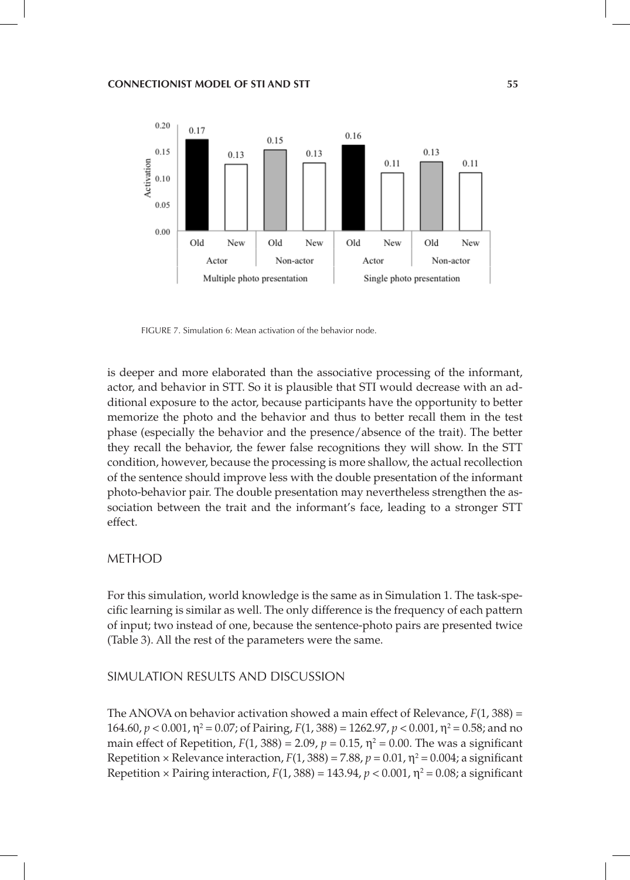

FIGURE 7. Simulation 6: Mean activation of the behavior node.

is deeper and more elaborated than the associative processing of the informant, actor, and behavior in STT. So it is plausible that STI would decrease with an additional exposure to the actor, because participants have the opportunity to better memorize the photo and the behavior and thus to better recall them in the test phase (especially the behavior and the presence/absence of the trait). The better they recall the behavior, the fewer false recognitions they will show. In the STT condition, however, because the processing is more shallow, the actual recollection of the sentence should improve less with the double presentation of the informant photo-behavior pair. The double presentation may nevertheless strengthen the association between the trait and the informant's face, leading to a stronger STT effect.

### **METHOD**

For this simulation, world knowledge is the same as in Simulation 1. The task-specific learning is similar as well. The only difference is the frequency of each pattern of input; two instead of one, because the sentence-photo pairs are presented twice (Table 3). All the rest of the parameters were the same.

### Simulation Results and Discussion

The ANOVA on behavior activation showed a main effect of Relevance, *F*(1, 388) = 164.60, *p* < 0.001, η<sup>2</sup> = 0.07; of Pairing,  $F(1, 388) = 1262.97$ , *p* < 0.001, η<sup>2</sup> = 0.58; and no main effect of Repetition,  $F(1, 388) = 2.09$ ,  $p = 0.15$ ,  $\eta^2 = 0.00$ . The was a significant Repetition  $\times$  Relevance interaction,  $F(1, 388) = 7.88$ ,  $p = 0.01$ ,  $\eta^2 = 0.004$ ; a significant Repetition  $\times$  Pairing interaction,  $F(1, 388) = 143.94$ ,  $p < 0.001$ ,  $\eta^2 = 0.08$ ; a significant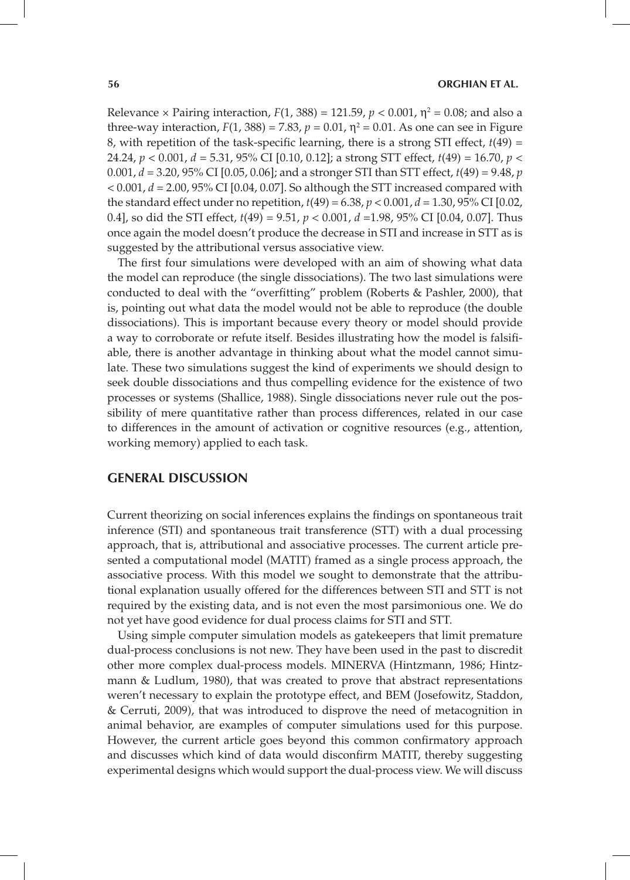Relevance  $\times$  Pairing interaction,  $F(1, 388) = 121.59$ ,  $p < 0.001$ ,  $\eta^2 = 0.08$ ; and also a three-way interaction,  $F(1, 388) = 7.83$ ,  $p = 0.01$ ,  $\eta^2 = 0.01$ . As one can see in Figure 8, with repetition of the task-specific learning, there is a strong STI effect, *t*(49) = 24.24, *p* < 0.001, *d* = 5.31, 95% CI [0.10, 0.12]; a strong STT effect, *t*(49) = 16.70, *p* < 0.001, *d* = 3.20, 95% CI [0.05, 0.06]; and a stronger STI than STT effect, *t*(49) = 9.48, *p*  $<$  0.001,  $d$  = 2.00, 95% CI [0.04, 0.07]. So although the STT increased compared with the standard effect under no repetition,  $t(49) = 6.38$ ,  $p < 0.001$ ,  $d = 1.30$ ,  $95\%$  CI [0.02, 0.4], so did the STI effect, *t*(49) = 9.51, *p* < 0.001, *d* =1.98, 95% CI [0.04, 0.07]. Thus once again the model doesn't produce the decrease in STI and increase in STT as is suggested by the attributional versus associative view.

The first four simulations were developed with an aim of showing what data the model can reproduce (the single dissociations). The two last simulations were conducted to deal with the "overfitting" problem (Roberts & Pashler, 2000), that is, pointing out what data the model would not be able to reproduce (the double dissociations). This is important because every theory or model should provide a way to corroborate or refute itself. Besides illustrating how the model is falsifiable, there is another advantage in thinking about what the model cannot simulate. These two simulations suggest the kind of experiments we should design to seek double dissociations and thus compelling evidence for the existence of two processes or systems (Shallice, 1988). Single dissociations never rule out the possibility of mere quantitative rather than process differences, related in our case to differences in the amount of activation or cognitive resources (e.g., attention, working memory) applied to each task.

# **General Discussion**

Current theorizing on social inferences explains the findings on spontaneous trait inference (STI) and spontaneous trait transference (STT) with a dual processing approach, that is, attributional and associative processes. The current article presented a computational model (MATIT) framed as a single process approach, the associative process. With this model we sought to demonstrate that the attributional explanation usually offered for the differences between STI and STT is not required by the existing data, and is not even the most parsimonious one. We do not yet have good evidence for dual process claims for STI and STT.

Using simple computer simulation models as gatekeepers that limit premature dual-process conclusions is not new. They have been used in the past to discredit other more complex dual-process models. MINERVA (Hintzmann, 1986; Hintzmann & Ludlum, 1980), that was created to prove that abstract representations weren't necessary to explain the prototype effect, and BEM (Josefowitz, Staddon, & Cerruti, 2009), that was introduced to disprove the need of metacognition in animal behavior, are examples of computer simulations used for this purpose. However, the current article goes beyond this common confirmatory approach and discusses which kind of data would disconfirm MATIT, thereby suggesting experimental designs which would support the dual-process view. We will discuss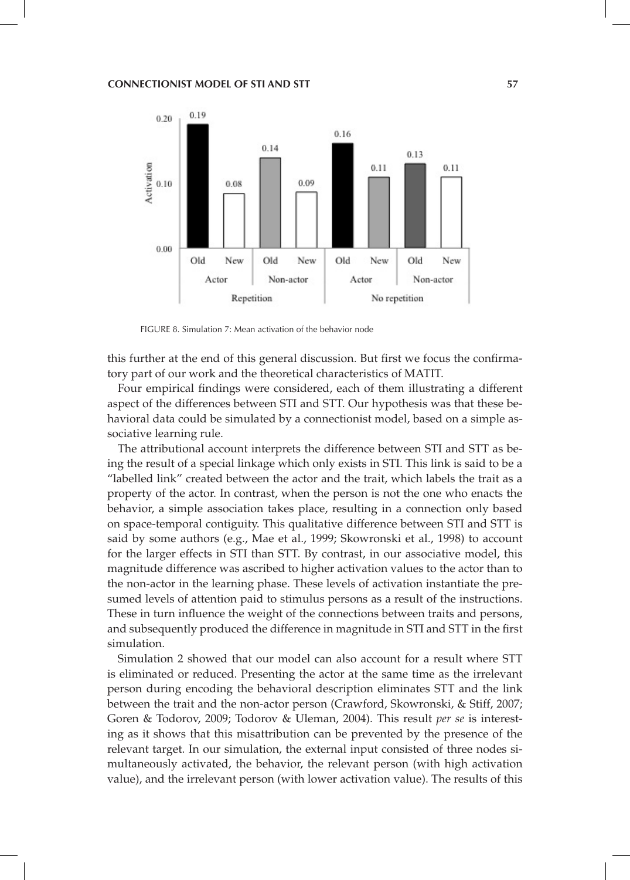

FIGURE 8. Simulation 7: Mean activation of the behavior node

this further at the end of this general discussion. But first we focus the confirmatory part of our work and the theoretical characteristics of MATIT.

Four empirical findings were considered, each of them illustrating a different aspect of the differences between STI and STT. Our hypothesis was that these behavioral data could be simulated by a connectionist model, based on a simple associative learning rule.

The attributional account interprets the difference between STI and STT as being the result of a special linkage which only exists in STI. This link is said to be a "labelled link" created between the actor and the trait, which labels the trait as a property of the actor. In contrast, when the person is not the one who enacts the behavior, a simple association takes place, resulting in a connection only based on space-temporal contiguity. This qualitative difference between STI and STT is said by some authors (e.g., Mae et al., 1999; Skowronski et al., 1998) to account for the larger effects in STI than STT. By contrast, in our associative model, this magnitude difference was ascribed to higher activation values to the actor than to the non-actor in the learning phase. These levels of activation instantiate the presumed levels of attention paid to stimulus persons as a result of the instructions. These in turn influence the weight of the connections between traits and persons, and subsequently produced the difference in magnitude in STI and STT in the first simulation.

Simulation 2 showed that our model can also account for a result where STT is eliminated or reduced. Presenting the actor at the same time as the irrelevant person during encoding the behavioral description eliminates STT and the link between the trait and the non-actor person (Crawford, Skowronski, & Stiff, 2007; Goren & Todorov, 2009; Todorov & Uleman, 2004). This result *per se* is interesting as it shows that this misattribution can be prevented by the presence of the relevant target. In our simulation, the external input consisted of three nodes simultaneously activated, the behavior, the relevant person (with high activation value), and the irrelevant person (with lower activation value). The results of this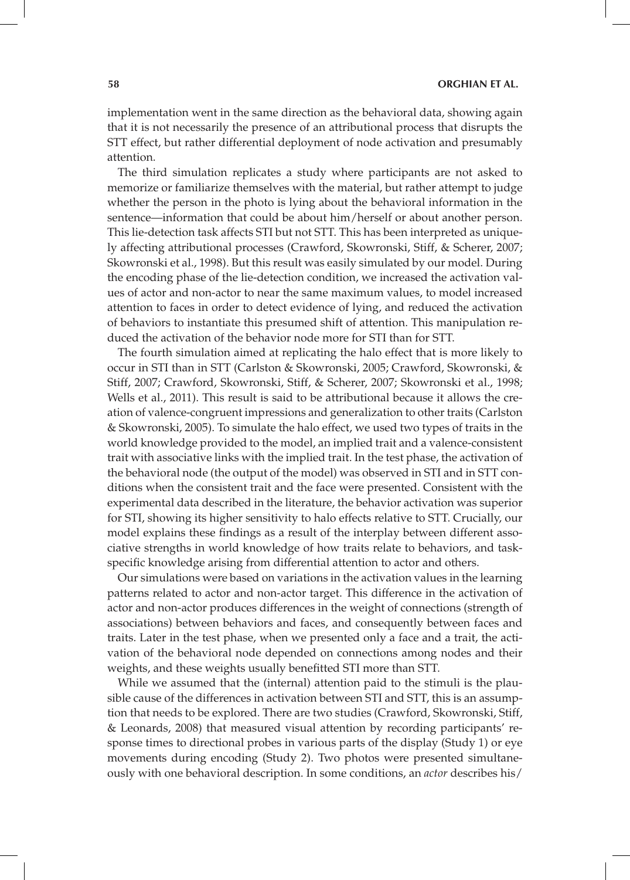implementation went in the same direction as the behavioral data, showing again that it is not necessarily the presence of an attributional process that disrupts the STT effect, but rather differential deployment of node activation and presumably attention.

The third simulation replicates a study where participants are not asked to memorize or familiarize themselves with the material, but rather attempt to judge whether the person in the photo is lying about the behavioral information in the sentence—information that could be about him/herself or about another person. This lie-detection task affects STI but not STT. This has been interpreted as uniquely affecting attributional processes (Crawford, Skowronski, Stiff, & Scherer, 2007; Skowronski et al., 1998). But this result was easily simulated by our model. During the encoding phase of the lie-detection condition, we increased the activation values of actor and non-actor to near the same maximum values, to model increased attention to faces in order to detect evidence of lying, and reduced the activation of behaviors to instantiate this presumed shift of attention. This manipulation reduced the activation of the behavior node more for STI than for STT.

The fourth simulation aimed at replicating the halo effect that is more likely to occur in STI than in STT (Carlston & Skowronski, 2005; Crawford, Skowronski, & Stiff, 2007; Crawford, Skowronski, Stiff, & Scherer, 2007; Skowronski et al., 1998; Wells et al., 2011). This result is said to be attributional because it allows the creation of valence-congruent impressions and generalization to other traits (Carlston & Skowronski, 2005). To simulate the halo effect, we used two types of traits in the world knowledge provided to the model, an implied trait and a valence-consistent trait with associative links with the implied trait. In the test phase, the activation of the behavioral node (the output of the model) was observed in STI and in STT conditions when the consistent trait and the face were presented. Consistent with the experimental data described in the literature, the behavior activation was superior for STI, showing its higher sensitivity to halo effects relative to STT. Crucially, our model explains these findings as a result of the interplay between different associative strengths in world knowledge of how traits relate to behaviors, and taskspecific knowledge arising from differential attention to actor and others.

Our simulations were based on variations in the activation values in the learning patterns related to actor and non-actor target. This difference in the activation of actor and non-actor produces differences in the weight of connections (strength of associations) between behaviors and faces, and consequently between faces and traits. Later in the test phase, when we presented only a face and a trait, the activation of the behavioral node depended on connections among nodes and their weights, and these weights usually benefitted STI more than STT.

While we assumed that the (internal) attention paid to the stimuli is the plausible cause of the differences in activation between STI and STT, this is an assumption that needs to be explored. There are two studies (Crawford, Skowronski, Stiff, & Leonards, 2008) that measured visual attention by recording participants' response times to directional probes in various parts of the display (Study 1) or eye movements during encoding (Study 2). Two photos were presented simultaneously with one behavioral description. In some conditions, an *actor* describes his/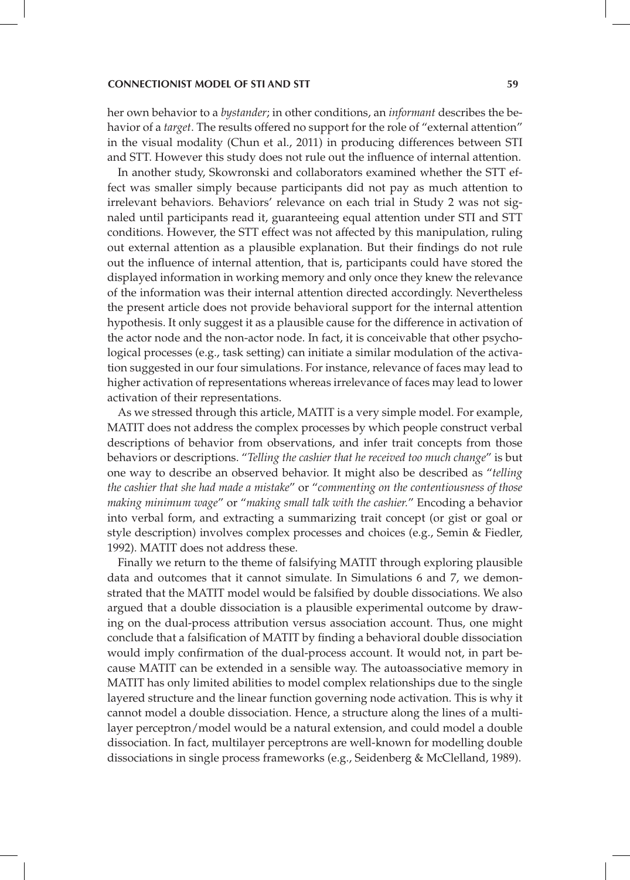her own behavior to a *bystander*; in other conditions, an *informant* describes the behavior of a *target*. The results offered no support for the role of "external attention" in the visual modality (Chun et al., 2011) in producing differences between STI and STT. However this study does not rule out the influence of internal attention.

In another study, Skowronski and collaborators examined whether the STT effect was smaller simply because participants did not pay as much attention to irrelevant behaviors. Behaviors' relevance on each trial in Study 2 was not signaled until participants read it, guaranteeing equal attention under STI and STT conditions. However, the STT effect was not affected by this manipulation, ruling out external attention as a plausible explanation. But their findings do not rule out the influence of internal attention, that is, participants could have stored the displayed information in working memory and only once they knew the relevance of the information was their internal attention directed accordingly. Nevertheless the present article does not provide behavioral support for the internal attention hypothesis. It only suggest it as a plausible cause for the difference in activation of the actor node and the non-actor node. In fact, it is conceivable that other psychological processes (e.g., task setting) can initiate a similar modulation of the activation suggested in our four simulations. For instance, relevance of faces may lead to higher activation of representations whereas irrelevance of faces may lead to lower activation of their representations.

As we stressed through this article, MATIT is a very simple model. For example, MATIT does not address the complex processes by which people construct verbal descriptions of behavior from observations, and infer trait concepts from those behaviors or descriptions. "*Telling the cashier that he received too much change*" is but one way to describe an observed behavior. It might also be described as "*telling the cashier that she had made a mistake*" or "*commenting on the contentiousness of those making minimum wage*" or "*making small talk with the cashier.*" Encoding a behavior into verbal form, and extracting a summarizing trait concept (or gist or goal or style description) involves complex processes and choices (e.g., Semin & Fiedler, 1992). MATIT does not address these.

Finally we return to the theme of falsifying MATIT through exploring plausible data and outcomes that it cannot simulate. In Simulations 6 and 7, we demonstrated that the MATIT model would be falsified by double dissociations. We also argued that a double dissociation is a plausible experimental outcome by drawing on the dual-process attribution versus association account. Thus, one might conclude that a falsification of MATIT by finding a behavioral double dissociation would imply confirmation of the dual-process account. It would not, in part because MATIT can be extended in a sensible way. The autoassociative memory in MATIT has only limited abilities to model complex relationships due to the single layered structure and the linear function governing node activation. This is why it cannot model a double dissociation. Hence, a structure along the lines of a multilayer perceptron/model would be a natural extension, and could model a double dissociation. In fact, multilayer perceptrons are well-known for modelling double dissociations in single process frameworks (e.g., Seidenberg & McClelland, 1989).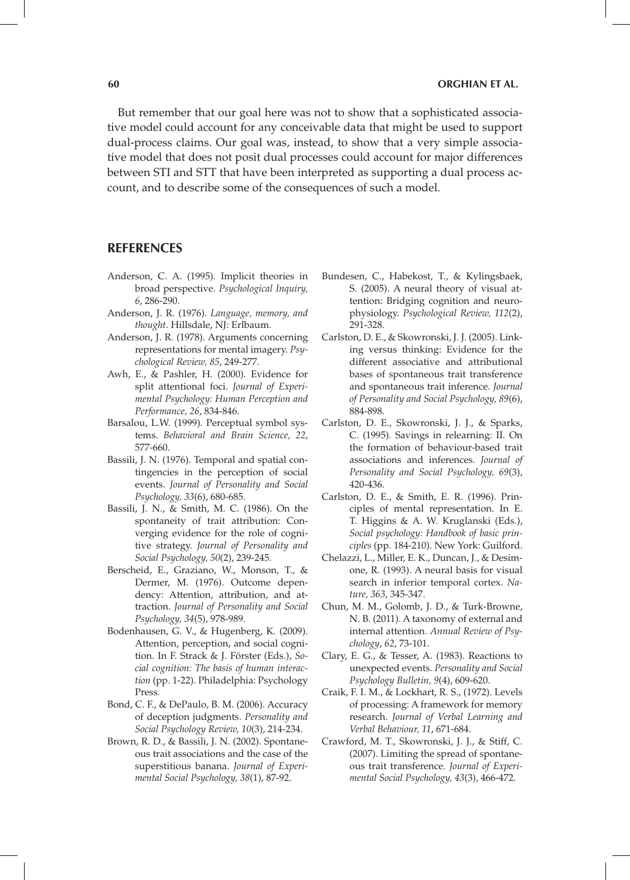**60 ORGHIAN ET AL.**

But remember that our goal here was not to show that a sophisticated associative model could account for any conceivable data that might be used to support dual-process claims. Our goal was, instead, to show that a very simple associative model that does not posit dual processes could account for major differences between STI and STT that have been interpreted as supporting a dual process account, and to describe some of the consequences of such a model.

# **References**

- Anderson, C. A. (1995). Implicit theories in broad perspective. *Psychological Inquiry, 6*, 286-290.
- Anderson, J. R. (1976). *Language, memory, and thought*. Hillsdale, NJ: Erlbaum.
- Anderson, J. R. (1978). Arguments concerning representations for mental imagery. *Psychological Review, 85*, 249-277.
- Awh, E., & Pashler, H. (2000). Evidence for split attentional foci. *Journal of Experimental Psychology: Human Perception and Performance, 26*, 834-846.
- Barsalou, L.W. (1999). Perceptual symbol systems. *Behavioral and Brain Science, 22*, 577-660.
- Bassili, J. N. (1976). Temporal and spatial contingencies in the perception of social events. *Journal of Personality and Social Psychology, 33*(6), 680-685.
- Bassili, J. N., & Smith, M. C. (1986). On the spontaneity of trait attribution: Converging evidence for the role of cognitive strategy. *Journal of Personality and Social Psychology, 50*(2), 239-245.
- Berscheid, E., Graziano, W., Monson, T., & Dermer, M. (1976). Outcome dependency: Attention, attribution, and attraction. *Journal of Personality and Social Psychology, 34*(5), 978-989.
- Bodenhausen, G. V., & Hugenberg, K. (2009). Attention, perception, and social cognition. In F. Strack & J. Förster (Eds.), *Social cognition: The basis of human interaction* (pp. 1-22). Philadelphia: Psychology Press.
- Bond, C. F., & DePaulo, B. M. (2006). Accuracy of deception judgments. *Personality and Social Psychology Review, 10*(3), 214-234.
- Brown, R. D., & Bassili, J. N. (2002). Spontaneous trait associations and the case of the superstitious banana. *Journal of Experimental Social Psychology, 38*(1), 87-92.
- Bundesen, C., Habekost, T., & Kylingsbaek, S. (2005). A neural theory of visual attention: Bridging cognition and neurophysiology. *Psychological Review, 112*(2), 291-328.
- Carlston, D. E., & Skowronski, J. J. (2005). Linking versus thinking: Evidence for the different associative and attributional bases of spontaneous trait transference and spontaneous trait inference. *Journal of Personality and Social Psychology, 89*(6), 884-898.
- Carlston, D. E., Skowronski, J. J., & Sparks, C. (1995). Savings in relearning: II. On the formation of behaviour-based trait associations and inferences. *Journal of Personality and Social Psychology, 69*(3), 420-436.
- Carlston, D. E., & Smith, E. R. (1996). Principles of mental representation. In E. T. Higgins & A. W. Kruglanski (Eds.), *Social psychology: Handbook of basic principles* (pp. 184-210). New York: Guilford.
- Chelazzi, L., Miller, E. K., Duncan, J., & Desimone, R. (1993). A neural basis for visual search in inferior temporal cortex. *Nature, 363*, 345-347.
- Chun, M. M., Golomb, J. D., & Turk-Browne, N. B. (2011). A taxonomy of external and internal attention. *Annual Review of Psychology*, *62*, 73-101.
- Clary, E. G., & Tesser, A. (1983). Reactions to unexpected events. *Personality and Social Psychology Bulletin, 9*(4), 609-620.
- Craik, F. I. M., & Lockhart, R. S., (1972). Levels of processing: A framework for memory research. *Journal of Verbal Learning and Verbal Behaviour, 11*, 671-684.
- Crawford, M. T., Skowronski, J. J., & Stiff, C. (2007). Limiting the spread of spontaneous trait transference. *Journal of Experimental Social Psychology, 43*(3), 466-472.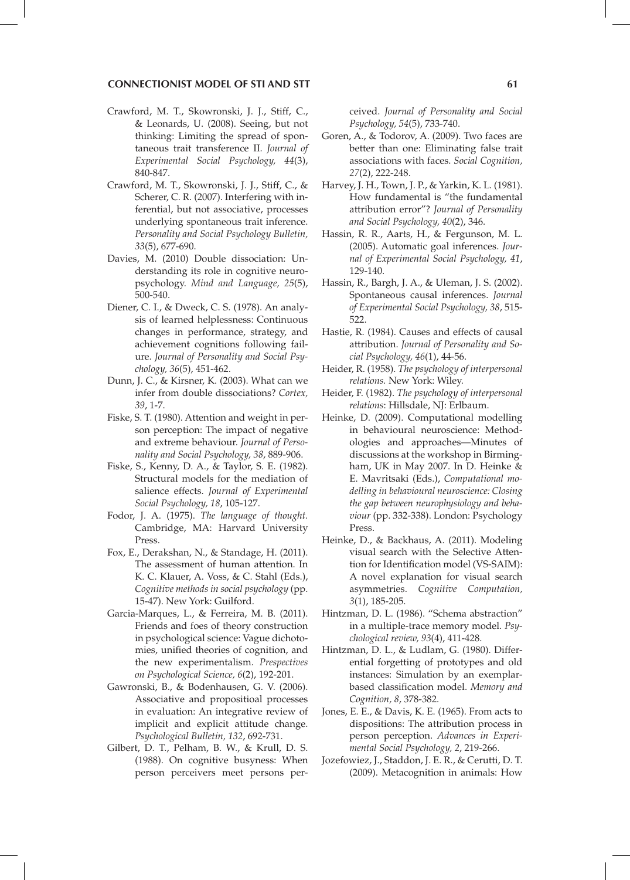- Crawford, M. T., Skowronski, J. J., Stiff, C., & Leonards, U. (2008). Seeing, but not thinking: Limiting the spread of spontaneous trait transference II. *Journal of Experimental Social Psychology, 44*(3), 840-847.
- Crawford, M. T., Skowronski, J. J., Stiff, C., & Scherer, C. R. (2007). Interfering with inferential, but not associative, processes underlying spontaneous trait inference. *Personality and Social Psychology Bulletin, 33*(5), 677-690.
- Davies, M. (2010) Double dissociation: Understanding its role in cognitive neuropsychology. *Mind and Language, 25*(5), 500-540.
- Diener, C. I., & Dweck, C. S. (1978). An analysis of learned helplessness: Continuous changes in performance, strategy, and achievement cognitions following failure. *Journal of Personality and Social Psychology, 36*(5), 451-462.
- Dunn, J. C., & Kirsner, K. (2003). What can we infer from double dissociations? *Cortex, 39*, 1-7.
- Fiske, S. T. (1980). Attention and weight in person perception: The impact of negative and extreme behaviour. *Journal of Personality and Social Psychology, 38*, 889-906.
- Fiske, S., Kenny, D. A., & Taylor, S. E. (1982). Structural models for the mediation of salience effects. *Journal of Experimental Social Psychology, 18*, 105-127.
- Fodor, J. A. (1975). *The language of thought.* Cambridge, MA: Harvard University Press.
- Fox, E., Derakshan, N., & Standage, H. (2011). The assessment of human attention. In K. C. Klauer, A. Voss, & C. Stahl (Eds.), *Cognitive methods in social psychology* (pp. 15-47). New York: Guilford.
- Garcia-Marques, L., & Ferreira, M. B. (2011). Friends and foes of theory construction in psychological science: Vague dichotomies, unified theories of cognition, and the new experimentalism. *Prespectives on Psychological Science, 6*(2), 192-201.
- Gawronski, B., & Bodenhausen, G. V. (2006). Associative and propositioal processes in evaluation: An integrative review of implicit and explicit attitude change. *Psychological Bulletin, 132*, 692-731.
- Gilbert, D. T., Pelham, B. W., & Krull, D. S. (1988). On cognitive busyness: When person perceivers meet persons per-

ceived. *Journal of Personality and Social Psychology, 54*(5), 733-740.

- Goren, A., & Todorov, A. (2009). Two faces are better than one: Eliminating false trait associations with faces. *Social Cognition, 27*(2), 222-248.
- Harvey, J. H., Town, J. P., & Yarkin, K. L. (1981). How fundamental is "the fundamental attribution error"? *Journal of Personality and Social Psychology, 40*(2), 346.
- Hassin, R. R., Aarts, H., & Fergunson, M. L. (2005). Automatic goal inferences. *Journal of Experimental Social Psychology, 41*, 129-140.
- Hassin, R., Bargh, J. A., & Uleman, J. S. (2002). Spontaneous causal inferences. *Journal of Experimental Social Psychology, 38*, 515- 522.
- Hastie, R. (1984). Causes and effects of causal attribution. *Journal of Personality and Social Psychology, 46*(1), 44-56.
- Heider, R. (1958). *The psychology of interpersonal relations.* New York: Wiley.
- Heider, F. (1982). *The psychology of interpersonal relations*: Hillsdale, NJ: Erlbaum.
- Heinke, D. (2009). Computational modelling in behavioural neuroscience: Methodologies and approaches—Minutes of discussions at the workshop in Birmingham, UK in May 2007. In D. Heinke & E. Mavritsaki (Eds.), *Computational modelling in behavioural neuroscience: Closing the gap between neurophysiology and behaviour* (pp. 332-338). London: Psychology Press.
- Heinke, D., & Backhaus, A. (2011). Modeling visual search with the Selective Attention for Identification model (VS-SAIM): A novel explanation for visual search asymmetries. *Cognitive Computation, 3*(1), 185-205.
- Hintzman, D. L. (1986). "Schema abstraction" in a multiple-trace memory model. *Psychological review, 93*(4), 411-428.
- Hintzman, D. L., & Ludlam, G. (1980). Differential forgetting of prototypes and old instances: Simulation by an exemplarbased classification model. *Memory and Cognition, 8*, 378-382.
- Jones, E. E., & Davis, K. E. (1965). From acts to dispositions: The attribution process in person perception. *Advances in Experimental Social Psychology, 2*, 219-266.
- Jozefowiez, J., Staddon, J. E. R., & Cerutti, D. T. (2009). Metacognition in animals: How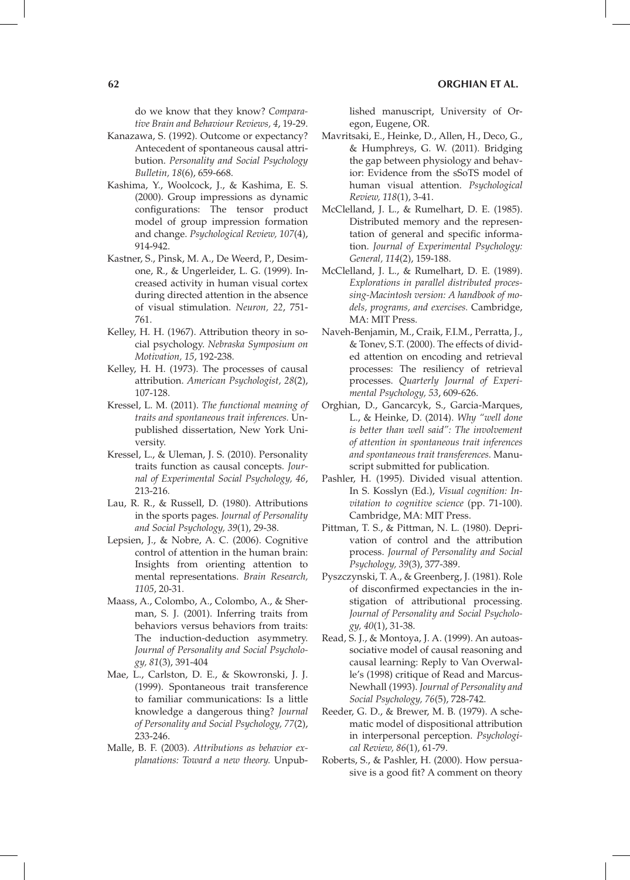do we know that they know? *Comparative Brain and Behaviour Reviews, 4*, 19-29.

- Kanazawa, S. (1992). Outcome or expectancy? Antecedent of spontaneous causal attribution. *Personality and Social Psychology Bulletin, 18*(6), 659-668.
- Kashima, Y., Woolcock, J., & Kashima, E. S. (2000). Group impressions as dynamic configurations: The tensor product model of group impression formation and change. *Psychological Review, 107*(4), 914-942.
- Kastner, S., Pinsk, M. A., De Weerd, P., Desimone, R., & Ungerleider, L. G. (1999). Increased activity in human visual cortex during directed attention in the absence of visual stimulation. *Neuron, 22*, 751- 761.
- Kelley, H. H. (1967). Attribution theory in social psychology. *Nebraska Symposium on Motivation, 15*, 192-238.
- Kelley, H. H. (1973). The processes of causal attribution. *American Psychologist, 28*(2), 107-128.
- Kressel, L. M. (2011). *The functional meaning of traits and spontaneous trait inferences.* Unpublished dissertation, New York University.
- Kressel, L., & Uleman, J. S. (2010). Personality traits function as causal concepts. *Journal of Experimental Social Psychology, 46*, 213-216*.*
- Lau, R. R., & Russell, D. (1980). Attributions in the sports pages. *Journal of Personality and Social Psychology, 39*(1), 29-38.
- Lepsien, J., & Nobre, A. C. (2006). Cognitive control of attention in the human brain: Insights from orienting attention to mental representations. *Brain Research, 1105*, 20-31.
- Maass, A., Colombo, A., Colombo, A., & Sherman, S. J. (2001). Inferring traits from behaviors versus behaviors from traits: The induction-deduction asymmetry. *Journal of Personality and Social Psychology, 81*(3), 391-404
- Mae, L., Carlston, D. E., & Skowronski, J. J. (1999). Spontaneous trait transference to familiar communications: Is a little knowledge a dangerous thing? *Journal of Personality and Social Psychology, 77*(2), 233-246.
- Malle, B. F. (2003). *Attributions as behavior explanations: Toward a new theory.* Unpub-

lished manuscript, University of Oregon, Eugene, OR.

- Mavritsaki, E., Heinke, D., Allen, H., Deco, G., & Humphreys, G. W. (2011). Bridging the gap between physiology and behavior: Evidence from the sSoTS model of human visual attention. *Psychological Review, 118*(1), 3-41.
- McClelland, J. L., & Rumelhart, D. E. (1985). Distributed memory and the representation of general and specific information. *Journal of Experimental Psychology: General, 114*(2), 159-188.
- McClelland, J. L., & Rumelhart, D. E. (1989). *Explorations in parallel distributed processing-Macintosh version: A handbook of models, programs, and exercises.* Cambridge, MA: MIT Press.
- Naveh-Benjamin, M., Craik, F.I.M., Perratta, J., & Tonev, S.T. (2000). The effects of divided attention on encoding and retrieval processes: The resiliency of retrieval processes. *Quarterly Journal of Experimental Psychology, 53*, 609-626.
- Orghian, D., Gancarcyk, S., Garcia-Marques, L., & Heinke, D. (2014). *Why "well done is better than well said": The involvement of attention in spontaneous trait inferences and spontaneous trait transferences.* Manuscript submitted for publication.
- Pashler, H. (1995). Divided visual attention. In S. Kosslyn (Ed.), *Visual cognition: Invitation to cognitive science* (pp. 71-100). Cambridge, MA: MIT Press.
- Pittman, T. S., & Pittman, N. L. (1980). Deprivation of control and the attribution process. *Journal of Personality and Social Psychology, 39*(3), 377-389.
- Pyszczynski, T. A., & Greenberg, J. (1981). Role of disconfirmed expectancies in the instigation of attributional processing. *Journal of Personality and Social Psychology, 40*(1), 31-38.
- Read, S. J., & Montoya, J. A. (1999). An autoassociative model of causal reasoning and causal learning: Reply to Van Overwalle's (1998) critique of Read and Marcus-Newhall (1993). *Journal of Personality and Social Psychology, 76*(5), 728-742.
- Reeder, G. D., & Brewer, M. B. (1979). A schematic model of dispositional attribution in interpersonal perception. *Psychological Review, 86*(1), 61-79.
- Roberts, S., & Pashler, H. (2000). How persuasive is a good fit? A comment on theory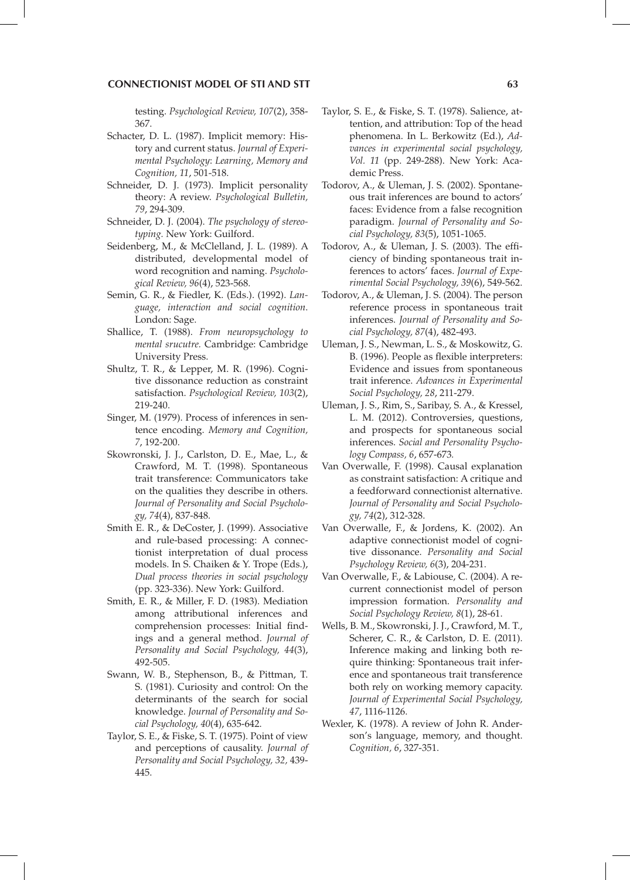testing. *Psychological Review, 107*(2), 358- 367.

- Schacter, D. L. (1987). Implicit memory: History and current status. *Journal of Experimental Psychology*: *Learning, Memory and Cognition, 11*, 501-518.
- Schneider, D. J. (1973). Implicit personality theory: A review. *Psychological Bulletin, 79*, 294-309.
- Schneider, D. J. (2004). *The psychology of stereotyping.* New York: Guilford.
- Seidenberg, M., & McClelland, J. L. (1989). A distributed, developmental model of word recognition and naming. *Psychological Review, 96*(4), 523-568.
- Semin, G. R., & Fiedler, K. (Eds.). (1992). *Language, interaction and social cognition*. London: Sage.
- Shallice, T. (1988). *From neuropsychology to mental srucutre.* Cambridge: Cambridge University Press.
- Shultz, T. R., & Lepper, M. R. (1996). Cognitive dissonance reduction as constraint satisfaction. *Psychological Review, 103*(2), 219-240.
- Singer, M. (1979). Process of inferences in sentence encoding. *Memory and Cognition, 7*, 192-200.
- Skowronski, J. J., Carlston, D. E., Mae, L., & Crawford, M. T. (1998). Spontaneous trait transference: Communicators take on the qualities they describe in others. *Journal of Personality and Social Psychology, 74*(4), 837-848.
- Smith E. R., & DeCoster, J. (1999). Associative and rule-based processing: A connectionist interpretation of dual process models. In S. Chaiken & Y. Trope (Eds.), *Dual process theories in social psychology* (pp. 323-336). New York: Guilford.
- Smith, E. R., & Miller, F. D. (1983). Mediation among attributional inferences and comprehension processes: Initial findings and a general method. *Journal of Personality and Social Psychology, 44*(3), 492-505.
- Swann, W. B., Stephenson, B., & Pittman, T. S. (1981). Curiosity and control: On the determinants of the search for social knowledge. *Journal of Personality and Social Psychology, 40*(4), 635-642.
- Taylor, S. E., & Fiske, S. T. (1975). Point of view and perceptions of causality. *Journal of Personality and Social Psychology, 32,* 439- 445.
- Taylor, S. E., & Fiske, S. T. (1978). Salience, attention, and attribution: Top of the head phenomena. In L. Berkowitz (Ed.), *Advances in experimental social psychology, Vol. 11* (pp. 249-288). New York: Academic Press.
- Todorov, A., & Uleman, J. S. (2002). Spontaneous trait inferences are bound to actors' faces: Evidence from a false recognition paradigm. *Journal of Personality and Social Psychology, 83*(5), 1051-1065.
- Todorov, A., & Uleman, J. S. (2003). The efficiency of binding spontaneous trait inferences to actors' faces. *Journal of Experimental Social Psychology, 39*(6), 549-562.
- Todorov, A., & Uleman, J. S. (2004). The person reference process in spontaneous trait inferences. *Journal of Personality and Social Psychology, 87*(4), 482-493.
- Uleman, J. S., Newman, L. S., & Moskowitz, G. B. (1996). People as flexible interpreters: Evidence and issues from spontaneous trait inference. *Advances in Experimental Social Psychology, 28*, 211-279.
- Uleman, J. S., Rim, S., Saribay, S. A., & Kressel, L. M. (2012). Controversies, questions, and prospects for spontaneous social inferences. *Social and Personality Psychology Compass, 6*, 657-673*.*
- Van Overwalle, F. (1998). Causal explanation as constraint satisfaction: A critique and a feedforward connectionist alternative. *Journal of Personality and Social Psychology, 74*(2), 312-328.
- Van Overwalle, F., & Jordens, K. (2002). An adaptive connectionist model of cognitive dissonance. *Personality and Social Psychology Review, 6*(3), 204-231.
- Van Overwalle, F., & Labiouse, C. (2004). A recurrent connectionist model of person impression formation. *Personality and Social Psychology Review, 8*(1), 28-61.
- Wells, B. M., Skowronski, J. J., Crawford, M. T., Scherer, C. R., & Carlston, D. E. (2011). Inference making and linking both require thinking: Spontaneous trait inference and spontaneous trait transference both rely on working memory capacity. *Journal of Experimental Social Psychology, 47*, 1116-1126.
- Wexler, K. (1978). A review of John R. Anderson's language, memory, and thought. *Cognition, 6*, 327-351.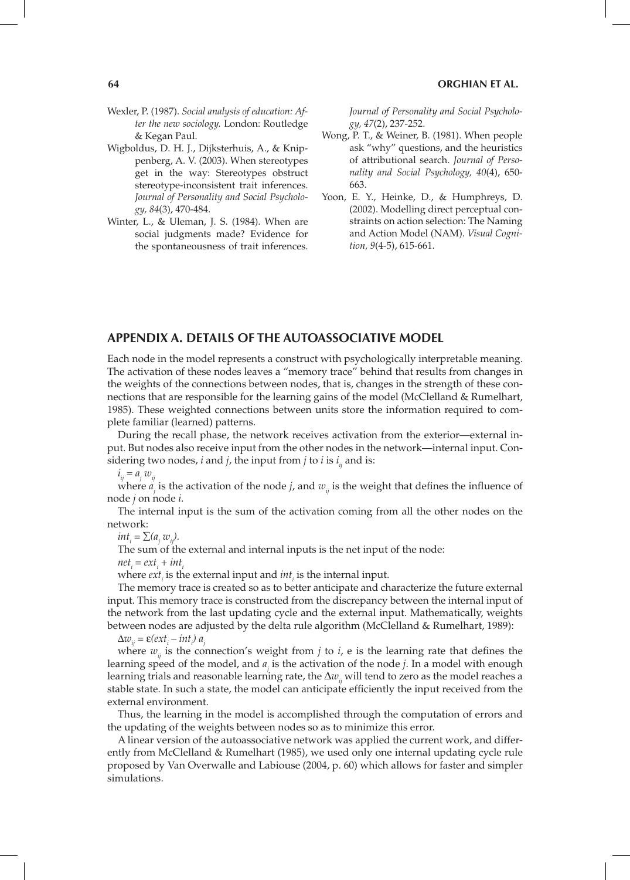- Wexler, P. (1987). *Social analysis of education: After the new sociology.* London: Routledge & Kegan Paul.
- Wigboldus, D. H. J., Dijksterhuis, A., & Knippenberg, A. V. (2003). When stereotypes get in the way: Stereotypes obstruct stereotype-inconsistent trait inferences. *Journal of Personality and Social Psychology, 84*(3), 470-484.
- Winter, L., & Uleman, J. S. (1984). When are social judgments made? Evidence for the spontaneousness of trait inferences.

*Journal of Personality and Social Psychology, 47*(2), 237-252.

- Wong, P. T., & Weiner, B. (1981). When people ask "why" questions, and the heuristics of attributional search. *Journal of Personality and Social Psychology, 40*(4), 650- 663.
- Yoon, E. Y., Heinke, D., & Humphreys, D. (2002). Modelling direct perceptual constraints on action selection: The Naming and Action Model (NAM). *Visual Cognition, 9*(4-5), 615-661.

# **Appendix A. Details of the Autoassociative Model**

Each node in the model represents a construct with psychologically interpretable meaning. The activation of these nodes leaves a "memory trace" behind that results from changes in the weights of the connections between nodes, that is, changes in the strength of these connections that are responsible for the learning gains of the model (McClelland & Rumelhart, 1985). These weighted connections between units store the information required to complete familiar (learned) patterns.

During the recall phase, the network receives activation from the exterior—external input. But nodes also receive input from the other nodes in the network—internal input. Considering two nodes, *i* and *j*, the input from *j* to *i* is  $i_{ij}$  and is:

### $i_{ij} = a_j w_{ij}$

where  $a_j$  is the activation of the node *j*, and  $w_{ij}$  is the weight that defines the influence of node *j* on node *i*.

The internal input is the sum of the activation coming from all the other nodes on the network:

 $int_i = \sum (a_j w_{ij}).$ 

The sum of the external and internal inputs is the net input of the node:

 $net<sub>i</sub> = ext<sub>i</sub> + int<sub>i</sub>$ 

where  $ext_i$  is the external input and  $int_i$  is the internal input.

The memory trace is created so as to better anticipate and characterize the future external input. This memory trace is constructed from the discrepancy between the internal input of the network from the last updating cycle and the external input. Mathematically, weights between nodes are adjusted by the delta rule algorithm (McClelland & Rumelhart, 1989):

 $\Delta w_{ij} = ε(ext_i - int_i) a_j$ 

where  $w_{ii}$  is the connection's weight from *j* to *i*, e is the learning rate that defines the learning speed of the model, and *aj* is the activation of the node *j*. In a model with enough learning trials and reasonable learning rate, the  $\Delta w_{\mu}$  will tend to zero as the model reaches a stable state. In such a state, the model can anticipate efficiently the input received from the external environment.

Thus, the learning in the model is accomplished through the computation of errors and the updating of the weights between nodes so as to minimize this error.

A linear version of the autoassociative network was applied the current work, and differently from McClelland & Rumelhart (1985), we used only one internal updating cycle rule proposed by Van Overwalle and Labiouse (2004, p. 60) which allows for faster and simpler simulations.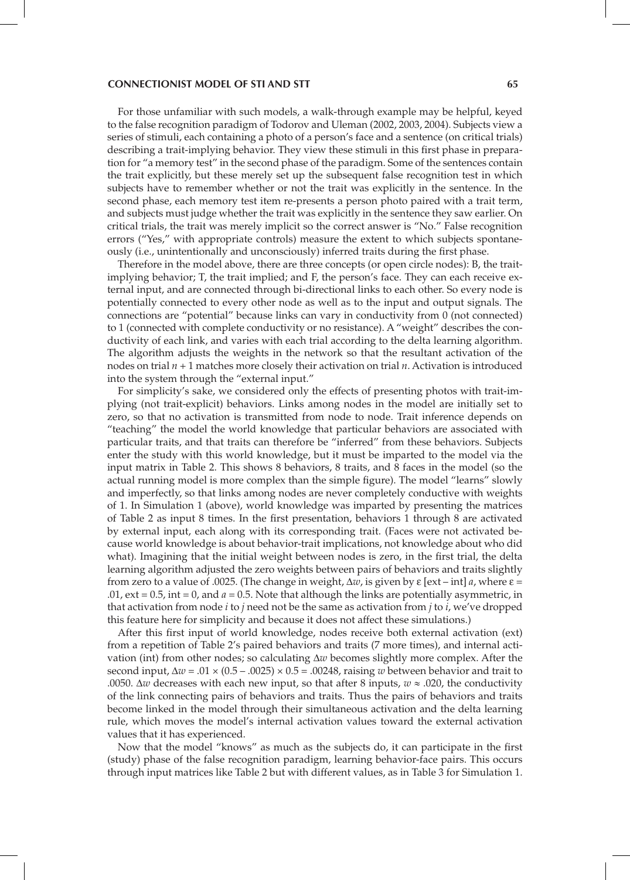For those unfamiliar with such models, a walk-through example may be helpful, keyed to the false recognition paradigm of Todorov and Uleman (2002, 2003, 2004). Subjects view a series of stimuli, each containing a photo of a person's face and a sentence (on critical trials) describing a trait-implying behavior. They view these stimuli in this first phase in preparation for "a memory test" in the second phase of the paradigm. Some of the sentences contain the trait explicitly, but these merely set up the subsequent false recognition test in which subjects have to remember whether or not the trait was explicitly in the sentence. In the second phase, each memory test item re-presents a person photo paired with a trait term, and subjects must judge whether the trait was explicitly in the sentence they saw earlier. On critical trials, the trait was merely implicit so the correct answer is "No." False recognition errors ("Yes," with appropriate controls) measure the extent to which subjects spontaneously (i.e., unintentionally and unconsciously) inferred traits during the first phase.

Therefore in the model above, there are three concepts (or open circle nodes): B, the traitimplying behavior; T, the trait implied; and F, the person's face. They can each receive external input, and are connected through bi-directional links to each other. So every node is potentially connected to every other node as well as to the input and output signals. The connections are "potential" because links can vary in conductivity from 0 (not connected) to 1 (connected with complete conductivity or no resistance). A "weight" describes the conductivity of each link, and varies with each trial according to the delta learning algorithm. The algorithm adjusts the weights in the network so that the resultant activation of the nodes on trial *n* + 1 matches more closely their activation on trial *n*. Activation is introduced into the system through the "external input."

For simplicity's sake, we considered only the effects of presenting photos with trait-implying (not trait-explicit) behaviors. Links among nodes in the model are initially set to zero, so that no activation is transmitted from node to node. Trait inference depends on "teaching" the model the world knowledge that particular behaviors are associated with particular traits, and that traits can therefore be "inferred" from these behaviors. Subjects enter the study with this world knowledge, but it must be imparted to the model via the input matrix in Table 2. This shows 8 behaviors, 8 traits, and  $\overline{8}$  faces in the model (so the actual running model is more complex than the simple figure). The model "learns" slowly and imperfectly, so that links among nodes are never completely conductive with weights of 1. In Simulation 1 (above), world knowledge was imparted by presenting the matrices of Table 2 as input 8 times. In the first presentation, behaviors 1 through 8 are activated by external input, each along with its corresponding trait. (Faces were not activated because world knowledge is about behavior-trait implications, not knowledge about who did what). Imagining that the initial weight between nodes is zero, in the first trial, the delta learning algorithm adjusted the zero weights between pairs of behaviors and traits slightly from zero to a value of .0025. (The change in weight,  $\Delta w$ , is given by  $\varepsilon$  [ext – int] *a*, where  $\varepsilon$  = .01,  $ext = 0.5$ , int = 0, and  $a = 0.5$ . Note that although the links are potentially asymmetric, in that activation from node *i* to *j* need not be the same as activation from *j* to *i*, we've dropped this feature here for simplicity and because it does not affect these simulations.)

After this first input of world knowledge, nodes receive both external activation (ext) from a repetition of Table 2's paired behaviors and traits (7 more times), and internal activation (int) from other nodes; so calculating  $\Delta w$  becomes slightly more complex. After the second input,  $\Delta w = .01 \times (0.5 - .0025) \times 0.5 = .00248$ , raising *w* between behavior and trait to .0050.  $\Delta w$  decreases with each new input, so that after 8 inputs,  $w \approx .020$ , the conductivity of the link connecting pairs of behaviors and traits. Thus the pairs of behaviors and traits become linked in the model through their simultaneous activation and the delta learning rule, which moves the model's internal activation values toward the external activation values that it has experienced.

Now that the model "knows" as much as the subjects do, it can participate in the first (study) phase of the false recognition paradigm, learning behavior-face pairs. This occurs through input matrices like Table 2 but with different values, as in Table 3 for Simulation 1.